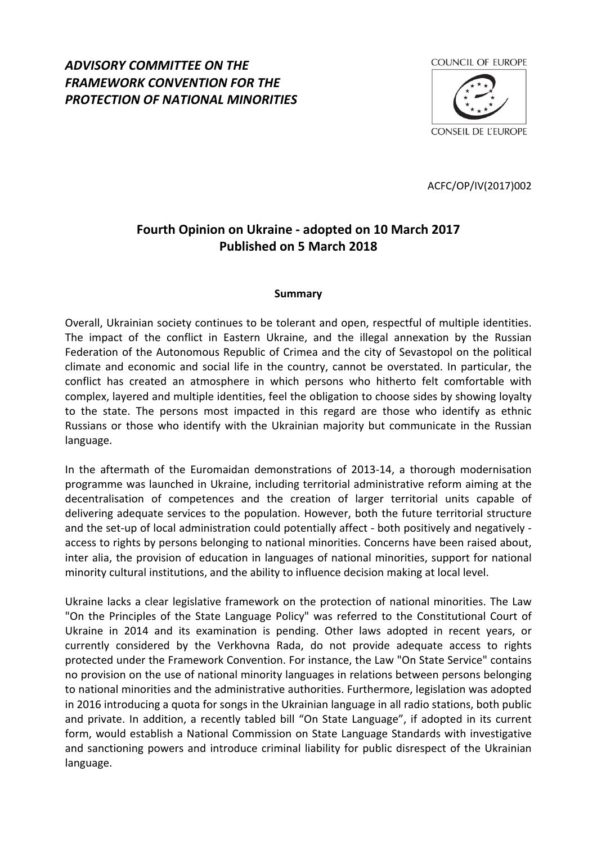# *ADVISORY COMMITTEE ON THE FRAMEWORK CONVENTION FOR THE PROTECTION OF NATIONAL MINORITIES*



ACFC/OP/IV(2017)002

# **Fourth Opinion on Ukraine - adopted on 10 March 2017 Published on 5 March 2018**

### **Summary**

Overall, Ukrainian society continues to be tolerant and open, respectful of multiple identities. The impact of the conflict in Eastern Ukraine, and the illegal annexation by the Russian Federation of the Autonomous Republic of Crimea and the city of Sevastopol on the political climate and economic and social life in the country, cannot be overstated. In particular, the conflict has created an atmosphere in which persons who hitherto felt comfortable with complex, layered and multiple identities, feel the obligation to choose sides by showing loyalty to the state. The persons most impacted in this regard are those who identify as ethnic Russians or those who identify with the Ukrainian majority but communicate in the Russian language.

In the aftermath of the Euromaidan demonstrations of 2013-14, a thorough modernisation programme was launched in Ukraine, including territorial administrative reform aiming at the decentralisation of competences and the creation of larger territorial units capable of delivering adequate services to the population. However, both the future territorial structure and the set-up of local administration could potentially affect - both positively and negatively access to rights by persons belonging to national minorities. Concerns have been raised about, inter alia, the provision of education in languages of national minorities, support for national minority cultural institutions, and the ability to influence decision making at local level.

Ukraine lacks a clear legislative framework on the protection of national minorities. The Law "On the Principles of the State Language Policy" was referred to the Constitutional Court of Ukraine in 2014 and its examination is pending. Other laws adopted in recent years, or currently considered by the Verkhovna Rada, do not provide adequate access to rights protected under the Framework Convention. For instance, the Law "On State Service" contains no provision on the use of national minority languages in relations between persons belonging to national minorities and the administrative authorities. Furthermore, legislation was adopted in 2016 introducing a quota for songs in the Ukrainian language in all radio stations, both public and private. In addition, a recently tabled bill "On State Language", if adopted in its current form, would establish a National Commission on State Language Standards with investigative and sanctioning powers and introduce criminal liability for public disrespect of the Ukrainian language.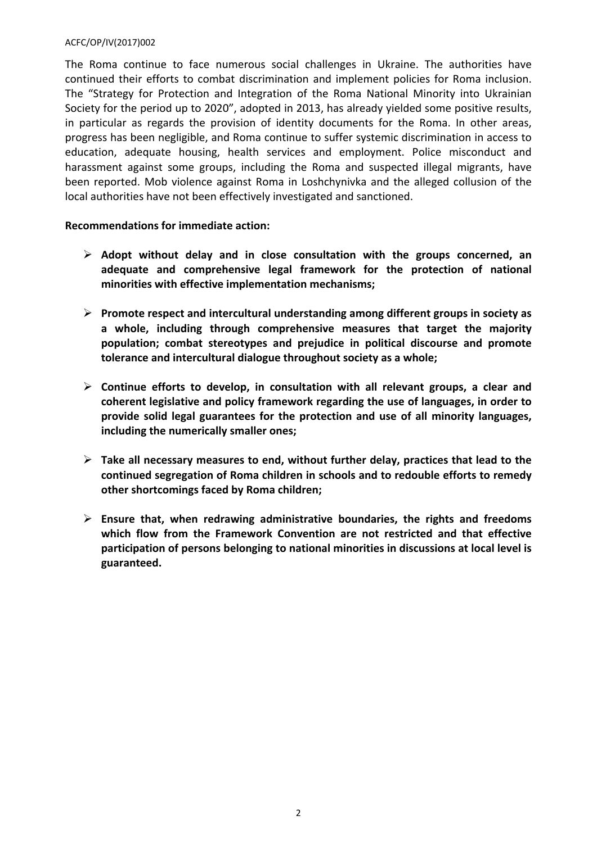The Roma continue to face numerous social challenges in Ukraine. The authorities have continued their efforts to combat discrimination and implement policies for Roma inclusion. The "Strategy for Protection and Integration of the Roma National Minority into Ukrainian Society for the period up to 2020", adopted in 2013, has already yielded some positive results, in particular as regards the provision of identity documents for the Roma. In other areas, progress has been negligible, and Roma continue to suffer systemic discrimination in access to education, adequate housing, health services and employment. Police misconduct and harassment against some groups, including the Roma and suspected illegal migrants, have been reported. Mob violence against Roma in Loshchynivka and the alleged collusion of the local authorities have not been effectively investigated and sanctioned.

# **Recommendations for immediate action:**

- Adopt without delay and in close consultation with the groups concerned, an **adequate and comprehensive legal framework for the protection of national minorities with effective implementation mechanisms;**
- **Promote respect and intercultural understanding among different groups in society as a whole, including through comprehensive measures that target the majority population; combat stereotypes and prejudice in political discourse and promote tolerance and intercultural dialogue throughout society as a whole;**
- **Continue efforts to develop, in consultation with all relevant groups, a clear and coherent legislative and policy framework regarding the use of languages, in order to provide solid legal guarantees for the protection and use of all minority languages, including the numerically smaller ones;**
- **Take all necessary measures to end, without further delay, practices that lead to the continued segregation of Roma children in schools and to redouble efforts to remedy other shortcomings faced by Roma children;**
- **Ensure that, when redrawing administrative boundaries, the rights and freedoms which flow from the Framework Convention are not restricted and that effective participation of persons belonging to national minorities in discussions at local level is guaranteed.**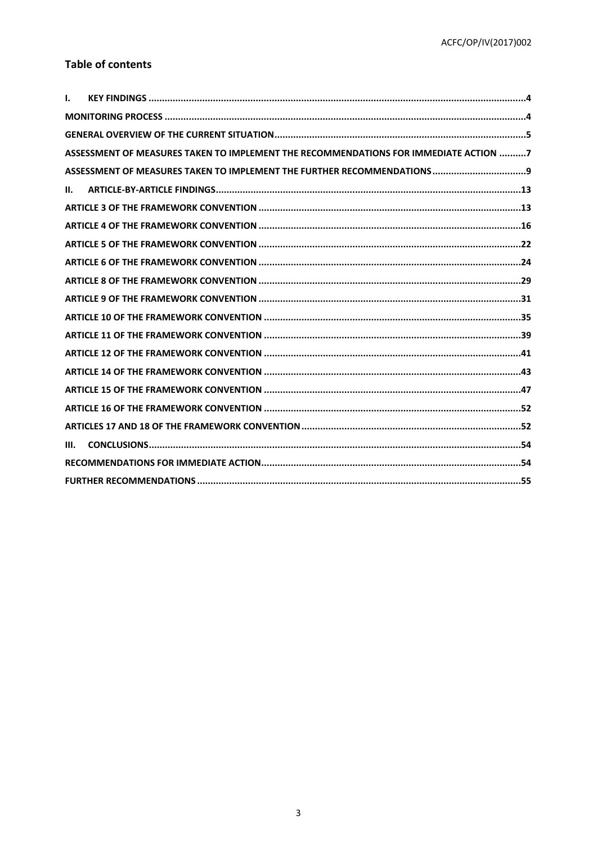# **Table of contents**

| I. |                                                                                      |
|----|--------------------------------------------------------------------------------------|
|    |                                                                                      |
|    |                                                                                      |
|    | ASSESSMENT OF MEASURES TAKEN TO IMPLEMENT THE RECOMMENDATIONS FOR IMMEDIATE ACTION 7 |
|    |                                                                                      |
| н. |                                                                                      |
|    |                                                                                      |
|    |                                                                                      |
|    |                                                                                      |
|    |                                                                                      |
|    |                                                                                      |
|    |                                                                                      |
|    |                                                                                      |
|    |                                                                                      |
|    |                                                                                      |
|    |                                                                                      |
|    |                                                                                      |
|    |                                                                                      |
|    |                                                                                      |
| Ш. |                                                                                      |
|    |                                                                                      |
|    |                                                                                      |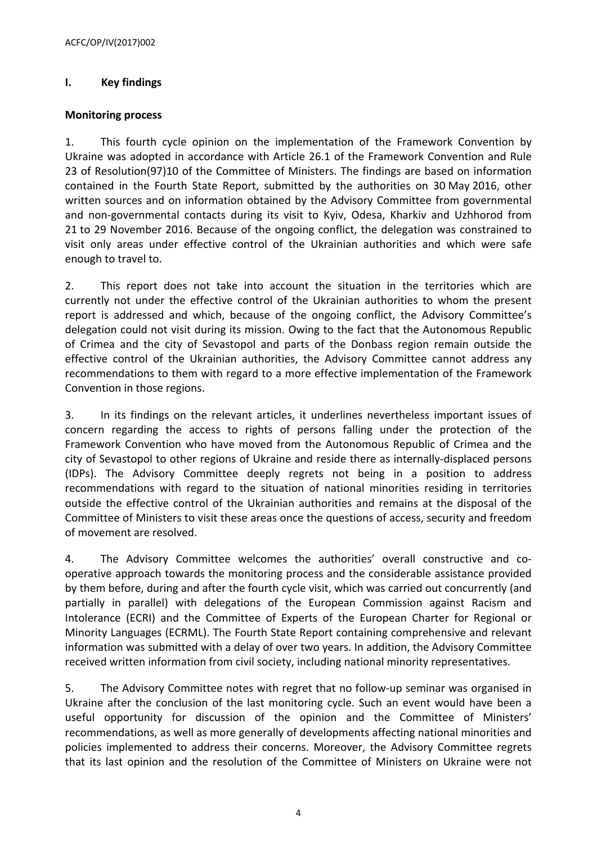# <span id="page-3-0"></span>**I. Key findings**

### <span id="page-3-1"></span>**Monitoring process**

1. This fourth cycle opinion on the implementation of the Framework Convention by Ukraine was adopted in accordance with Article 26.1 of the Framework Convention and Rule 23 of Resolution(97)10 of the Committee of Ministers. The findings are based on information contained in the Fourth State Report, submitted by the authorities on 30 May 2016, other written sources and on information obtained by the Advisory Committee from governmental and non-governmental contacts during its visit to Kyiv, Odesa, Kharkiv and Uzhhorod from 21 to 29 November 2016. Because of the ongoing conflict, the delegation was constrained to visit only areas under effective control of the Ukrainian authorities and which were safe enough to travel to.

2. This report does not take into account the situation in the territories which are currently not under the effective control of the Ukrainian authorities to whom the present report is addressed and which, because of the ongoing conflict, the Advisory Committee's delegation could not visit during its mission. Owing to the fact that the Autonomous Republic of Crimea and the city of Sevastopol and parts of the Donbass region remain outside the effective control of the Ukrainian authorities, the Advisory Committee cannot address any recommendations to them with regard to a more effective implementation of the Framework Convention in those regions.

3. In its findings on the relevant articles, it underlines nevertheless important issues of concern regarding the access to rights of persons falling under the protection of the Framework Convention who have moved from the Autonomous Republic of Crimea and the city of Sevastopol to other regions of Ukraine and reside there as internally-displaced persons (IDPs). The Advisory Committee deeply regrets not being in a position to address recommendations with regard to the situation of national minorities residing in territories outside the effective control of the Ukrainian authorities and remains at the disposal of the Committee of Ministers to visit these areas once the questions of access, security and freedom of movement are resolved.

4. The Advisory Committee welcomes the authorities' overall constructive and cooperative approach towards the monitoring process and the considerable assistance provided by them before, during and after the fourth cycle visit, which was carried out concurrently (and partially in parallel) with delegations of the European Commission against Racism and Intolerance (ECRI) and the Committee of Experts of the European Charter for Regional or Minority Languages (ECRML). The Fourth State Report containing comprehensive and relevant information was submitted with a delay of over two years. In addition, the Advisory Committee received written information from civil society, including national minority representatives.

5. The Advisory Committee notes with regret that no follow-up seminar was organised in Ukraine after the conclusion of the last monitoring cycle. Such an event would have been a useful opportunity for discussion of the opinion and the Committee of Ministers' recommendations, as well as more generally of developments affecting national minorities and policies implemented to address their concerns. Moreover, the Advisory Committee regrets that its last opinion and the resolution of the Committee of Ministers on Ukraine were not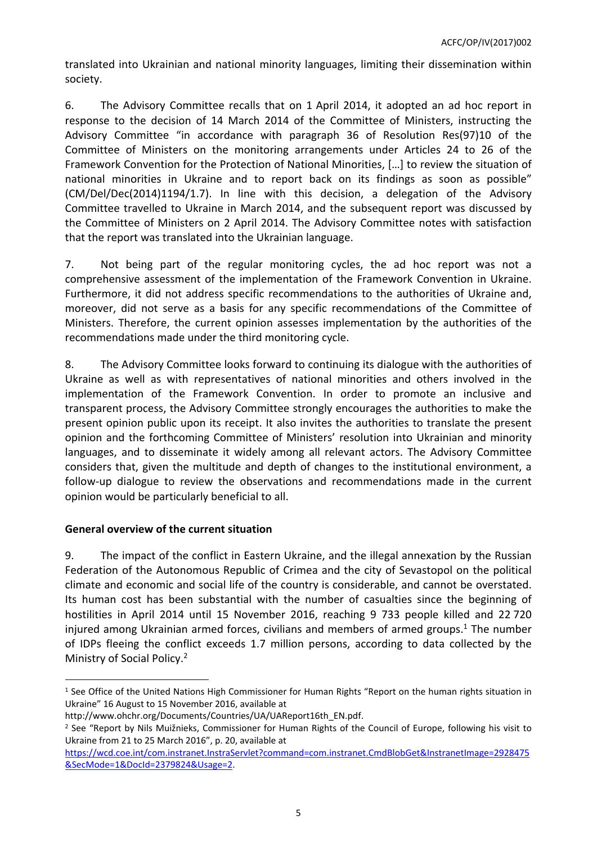translated into Ukrainian and national minority languages, limiting their dissemination within society.

6. The Advisory Committee recalls that on 1 April 2014, it adopted an ad hoc report in response to the decision of 14 March 2014 of the Committee of Ministers, instructing the Advisory Committee "in accordance with paragraph 36 of Resolution Res(97)10 of the Committee of Ministers on the monitoring arrangements under Articles 24 to 26 of the Framework Convention for the Protection of National Minorities, […] to review the situation of national minorities in Ukraine and to report back on its findings as soon as possible" (CM/Del/Dec(2014)1194/1.7). In line with this decision, a delegation of the Advisory Committee travelled to Ukraine in March 2014, and the subsequent report was discussed by the Committee of Ministers on 2 April 2014. The Advisory Committee notes with satisfaction that the report was translated into the Ukrainian language.

7. Not being part of the regular monitoring cycles, the ad hoc report was not a comprehensive assessment of the implementation of the Framework Convention in Ukraine. Furthermore, it did not address specific recommendations to the authorities of Ukraine and, moreover, did not serve as a basis for any specific recommendations of the Committee of Ministers. Therefore, the current opinion assesses implementation by the authorities of the recommendations made under the third monitoring cycle.

8. The Advisory Committee looks forward to continuing its dialogue with the authorities of Ukraine as well as with representatives of national minorities and others involved in the implementation of the Framework Convention. In order to promote an inclusive and transparent process, the Advisory Committee strongly encourages the authorities to make the present opinion public upon its receipt. It also invites the authorities to translate the present opinion and the forthcoming Committee of Ministers' resolution into Ukrainian and minority languages, and to disseminate it widely among all relevant actors. The Advisory Committee considers that, given the multitude and depth of changes to the institutional environment, a follow-up dialogue to review the observations and recommendations made in the current opinion would be particularly beneficial to all.

# <span id="page-4-0"></span>**General overview of the current situation**

9. The impact of the conflict in Eastern Ukraine, and the illegal annexation by the Russian Federation of the Autonomous Republic of Crimea and the city of Sevastopol on the political climate and economic and social life of the country is considerable, and cannot be overstated. Its human cost has been substantial with the number of casualties since the beginning of hostilities in April 2014 until 15 November 2016, reaching 9 733 people killed and 22 720 injured among Ukrainian armed forces, civilians and members of armed groups.<sup>1</sup> The number of IDPs fleeing the conflict exceeds 1.7 million persons, according to data collected by the Ministry of Social Policy.<sup>2</sup>

<sup>&</sup>lt;sup>1</sup> See Office of the United Nations High Commissioner for Human Rights "Report on the human rights situation in Ukraine" 16 August to 15 November 2016, available at

[http://www.ohchr.org/Documents/Countries/UA/UAReport16th\\_EN.pdf](http://www.ohchr.org/Documents/Countries/UA/UAReport16th_EN.pdf).

<sup>&</sup>lt;sup>2</sup> See "Report by Nils Muižnieks, Commissioner for Human Rights of the Council of Europe, following his visit to Ukraine from 21 to 25 March 2016", p. 20, available at

[https://wcd.coe.int/com.instranet.InstraServlet?command=com.instranet.CmdBlobGet&InstranetImage=2928475](https://wcd.coe.int/com.instranet.InstraServlet?command=com.instranet.CmdBlobGet&InstranetImage=2928475&SecMode=1&DocId=2379824&Usage=2) [&SecMode=1&DocId=2379824&Usage=2](https://wcd.coe.int/com.instranet.InstraServlet?command=com.instranet.CmdBlobGet&InstranetImage=2928475&SecMode=1&DocId=2379824&Usage=2).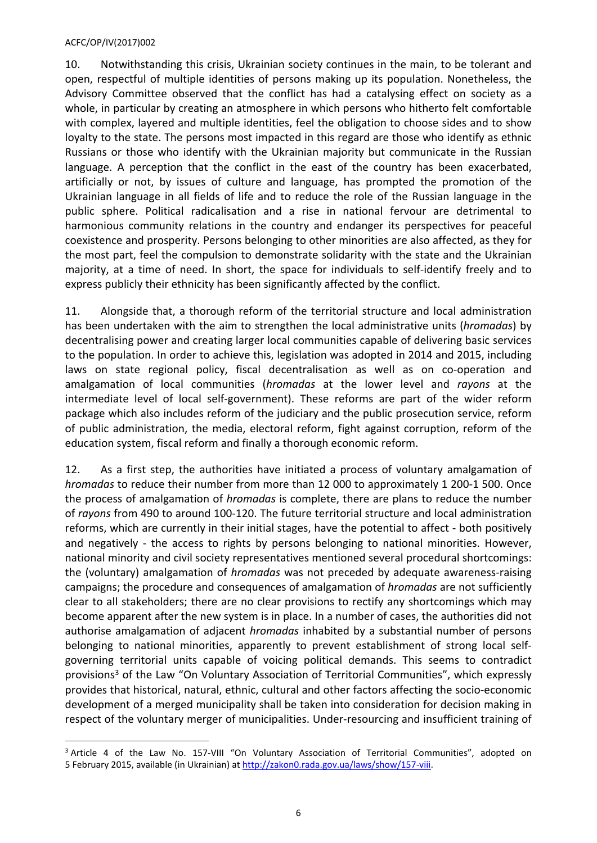10. Notwithstanding this crisis, Ukrainian society continues in the main, to be tolerant and open, respectful of multiple identities of persons making up its population. Nonetheless, the Advisory Committee observed that the conflict has had a catalysing effect on society as a whole, in particular by creating an atmosphere in which persons who hitherto felt comfortable with complex, layered and multiple identities, feel the obligation to choose sides and to show loyalty to the state. The persons most impacted in this regard are those who identify as ethnic Russians or those who identify with the Ukrainian majority but communicate in the Russian language. A perception that the conflict in the east of the country has been exacerbated, artificially or not, by issues of culture and language, has prompted the promotion of the Ukrainian language in all fields of life and to reduce the role of the Russian language in the public sphere. Political radicalisation and a rise in national fervour are detrimental to harmonious community relations in the country and endanger its perspectives for peaceful coexistence and prosperity. Persons belonging to other minorities are also affected, as they for the most part, feel the compulsion to demonstrate solidarity with the state and the Ukrainian majority, at a time of need. In short, the space for individuals to self-identify freely and to express publicly their ethnicity has been significantly affected by the conflict.

11. Alongside that, a thorough reform of the territorial structure and local administration has been undertaken with the aim to strengthen the local administrative units (*hromadas*) by decentralising power and creating larger local communities capable of delivering basic services to the population. In order to achieve this, legislation was adopted in 2014 and 2015, including laws on state regional policy, fiscal decentralisation as well as on co-operation and amalgamation of local communities (*hromadas* at the lower level and *rayons* at the intermediate level of local self-government). These reforms are part of the wider reform package which also includes reform of the judiciary and the public prosecution service, reform of public administration, the media, electoral reform, fight against corruption, reform of the education system, fiscal reform and finally a thorough economic reform.

12. As a first step, the authorities have initiated a process of voluntary amalgamation of *hromadas* to reduce their number from more than 12 000 to approximately 1 200-1 500. Once the process of amalgamation of *hromadas* is complete, there are plans to reduce the number of *rayons* from 490 to around 100-120. The future territorial structure and local administration reforms, which are currently in their initial stages, have the potential to affect - both positively and negatively - the access to rights by persons belonging to national minorities. However, national minority and civil society representatives mentioned several procedural shortcomings: the (voluntary) amalgamation of *hromadas* was not preceded by adequate awareness-raising campaigns; the procedure and consequences of amalgamation of *hromadas* are not sufficiently clear to all stakeholders; there are no clear provisions to rectify any shortcomings which may become apparent after the new system is in place. In a number of cases, the authorities did not authorise amalgamation of adjacent *hromadas* inhabited by a substantial number of persons belonging to national minorities, apparently to prevent establishment of strong local selfgoverning territorial units capable of voicing political demands. This seems to contradict provisions<sup>3</sup> of the Law "On Voluntary Association of Territorial Communities", which expressly provides that historical, natural, ethnic, cultural and other factors affecting the socio-economic development of a merged municipality shall be taken into consideration for decision making in respect of the voluntary merger of municipalities. Under-resourcing and insufficient training of

<sup>&</sup>lt;sup>3</sup> Article 4 of the Law No. 157-VIII "On Voluntary Association of Territorial Communities", adopted on 5 February 2015, available (in Ukrainian) at [http://zakon0.rada.gov.ua/laws/show/157-viii.](http://zakon0.rada.gov.ua/laws/show/157-viii)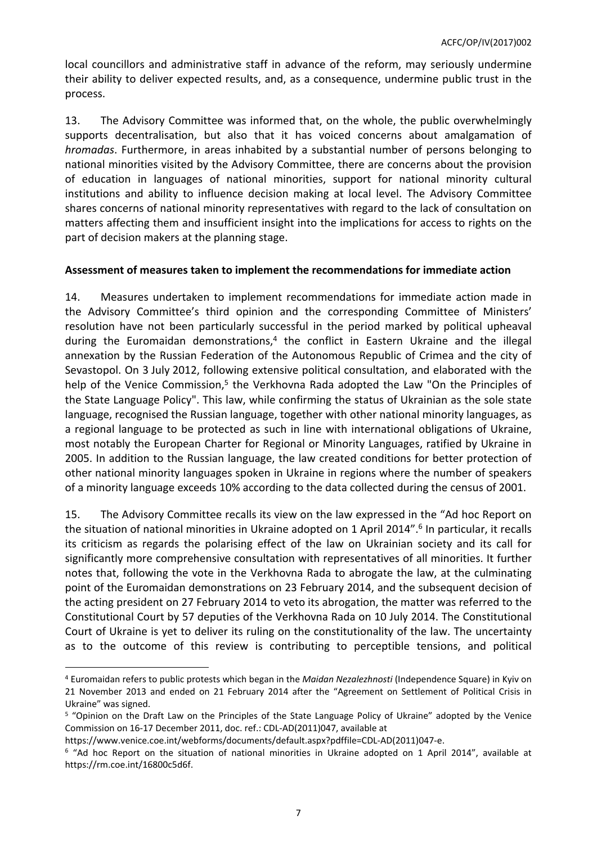local councillors and administrative staff in advance of the reform, may seriously undermine their ability to deliver expected results, and, as a consequence, undermine public trust in the process.

13. The Advisory Committee was informed that, on the whole, the public overwhelmingly supports decentralisation, but also that it has voiced concerns about amalgamation of *hromadas*. Furthermore, in areas inhabited by a substantial number of persons belonging to national minorities visited by the Advisory Committee, there are concerns about the provision of education in languages of national minorities, support for national minority cultural institutions and ability to influence decision making at local level. The Advisory Committee shares concerns of national minority representatives with regard to the lack of consultation on matters affecting them and insufficient insight into the implications for access to rights on the part of decision makers at the planning stage.

# <span id="page-6-0"></span>**Assessment of measures taken to implement the recommendations for immediate action**

14. Measures undertaken to implement recommendations for immediate action made in the Advisory Committee's third opinion and the corresponding Committee of Ministers' resolution have not been particularly successful in the period marked by political upheaval during the Euromaidan demonstrations,<sup>4</sup> the conflict in Eastern Ukraine and the illegal annexation by the Russian Federation of the Autonomous Republic of Crimea and the city of Sevastopol. On 3 July 2012, following extensive political consultation, and elaborated with the help of the Venice Commission,<sup>5</sup> the Verkhovna Rada adopted the Law "On the Principles of the State Language Policy". This law, while confirming the status of Ukrainian as the sole state language, recognised the Russian language, together with other national minority languages, as a regional language to be protected as such in line with international obligations of Ukraine, most notably the European Charter for Regional or Minority Languages, ratified by Ukraine in 2005. In addition to the Russian language, the law created conditions for better protection of other national minority languages spoken in Ukraine in regions where the number of speakers of a minority language exceeds 10% according to the data collected during the census of 2001.

15. The Advisory Committee recalls its view on the law expressed in the "Ad hoc Report on the situation of national minorities in Ukraine adopted on 1 April 2014".<sup>6</sup> In particular, it recalls its criticism as regards the polarising effect of the law on Ukrainian society and its call for significantly more comprehensive consultation with representatives of all minorities. It further notes that, following the vote in the Verkhovna Rada to abrogate the law, at the culminating point of the Euromaidan demonstrations on 23 February 2014, and the subsequent decision of the acting president on 27 February 2014 to veto its abrogation, the matter was referred to the Constitutional Court by 57 deputies of the Verkhovna Rada on 10 July 2014. The Constitutional Court of Ukraine is yet to deliver its ruling on the constitutionality of the law. The uncertainty as to the outcome of this review is contributing to perceptible tensions, and political

<sup>4</sup> Euromaidan refers to public protests which began in the *Maidan Nezalezhnosti* (Independence Square) in Kyiv on 21 November 2013 and ended on 21 February 2014 after the "Agreement on Settlement of Political Crisis in Ukraine" was signed.

<sup>&</sup>lt;sup>5</sup> "Opinion on the Draft Law on the Principles of the State Language Policy of Ukraine" adopted by the Venice Commission on 16-17 December 2011, doc. ref.: CDL-AD(2011)047, available at

[https://www.venice.coe.int/webforms/documents/default.aspx?pdffile=CDL-AD\(2011\)047-e](https://www.venice.coe.int/webforms/documents/default.aspx?pdffile=CDL-AD(2011)047-e).

<sup>6</sup> "Ad hoc Report on the situation of national minorities in Ukraine adopted on 1 April 2014", available at https://rm.coe.int/16800c5d6f.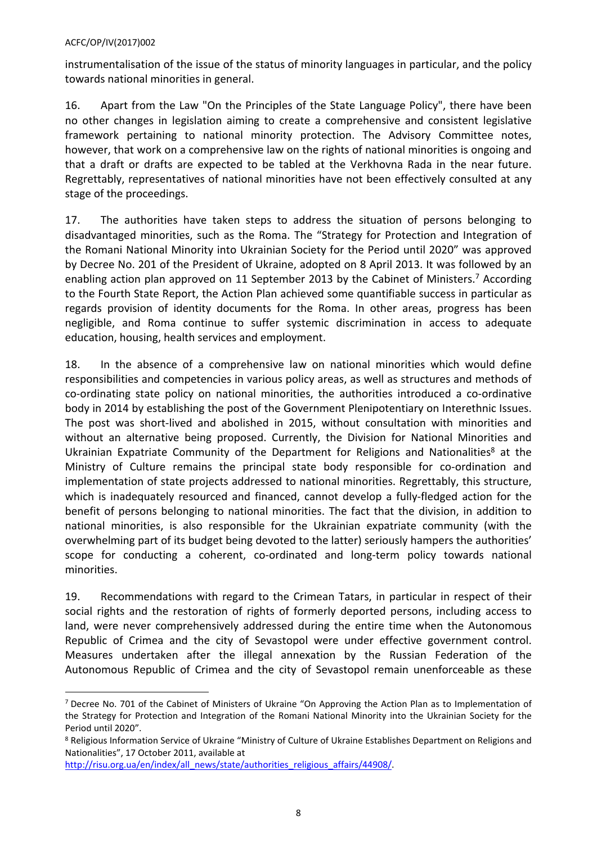instrumentalisation of the issue of the status of minority languages in particular, and the policy towards national minorities in general.

16. Apart from the Law "On the Principles of the State Language Policy", there have been no other changes in legislation aiming to create a comprehensive and consistent legislative framework pertaining to national minority protection. The Advisory Committee notes, however, that work on a comprehensive law on the rights of national minorities is ongoing and that a draft or drafts are expected to be tabled at the Verkhovna Rada in the near future. Regrettably, representatives of national minorities have not been effectively consulted at any stage of the proceedings.

17. The authorities have taken steps to address the situation of persons belonging to disadvantaged minorities, such as the Roma. The "Strategy for Protection and Integration of the Romani National Minority into Ukrainian Society for the Period until 2020" was approved by Decree No. 201 of the President of Ukraine, adopted on 8 April 2013. It was followed by an enabling action plan approved on 11 September 2013 by the Cabinet of Ministers.<sup>7</sup> According to the Fourth State Report, the Action Plan achieved some quantifiable success in particular as regards provision of identity documents for the Roma. In other areas, progress has been negligible, and Roma continue to suffer systemic discrimination in access to adequate education, housing, health services and employment.

18. In the absence of a comprehensive law on national minorities which would define responsibilities and competencies in various policy areas, as well as structures and methods of co-ordinating state policy on national minorities, the authorities introduced a co-ordinative body in 2014 by establishing the post of the Government Plenipotentiary on Interethnic Issues. The post was short-lived and abolished in 2015, without consultation with minorities and without an alternative being proposed. Currently, the Division for National Minorities and Ukrainian Expatriate Community of the Department for Religions and Nationalities<sup>8</sup> at the Ministry of Culture remains the principal state body responsible for co-ordination and implementation of state projects addressed to national minorities. Regrettably, this structure, which is inadequately resourced and financed, cannot develop a fully-fledged action for the benefit of persons belonging to national minorities. The fact that the division, in addition to national minorities, is also responsible for the Ukrainian expatriate community (with the overwhelming part of its budget being devoted to the latter) seriously hampers the authorities' scope for conducting a coherent, co-ordinated and long-term policy towards national minorities.

19. Recommendations with regard to the Crimean Tatars, in particular in respect of their social rights and the restoration of rights of formerly deported persons, including access to land, were never comprehensively addressed during the entire time when the Autonomous Republic of Crimea and the city of Sevastopol were under effective government control. Measures undertaken after the illegal annexation by the Russian Federation of the Autonomous Republic of Crimea and the city of Sevastopol remain unenforceable as these

<sup>&</sup>lt;sup>7</sup> Decree No. 701 of the Cabinet of Ministers of Ukraine "On Approving the Action Plan as to Implementation of the Strategy for Protection and Integration of the Romani National Minority into the Ukrainian Society for the Period until 2020".

<sup>&</sup>lt;sup>8</sup> Religious Information Service of Ukraine "Ministry of Culture of Ukraine Establishes Department on Religions and Nationalities", 17 October 2011, available at

[http://risu.org.ua/en/index/all\\_news/state/authorities\\_religious\\_affairs/44908/.](http://risu.org.ua/en/index/all_news/state/authorities_religious_affairs/44908/)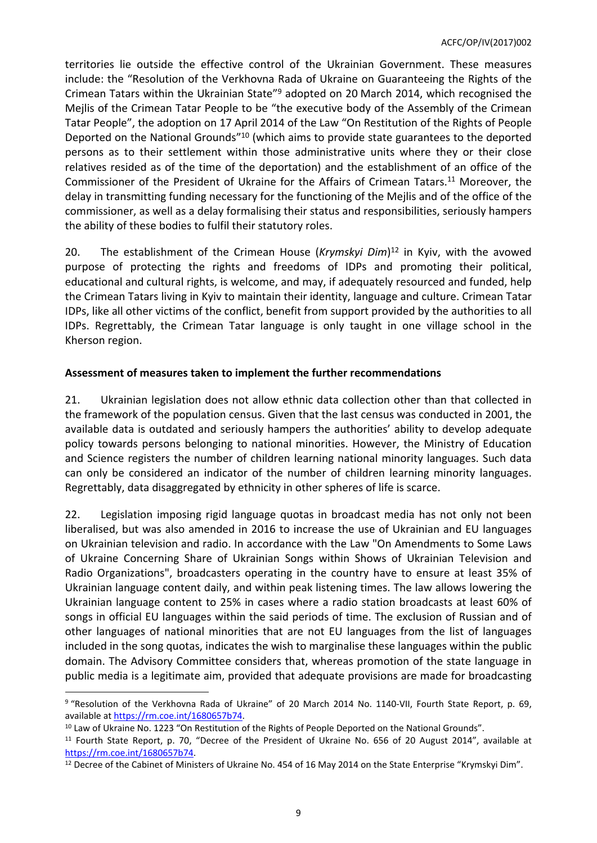territories lie outside the effective control of the Ukrainian Government. These measures include: the "Resolution of the Verkhovna Rada of Ukraine on Guaranteeing the Rights of the Crimean Tatars within the Ukrainian State"<sup>9</sup> adopted on 20 March 2014, which recognised the Mejlis of the Crimean Tatar People to be "the executive body of the Assembly of the Crimean Tatar People", the adoption on 17 April 2014 of the Law "On Restitution of the Rights of People Deported on the National Grounds<sup>"10</sup> (which aims to provide state guarantees to the deported persons as to their settlement within those administrative units where they or their close relatives resided as of the time of the deportation) and the establishment of an office of the Commissioner of the President of Ukraine for the Affairs of Crimean Tatars.<sup>11</sup> Moreover, the delay in transmitting funding necessary for the functioning of the Mejlis and of the office of the commissioner, as well as a delay formalising their status and responsibilities, seriously hampers the ability of these bodies to fulfil their statutory roles.

20. The establishment of the Crimean House (*Krymskyi Dim*) <sup>12</sup> in Kyiv, with the avowed purpose of protecting the rights and freedoms of IDPs and promoting their political, educational and cultural rights, is welcome, and may, if adequately resourced and funded, help the Crimean Tatars living in Kyiv to maintain their identity, language and culture. Crimean Tatar IDPs, like all other victims of the conflict, benefit from support provided by the authorities to all IDPs. Regrettably, the Crimean Tatar language is only taught in one village school in the Kherson region.

# <span id="page-8-0"></span>**Assessment of measures taken to implement the further recommendations**

21. Ukrainian legislation does not allow ethnic data collection other than that collected in the framework of the population census. Given that the last census was conducted in 2001, the available data is outdated and seriously hampers the authorities' ability to develop adequate policy towards persons belonging to national minorities. However, the Ministry of Education and Science registers the number of children learning national minority languages. Such data can only be considered an indicator of the number of children learning minority languages. Regrettably, data disaggregated by ethnicity in other spheres of life is scarce.

22. Legislation imposing rigid language quotas in broadcast media has not only not been liberalised, but was also amended in 2016 to increase the use of Ukrainian and EU languages on Ukrainian television and radio. In accordance with the Law "On Amendments to Some Laws of Ukraine Concerning Share of Ukrainian Songs within Shows of Ukrainian Television and Radio Organizations", broadcasters operating in the country have to ensure at least 35% of Ukrainian language content daily, and within peak listening times. The law allows lowering the Ukrainian language content to 25% in cases where a radio station broadcasts at least 60% of songs in official EU languages within the said periods of time. The exclusion of Russian and of other languages of national minorities that are not EU languages from the list of languages included in the song quotas, indicates the wish to marginalise these languages within the public domain. The Advisory Committee considers that, whereas promotion of the state language in public media is a legitimate aim, provided that adequate provisions are made for broadcasting

<sup>&</sup>lt;sup>9</sup> "Resolution of the Verkhovna Rada of Ukraine" of 20 March 2014 No. 1140-VII, Fourth State Report, p. 69, available at [https://rm.coe.int/1680657b74.](https://rm.coe.int/1680657b74)

<sup>&</sup>lt;sup>10</sup> Law of Ukraine No. 1223 "On Restitution of the Rights of People Deported on the National Grounds".

<sup>11</sup> Fourth State Report, p. 70, "Decree of the President of Ukraine No. 656 of 20 August 2014", available at <https://rm.coe.int/1680657b74>.

<sup>&</sup>lt;sup>12</sup> Decree of the Cabinet of Ministers of Ukraine No. 454 of 16 May 2014 on the State Enterprise "Krymskyi Dim".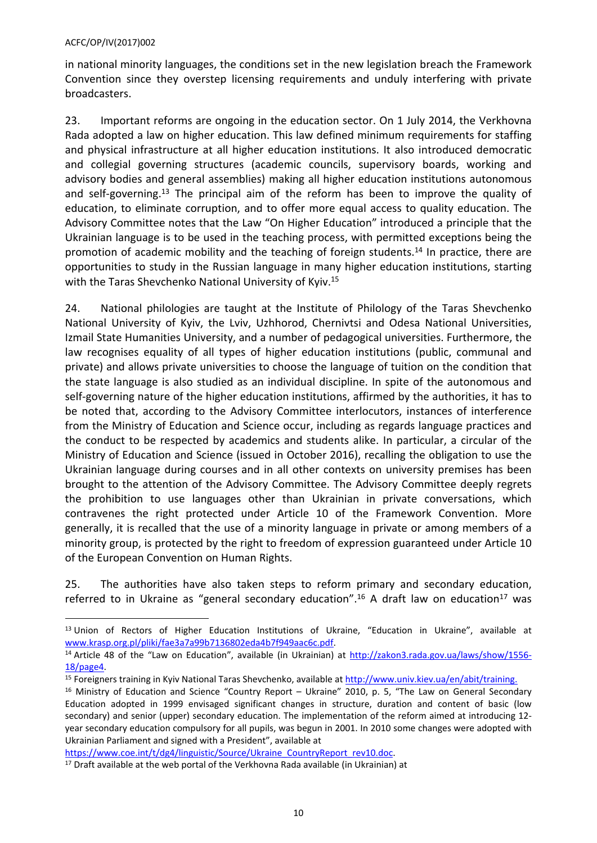in national minority languages, the conditions set in the new legislation breach the Framework Convention since they overstep licensing requirements and unduly interfering with private broadcasters.

23. Important reforms are ongoing in the education sector. On 1 July 2014, the Verkhovna Rada adopted a law on higher education. This law defined minimum requirements for staffing and physical infrastructure at all higher education institutions. It also introduced democratic and collegial governing structures (academic councils, supervisory boards, working and advisory bodies and general assemblies) making all higher education institutions autonomous and self-governing.<sup>13</sup> The principal aim of the reform has been to improve the quality of education, to eliminate corruption, and to offer more equal access to quality education. The Advisory Committee notes that the Law "On Higher Education" introduced a principle that the Ukrainian language is to be used in the teaching process, with permitted exceptions being the promotion of academic mobility and the teaching of foreign students.<sup>14</sup> In practice, there are opportunities to study in the Russian language in many higher education institutions, starting with the Taras Shevchenko National University of Kyiv.<sup>15</sup>

24. National philologies are taught at the Institute of Philology of the Taras Shevchenko National University of Kyiv, the Lviv, Uzhhorod, Chernivtsi and Odesa National Universities, Izmail State Humanities University, and a number of pedagogical universities. Furthermore, the law recognises equality of all types of higher education institutions (public, communal and private) and allows private universities to choose the language of tuition on the condition that the state language is also studied as an individual discipline. In spite of the autonomous and self-governing nature of the higher education institutions, affirmed by the authorities, it has to be noted that, according to the Advisory Committee interlocutors, instances of interference from the Ministry of Education and Science occur, including as regards language practices and the conduct to be respected by academics and students alike. In particular, a circular of the Ministry of Education and Science (issued in October 2016), recalling the obligation to use the Ukrainian language during courses and in all other contexts on university premises has been brought to the attention of the Advisory Committee. The Advisory Committee deeply regrets the prohibition to use languages other than Ukrainian in private conversations, which contravenes the right protected under Article 10 of the Framework Convention. More generally, it is recalled that the use of a minority language in private or among members of a minority group, is protected by the right to freedom of expression guaranteed under Article 10 of the European Convention on Human Rights.

25. The authorities have also taken steps to reform primary and secondary education, referred to in Ukraine as "general secondary education".<sup>16</sup> A draft law on education<sup>17</sup> was

[https://www.coe.int/t/dg4/linguistic/Source/Ukraine\\_CountryReport\\_rev10.doc](https://www.coe.int/t/dg4/linguistic/Source/Ukraine_CountryReport_rev10.doc).

<sup>&</sup>lt;sup>13</sup> Union of Rectors of Higher Education Institutions of Ukraine. "Education in Ukraine", available at [www.krasp.org.pl/pliki/fae3a7a99b7136802eda4b7f949aac6c.pdf.](http://www.krasp.org.pl/pliki/fae3a7a99b7136802eda4b7f949aac6c.pdf)

<sup>&</sup>lt;sup>14</sup> Article 48 of the "Law on Education", available (in Ukrainian) at [http://zakon3.rada.gov.ua/laws/show/1556-](http://zakon3.rada.gov.ua/laws/show/1556-18/page4) [18/page4.](http://zakon3.rada.gov.ua/laws/show/1556-18/page4)

<sup>&</sup>lt;sup>15</sup> Foreigners training in Kyiv National Taras Shevchenko, available at [http://www.univ.kiev.ua/en/abit/training.](http://www.univ.kiev.ua/en/abit/training)

<sup>&</sup>lt;sup>16</sup> Ministry of Education and Science "Country Report – Ukraine" 2010, p. 5, "The Law on General Secondary Education adopted in 1999 envisaged significant changes in structure, duration and content of basic (low secondary) and senior (upper) secondary education. The implementation of the reform aimed at introducing 12 year secondary education compulsory for all pupils, was begun in 2001. In 2010 some changes were adopted with Ukrainian Parliament and signed with a President", available at

 $17$  Draft available at the web portal of the Verkhovna Rada available (in Ukrainian) at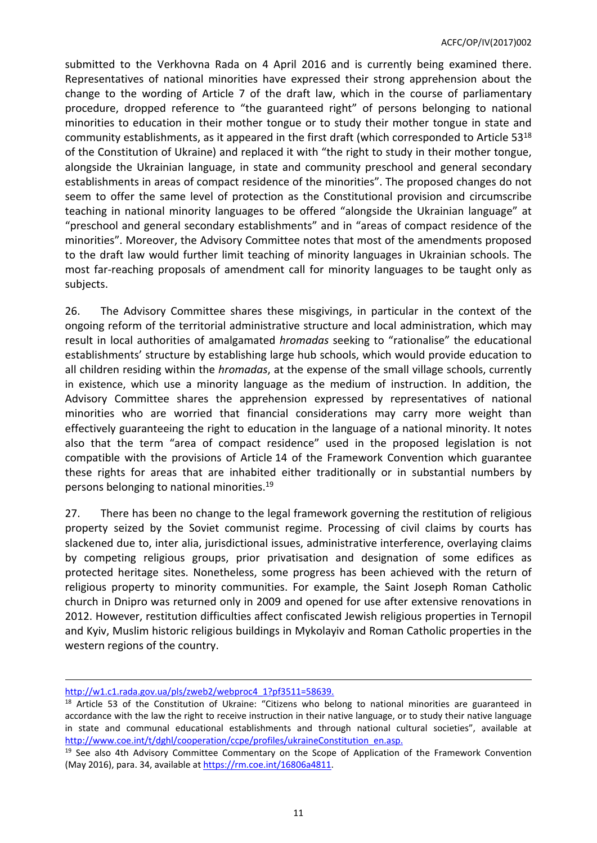submitted to the Verkhovna Rada on 4 April 2016 and is currently being examined there. Representatives of national minorities have expressed their strong apprehension about the change to the wording of Article 7 of the draft law, which in the course of parliamentary procedure, dropped reference to "the guaranteed right" of persons belonging to national minorities to education in their mother tongue or to study their mother tongue in state and community establishments, as it appeared in the first draft (which corresponded to Article  $53^{18}$ ) of the Constitution of Ukraine) and replaced it with "the right to study in their mother tongue, alongside the Ukrainian language, in state and community preschool and general secondary establishments in areas of compact residence of the minorities". The proposed changes do not seem to offer the same level of protection as the Constitutional provision and circumscribe teaching in national minority languages to be offered "alongside the Ukrainian language" at "preschool and general secondary establishments" and in "areas of compact residence of the minorities". Moreover, the Advisory Committee notes that most of the amendments proposed to the draft law would further limit teaching of minority languages in Ukrainian schools. The most far-reaching proposals of amendment call for minority languages to be taught only as subjects.

26. The Advisory Committee shares these misgivings, in particular in the context of the ongoing reform of the territorial administrative structure and local administration, which may result in local authorities of amalgamated *hromadas* seeking to "rationalise" the educational establishments' structure by establishing large hub schools, which would provide education to all children residing within the *hromadas*, at the expense of the small village schools, currently in existence, which use a minority language as the medium of instruction. In addition, the Advisory Committee shares the apprehension expressed by representatives of national minorities who are worried that financial considerations may carry more weight than effectively guaranteeing the right to education in the language of a national minority. It notes also that the term "area of compact residence" used in the proposed legislation is not compatible with the provisions of Article 14 of the Framework Convention which guarantee these rights for areas that are inhabited either traditionally or in substantial numbers by persons belonging to national minorities.<sup>19</sup>

27. There has been no change to the legal framework governing the restitution of religious property seized by the Soviet communist regime. Processing of civil claims by courts has slackened due to, inter alia, jurisdictional issues, administrative interference, overlaying claims by competing religious groups, prior privatisation and designation of some edifices as protected heritage sites. Nonetheless, some progress has been achieved with the return of religious property to minority communities. For example, the Saint Joseph Roman Catholic church in Dnipro was returned only in 2009 and opened for use after extensive renovations in 2012. However, restitution difficulties affect confiscated Jewish religious properties in Ternopil and Kyiv, Muslim historic religious buildings in Mykolayiv and Roman Catholic properties in the western regions of the country.

[http://w1.c1.rada.gov.ua/pls/zweb2/webproc4\\_1?pf3511=58639.](http://w1.c1.rada.gov.ua/pls/zweb2/webproc4_1?pf3511=58639)

<sup>&</sup>lt;sup>18</sup> Article 53 of the Constitution of Ukraine: "Citizens who belong to national minorities are guaranteed in accordance with the law the right to receive instruction in their native language, or to study their native language in state and communal educational establishments and through national cultural societies", available at [http://www.coe.int/t/dghl/cooperation/ccpe/profiles/ukraineConstitution\\_en.asp.](http://www.coe.int/t/dghl/cooperation/ccpe/profiles/ukraineConstitution_en.asp)

<sup>&</sup>lt;sup>19</sup> See also 4th Advisory Committee Commentary on the Scope of Application of the Framework Convention (May 2016), para. 34, available at <https://rm.coe.int/16806a4811>.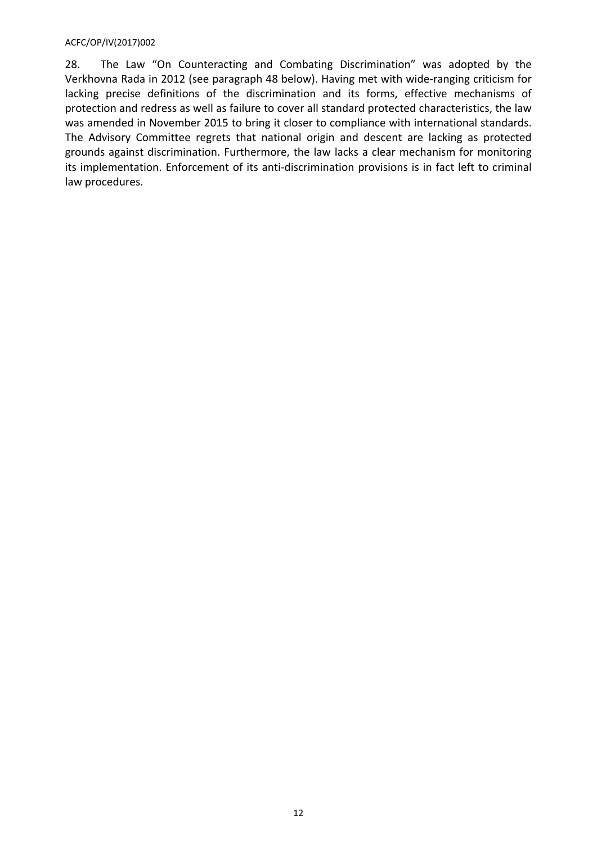28. The Law "On Counteracting and Combating Discrimination" was adopted by the Verkhovna Rada in 2012 (see paragraph 48 below). Having met with wide-ranging criticism for lacking precise definitions of the discrimination and its forms, effective mechanisms of protection and redress as well as failure to cover all standard protected characteristics, the law was amended in November 2015 to bring it closer to compliance with international standards. The Advisory Committee regrets that national origin and descent are lacking as protected grounds against discrimination. Furthermore, the law lacks a clear mechanism for monitoring its implementation. Enforcement of its anti-discrimination provisions is in fact left to criminal law procedures.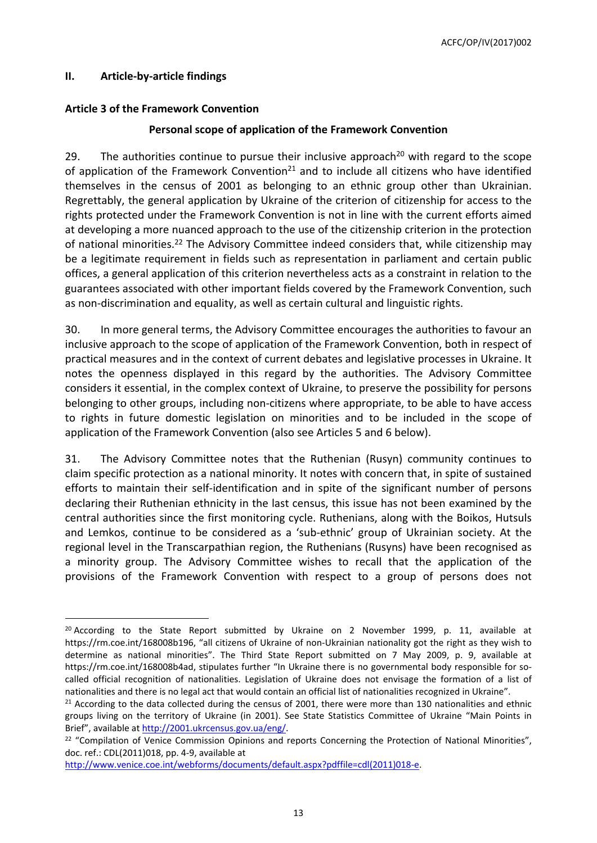# <span id="page-12-0"></span>**II. Article-by-article findings**

# <span id="page-12-1"></span>**Article 3 of the Framework Convention**

# **Personal scope of application of the Framework Convention**

29. The authorities continue to pursue their inclusive approach<sup>20</sup> with regard to the scope of application of the Framework Convention<sup>21</sup> and to include all citizens who have identified themselves in the census of 2001 as belonging to an ethnic group other than Ukrainian. Regrettably, the general application by Ukraine of the criterion of citizenship for access to the rights protected under the Framework Convention is not in line with the current efforts aimed at developing a more nuanced approach to the use of the citizenship criterion in the protection of national minorities.<sup>22</sup> The Advisory Committee indeed considers that, while citizenship may be a legitimate requirement in fields such as representation in parliament and certain public offices, a general application of this criterion nevertheless acts as a constraint in relation to the guarantees associated with other important fields covered by the Framework Convention, such as non-discrimination and equality, as well as certain cultural and linguistic rights.

30. In more general terms, the Advisory Committee encourages the authorities to favour an inclusive approach to the scope of application of the Framework Convention, both in respect of practical measures and in the context of current debates and legislative processes in Ukraine. It notes the openness displayed in this regard by the authorities. The Advisory Committee considers it essential, in the complex context of Ukraine, to preserve the possibility for persons belonging to other groups, including non-citizens where appropriate, to be able to have access to rights in future domestic legislation on minorities and to be included in the scope of application of the Framework Convention (also see Articles 5 and 6 below).

31. The Advisory Committee notes that the Ruthenian (Rusyn) community continues to claim specific protection as a national minority. It notes with concern that, in spite of sustained efforts to maintain their self-identification and in spite of the significant number of persons declaring their Ruthenian ethnicity in the last census, this issue has not been examined by the central authorities since the first monitoring cycle. Ruthenians, along with the Boikos, Hutsuls and Lemkos, continue to be considered as a 'sub-ethnic' group of Ukrainian society. At the regional level in the Transcarpathian region, the Ruthenians (Rusyns) have been recognised as a minority group. The Advisory Committee wishes to recall that the application of the provisions of the Framework Convention with respect to a group of persons does not

[http://www.venice.coe.int/webforms/documents/default.aspx?pdffile=cdl\(2011\)018-e](http://www.venice.coe.int/webforms/documents/default.aspx?pdffile=cdl(2011)018-e).

 $20$  According to the State Report submitted by Ukraine on 2 November 1999, p. 11, available at https://rm.coe.int/168008b196, "all citizens of Ukraine of non-Ukrainian nationality got the right as they wish to determine as national minorities". The Third State Report submitted on 7 May 2009, p. 9, available at https://rm.coe.int/168008b4ad, stipulates further "In Ukraine there is no governmental body responsible for socalled official recognition of nationalities. Legislation of Ukraine does not envisage the formation of a list of nationalities and there is no legal act that would contain an official list of nationalities recognized in Ukraine".

<sup>&</sup>lt;sup>21</sup> According to the data collected during the census of 2001, there were more than 130 nationalities and ethnic groups living on the territory of Ukraine (in 2001). See State Statistics Committee of Ukraine "Main Points in Brief", available at <http://2001.ukrcensus.gov.ua/eng/>.

<sup>&</sup>lt;sup>22</sup> "Compilation of Venice Commission Opinions and reports Concerning the Protection of National Minorities", doc. ref.: CDL(2011)018, pp. 4-9, available at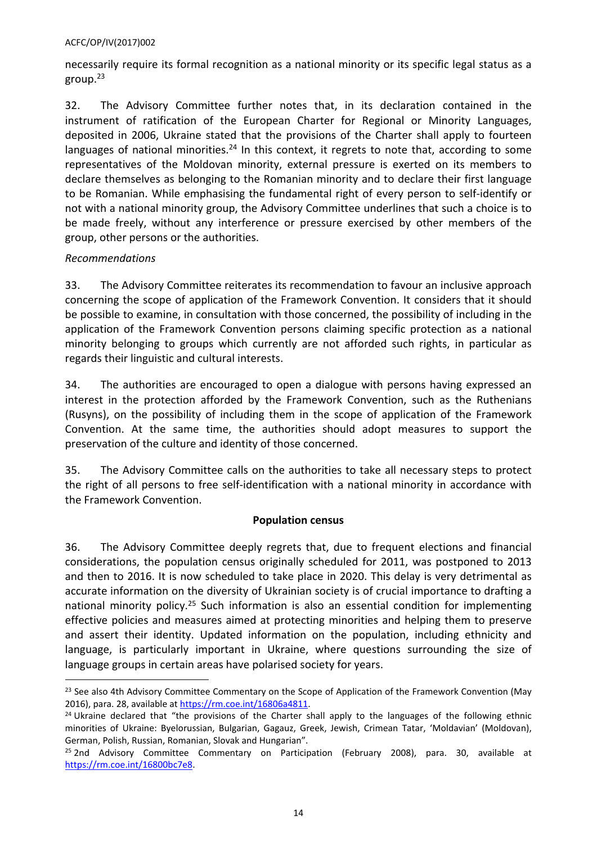necessarily require its formal recognition as a national minority or its specific legal status as a group. $23$ 

32. The Advisory Committee further notes that, in its declaration contained in the instrument of ratification of the European Charter for Regional or Minority Languages, deposited in 2006, Ukraine stated that the provisions of the Charter shall apply to fourteen languages of national minorities.<sup>24</sup> In this context, it regrets to note that, according to some representatives of the Moldovan minority, external pressure is exerted on its members to declare themselves as belonging to the Romanian minority and to declare their first language to be Romanian. While emphasising the fundamental right of every person to self-identify or not with a national minority group, the Advisory Committee underlines that such a choice is to be made freely, without any interference or pressure exercised by other members of the group, other persons or the authorities.

# *Recommendations*

33. The Advisory Committee reiterates its recommendation to favour an inclusive approach concerning the scope of application of the Framework Convention. It considers that it should be possible to examine, in consultation with those concerned, the possibility of including in the application of the Framework Convention persons claiming specific protection as a national minority belonging to groups which currently are not afforded such rights, in particular as regards their linguistic and cultural interests.

34. The authorities are encouraged to open a dialogue with persons having expressed an interest in the protection afforded by the Framework Convention, such as the Ruthenians (Rusyns), on the possibility of including them in the scope of application of the Framework Convention. At the same time, the authorities should adopt measures to support the preservation of the culture and identity of those concerned.

35. The Advisory Committee calls on the authorities to take all necessary steps to protect the right of all persons to free self-identification with a national minority in accordance with the Framework Convention.

# **Population census**

36. The Advisory Committee deeply regrets that, due to frequent elections and financial considerations, the population census originally scheduled for 2011, was postponed to 2013 and then to 2016. It is now scheduled to take place in 2020. This delay is very detrimental as accurate information on the diversity of Ukrainian society is of crucial importance to drafting a national minority policy.<sup>25</sup> Such information is also an essential condition for implementing effective policies and measures aimed at protecting minorities and helping them to preserve and assert their identity. Updated information on the population, including ethnicity and language, is particularly important in Ukraine, where questions surrounding the size of language groups in certain areas have polarised society for years.

<sup>&</sup>lt;sup>23</sup> See also 4th Advisory Committee Commentary on the Scope of Application of the Framework Convention (May 2016), para. 28, available at <https://rm.coe.int/16806a4811>.

 $24$  Ukraine declared that "the provisions of the Charter shall apply to the languages of the following ethnic minorities of Ukraine: Byelorussian, Bulgarian, Gagauz, Greek, Jewish, Crimean Tatar, 'Moldavian' (Moldovan), German, Polish, Russian, Romanian, Slovak and Hungarian".

<sup>&</sup>lt;sup>25</sup> 2nd Advisory Committee Commentary on Participation (February 2008), para. 30, available at <https://rm.coe.int/16800bc7e8>.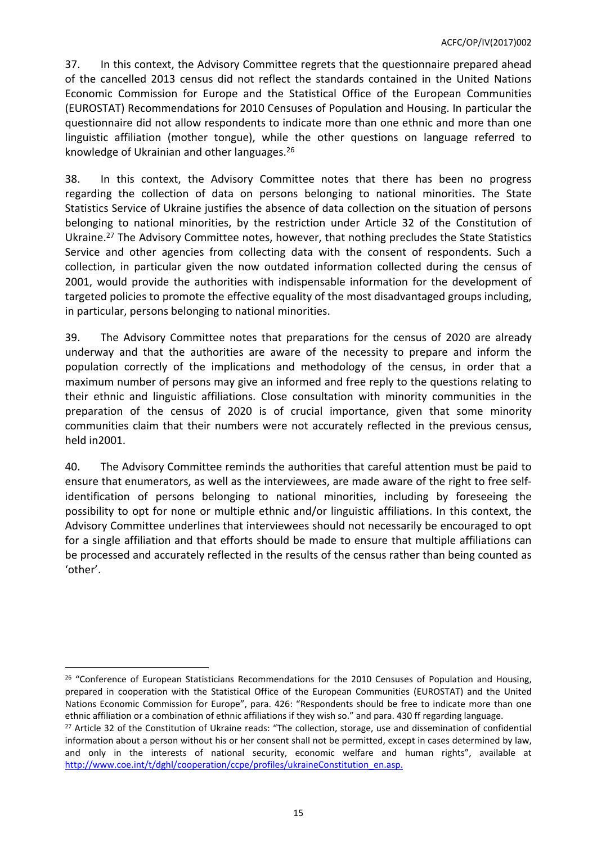37. In this context, the Advisory Committee regrets that the questionnaire prepared ahead of the cancelled 2013 census did not reflect the standards contained in the United Nations Economic Commission for Europe and the Statistical Office of the European Communities (EUROSTAT) Recommendations for 2010 Censuses of Population and Housing. In particular the questionnaire did not allow respondents to indicate more than one ethnic and more than one linguistic affiliation (mother tongue), while the other questions on language referred to knowledge of Ukrainian and other languages.<sup>26</sup>

38. In this context, the Advisory Committee notes that there has been no progress regarding the collection of data on persons belonging to national minorities. The State Statistics Service of Ukraine justifies the absence of data collection on the situation of persons belonging to national minorities, by the restriction under Article 32 of the Constitution of Ukraine.<sup>27</sup> The Advisory Committee notes, however, that nothing precludes the State Statistics Service and other agencies from collecting data with the consent of respondents. Such a collection, in particular given the now outdated information collected during the census of 2001, would provide the authorities with indispensable information for the development of targeted policies to promote the effective equality of the most disadvantaged groups including, in particular, persons belonging to national minorities.

39. The Advisory Committee notes that preparations for the census of 2020 are already underway and that the authorities are aware of the necessity to prepare and inform the population correctly of the implications and methodology of the census, in order that a maximum number of persons may give an informed and free reply to the questions relating to their ethnic and linguistic affiliations. Close consultation with minority communities in the preparation of the census of 2020 is of crucial importance, given that some minority communities claim that their numbers were not accurately reflected in the previous census, held in2001.

40. The Advisory Committee reminds the authorities that careful attention must be paid to ensure that enumerators, as well as the interviewees, are made aware of the right to free selfidentification of persons belonging to national minorities, including by foreseeing the possibility to opt for none or multiple ethnic and/or linguistic affiliations. In this context, the Advisory Committee underlines that interviewees should not necessarily be encouraged to opt for a single affiliation and that efforts should be made to ensure that multiple affiliations can be processed and accurately reflected in the results of the census rather than being counted as 'other'.

<sup>&</sup>lt;sup>26</sup> "Conference of European Statisticians Recommendations for the 2010 Censuses of Population and Housing, prepared in cooperation with the Statistical Office of the European Communities (EUROSTAT) and the United Nations Economic Commission for Europe", para. 426: "Respondents should be free to indicate more than one ethnic affiliation or a combination of ethnic affiliations if they wish so." and para. 430 ff regarding language.

<sup>&</sup>lt;sup>27</sup> Article 32 of the Constitution of Ukraine reads: "The collection, storage, use and dissemination of confidential information about a person without his or her consent shall not be permitted, except in cases determined by law, and only in the interests of national security, economic welfare and human rights", available at [http://www.coe.int/t/dghl/cooperation/ccpe/profiles/ukraineConstitution\\_en.asp.](http://www.coe.int/t/dghl/cooperation/ccpe/profiles/ukraineConstitution_en.asp)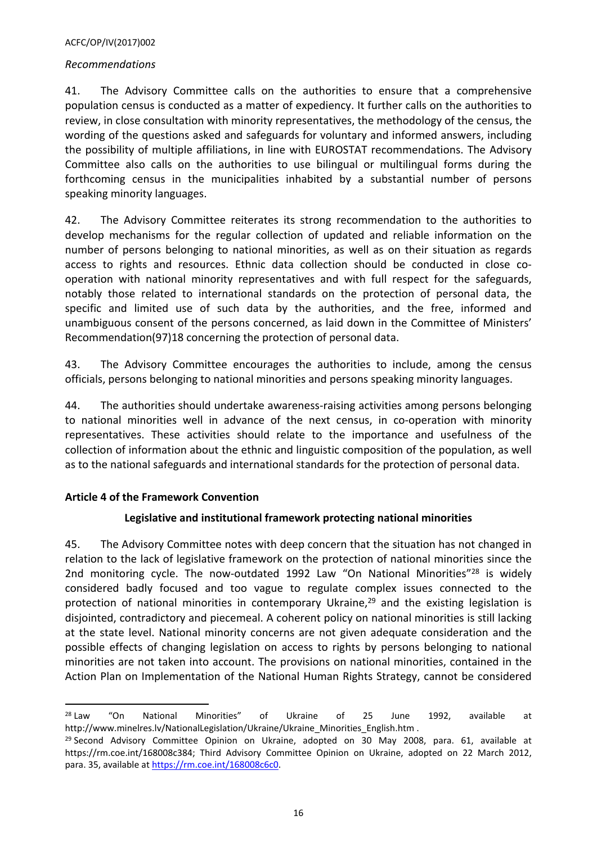### *Recommendations*

41. The Advisory Committee calls on the authorities to ensure that a comprehensive population census is conducted as a matter of expediency. It further calls on the authorities to review, in close consultation with minority representatives, the methodology of the census, the wording of the questions asked and safeguards for voluntary and informed answers, including the possibility of multiple affiliations, in line with EUROSTAT recommendations. The Advisory Committee also calls on the authorities to use bilingual or multilingual forms during the forthcoming census in the municipalities inhabited by a substantial number of persons speaking minority languages.

42. The Advisory Committee reiterates its strong recommendation to the authorities to develop mechanisms for the regular collection of updated and reliable information on the number of persons belonging to national minorities, as well as on their situation as regards access to rights and resources. Ethnic data collection should be conducted in close cooperation with national minority representatives and with full respect for the safeguards, notably those related to international standards on the protection of personal data, the specific and limited use of such data by the authorities, and the free, informed and unambiguous consent of the persons concerned, as laid down in the Committee of Ministers' Recommendation(97)18 concerning the protection of personal data.

43. The Advisory Committee encourages the authorities to include, among the census officials, persons belonging to national minorities and persons speaking minority languages.

44. The authorities should undertake awareness-raising activities among persons belonging to national minorities well in advance of the next census, in co-operation with minority representatives. These activities should relate to the importance and usefulness of the collection of information about the ethnic and linguistic composition of the population, as well as to the national safeguards and international standards for the protection of personal data.

### <span id="page-15-0"></span>**Article 4 of the Framework Convention**

# **Legislative and institutional framework protecting national minorities**

45. The Advisory Committee notes with deep concern that the situation has not changed in relation to the lack of legislative framework on the protection of national minorities since the 2nd monitoring cycle. The now-outdated 1992 Law "On National Minorities"<sup>28</sup> is widely considered badly focused and too vague to regulate complex issues connected to the protection of national minorities in contemporary Ukraine, $29$  and the existing legislation is disjointed, contradictory and piecemeal. A coherent policy on national minorities is still lacking at the state level. National minority concerns are not given adequate consideration and the possible effects of changing legislation on access to rights by persons belonging to national minorities are not taken into account. The provisions on national minorities, contained in the Action Plan on Implementation of the National Human Rights Strategy, cannot be considered

<sup>&</sup>lt;sup>28</sup> Law "On National Minorities" of Ukraine of 25 June 1992, available at http://www.minelres.lv/NationalLegislation/Ukraine/Ukraine\_Minorities\_English.htm .

<sup>&</sup>lt;sup>29</sup> Second Advisory Committee Opinion on Ukraine, adopted on 30 May 2008, para. 61, available at https://rm.coe.int/168008c384; Third Advisory Committee Opinion on Ukraine, adopted on 22 March 2012, para. 35, available at [https://rm.coe.int/168008c6c0.](https://rm.coe.int/168008c6c0)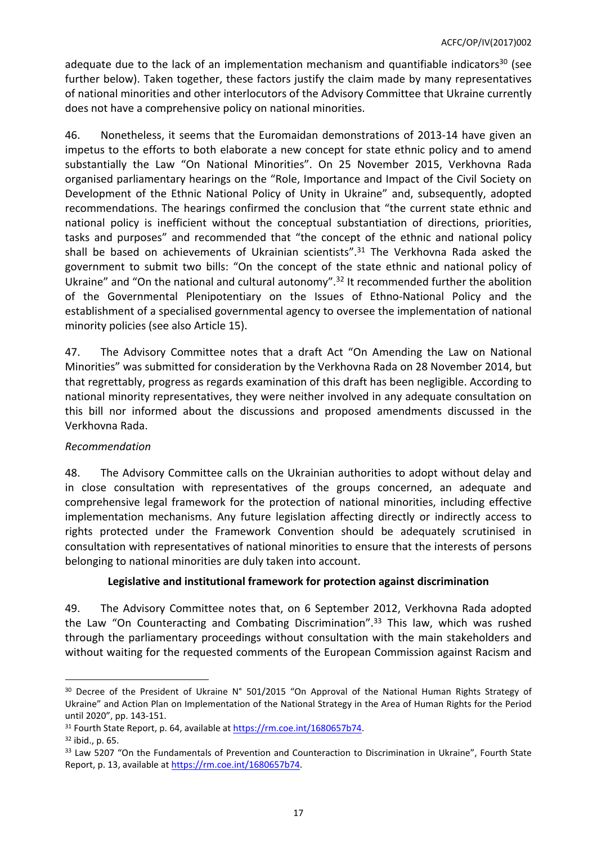adequate due to the lack of an implementation mechanism and quantifiable indicators<sup>30</sup> (see further below). Taken together, these factors justify the claim made by many representatives of national minorities and other interlocutors of the Advisory Committee that Ukraine currently does not have a comprehensive policy on national minorities.

46. Nonetheless, it seems that the Euromaidan demonstrations of 2013-14 have given an impetus to the efforts to both elaborate a new concept for state ethnic policy and to amend substantially the Law "On National Minorities". On 25 November 2015, Verkhovna Rada organised parliamentary hearings on the "Role, Importance and Impact of the Civil Society on Development of the Ethnic National Policy of Unity in Ukraine" and, subsequently, adopted recommendations. The hearings confirmed the conclusion that "the current state ethnic and national policy is inefficient without the conceptual substantiation of directions, priorities, tasks and purposes" and recommended that "the concept of the ethnic and national policy shall be based on achievements of Ukrainian scientists".<sup>31</sup> The Verkhovna Rada asked the government to submit two bills: "On the concept of the state ethnic and national policy of Ukraine" and "On the national and cultural autonomy".<sup>32</sup> It recommended further the abolition of the Governmental Plenipotentiary on the Issues of Ethno-National Policy and the establishment of a specialised governmental agency to oversee the implementation of national minority policies (see also Article 15).

47. The Advisory Committee notes that a draft Act "On Amending the Law on National Minorities" was submitted for consideration by the Verkhovna Rada on 28 November 2014, but that regrettably, progress as regards examination of this draft has been negligible. According to national minority representatives, they were neither involved in any adequate consultation on this bill nor informed about the discussions and proposed amendments discussed in the Verkhovna Rada.

# *Recommendation*

48. The Advisory Committee calls on the Ukrainian authorities to adopt without delay and in close consultation with representatives of the groups concerned, an adequate and comprehensive legal framework for the protection of national minorities, including effective implementation mechanisms. Any future legislation affecting directly or indirectly access to rights protected under the Framework Convention should be adequately scrutinised in consultation with representatives of national minorities to ensure that the interests of persons belonging to national minorities are duly taken into account.

# **Legislative and institutional framework for protection against discrimination**

49. The Advisory Committee notes that, on 6 September 2012, Verkhovna Rada adopted the Law "On Counteracting and Combating Discrimination".<sup>33</sup> This law, which was rushed through the parliamentary proceedings without consultation with the main stakeholders and without waiting for the requested comments of the European Commission against Racism and

<sup>&</sup>lt;sup>30</sup> Decree of the President of Ukraine N° 501/2015 "On Approval of the National Human Rights Strategy of Ukraine" and Action Plan on Implementation of the National Strategy in the Area of Human Rights for the Period until 2020", pp. 143-151.

<sup>31</sup> Fourth State Report, p. 64, available at [https://rm.coe.int/1680657b74.](https://rm.coe.int/1680657b74)

 $32$  ibid., p. 65.

<sup>&</sup>lt;sup>33</sup> Law 5207 "On the Fundamentals of Prevention and Counteraction to Discrimination in Ukraine", Fourth State Report, p. 13, available at<https://rm.coe.int/1680657b74>.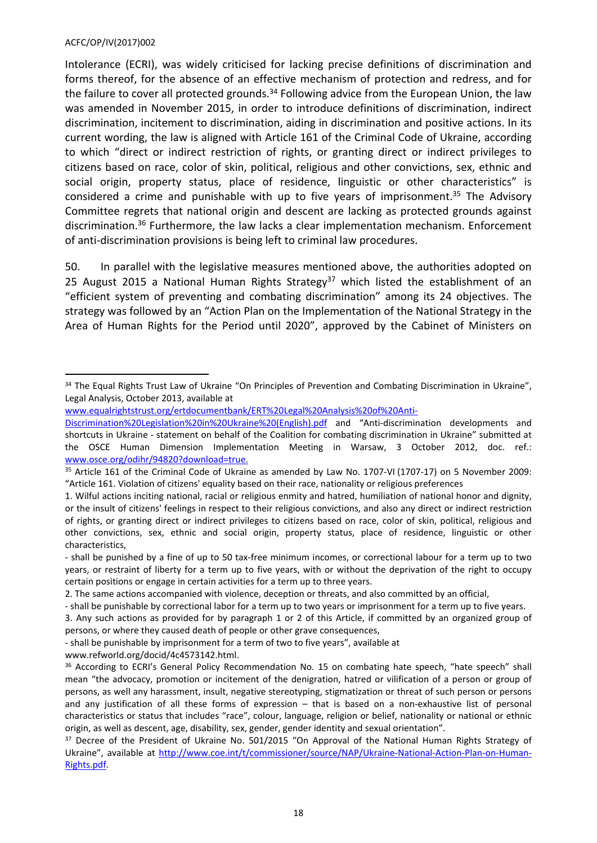Intolerance (ECRI), was widely criticised for lacking precise definitions of discrimination and forms thereof, for the absence of an effective mechanism of protection and redress, and for the failure to cover all protected grounds.<sup>34</sup> Following advice from the European Union, the law was amended in November 2015, in order to introduce definitions of discrimination, indirect discrimination, incitement to discrimination, aiding in discrimination and positive actions. In its current wording, the law is aligned with Article 161 of the Criminal Code of Ukraine, according to which "direct or indirect restriction of rights, or granting direct or indirect privileges to citizens based on race, color of skin, political, religious and other convictions, sex, ethnic and social origin, property status, place of residence, linguistic or other characteristics" is considered a crime and punishable with up to five years of imprisonment.<sup>35</sup> The Advisory Committee regrets that national origin and descent are lacking as protected grounds against discrimination.<sup>36</sup> Furthermore, the law lacks a clear implementation mechanism. Enforcement of anti-discrimination provisions is being left to criminal law procedures.

50. In parallel with the legislative measures mentioned above, the authorities adopted on 25 August 2015 a National Human Rights Strategy<sup>37</sup> which listed the establishment of an "efficient system of preventing and combating discrimination" among its 24 objectives. The strategy was followed by an "Action Plan on the Implementation of the National Strategy in the Area of Human Rights for the Period until 2020", approved by the Cabinet of Ministers on

<sup>&</sup>lt;sup>34</sup> The Equal Rights Trust Law of Ukraine "On Principles of Prevention and Combating Discrimination in Ukraine", Legal Analysis, October 2013, available at

[www.equalrightstrust.org/ertdocumentbank/ERT%20Legal%20Analysis%20of%20Anti-](http://www.equalrightstrust.org/ertdocumentbank/ERT%20Legal%20Analysis%20of%20Anti-Discrimination%20Legislation%20in%20Ukraine%20(English).pdf)

[Discrimination%20Legislation%20in%20Ukraine%20\(English\).pdf](http://www.equalrightstrust.org/ertdocumentbank/ERT%20Legal%20Analysis%20of%20Anti-Discrimination%20Legislation%20in%20Ukraine%20(English).pdf) and "Anti-discrimination developments and shortcuts in Ukraine - statement on behalf of the Coalition for combating discrimination in Ukraine" submitted at the OSCE Human Dimension Implementation Meeting in Warsaw, 3 October 2012, doc. ref.: [www.osce.org/odihr/94820?download=true](http://www.osce.org/odihr/94820?download=true).

<sup>35</sup> Article 161 of the Criminal Code of Ukraine as amended by Law No. 1707-VI (1707-17) on 5 November 2009: "Article 161. Violation of citizens' equality based on their race, nationality or religious preferences

<sup>1.</sup> Wilful actions inciting national, racial or religious enmity and hatred, humiliation of national honor and dignity, or the insult of citizens' feelings in respect to their religious convictions, and also any direct or indirect restriction of rights, or granting direct or indirect privileges to citizens based on race, color of skin, political, religious and other convictions, sex, ethnic and social origin, property status, place of residence, linguistic or other characteristics,

<sup>-</sup> shall be punished by a fine of up to 50 tax-free minimum incomes, or correctional labour for a term up to two years, or restraint of liberty for a term up to five years, with or without the deprivation of the right to occupy certain positions or engage in certain activities for a term up to three years.

<sup>2.</sup> The same actions accompanied with violence, deception or threats, and also committed by an official,

<sup>-</sup> shall be punishable by correctional labor for a term up to two years or imprisonment for a term up to five years.

<sup>3.</sup> Any such actions as provided for by paragraph 1 or 2 of this Article, if committed by an organized group of persons, or where they caused death of people or other grave consequences,

<sup>-</sup> shall be punishable by imprisonment for a term of two to five years", available at

www.refworld.org/docid/4c4573142.html.

<sup>&</sup>lt;sup>36</sup> According to ECRI's General Policy Recommendation No. 15 on combating hate speech, "hate speech" shall mean "the advocacy, promotion or incitement of the denigration, hatred or vilification of a person or group of persons, as well any harassment, insult, negative stereotyping, stigmatization or threat of such person or persons and any justification of all these forms of expression – that is based on a non-exhaustive list of personal characteristics or status that includes "race", colour, language, religion or belief, nationality or national or ethnic origin, as well as descent, age, disability, sex, gender, gender identity and sexual orientation".

<sup>&</sup>lt;sup>37</sup> Decree of the President of Ukraine No. 501/2015 "On Approval of the National Human Rights Strategy of Ukraine", available at [http://www.coe.int/t/commissioner/source/NAP/Ukraine-National-Action-Plan-on-Human-](http://www.coe.int/t/commissioner/source/NAP/Ukraine-National-Action-Plan-on-Human-Rights.pdf)[Rights.pdf.](http://www.coe.int/t/commissioner/source/NAP/Ukraine-National-Action-Plan-on-Human-Rights.pdf)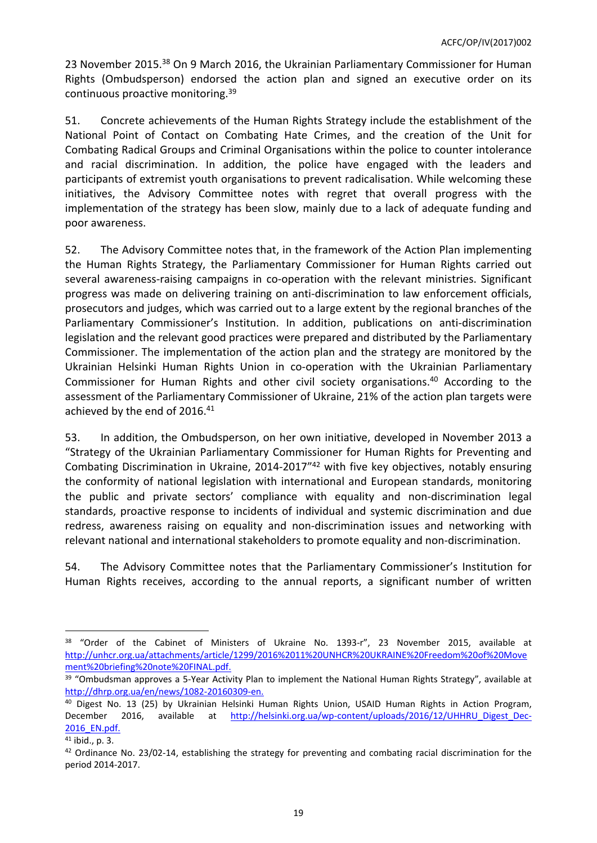23 November 2015.<sup>38</sup> On 9 March 2016, the Ukrainian Parliamentary Commissioner for Human Rights (Ombudsperson) endorsed the action plan and signed an executive order on its continuous proactive monitoring.<sup>39</sup>

51. Concrete achievements of the Human Rights Strategy include the establishment of the National Point of Contact on Combating Hate Crimes, and the creation of the Unit for Combating Radical Groups and Criminal Organisations within the police to counter intolerance and racial discrimination. In addition, the police have engaged with the leaders and participants of extremist youth organisations to prevent radicalisation. While welcoming these initiatives, the Advisory Committee notes with regret that overall progress with the implementation of the strategy has been slow, mainly due to a lack of adequate funding and poor awareness.

52. The Advisory Committee notes that, in the framework of the Action Plan implementing the Human Rights Strategy, the Parliamentary Commissioner for Human Rights carried out several awareness-raising campaigns in co-operation with the relevant ministries. Significant progress was made on delivering training on anti-discrimination to law enforcement officials, prosecutors and judges, which was carried out to a large extent by the regional branches of the Parliamentary Commissioner's Institution. In addition, publications on anti-discrimination legislation and the relevant good practices were prepared and distributed by the Parliamentary Commissioner. The implementation of the action plan and the strategy are monitored by the Ukrainian Helsinki Human Rights Union in co-operation with the Ukrainian Parliamentary Commissioner for Human Rights and other civil society organisations.<sup>40</sup> According to the assessment of the Parliamentary Commissioner of Ukraine, 21% of the action plan targets were achieved by the end of 2016.<sup>41</sup>

53. In addition, the Ombudsperson, on her own initiative, developed in November 2013 a "Strategy of the Ukrainian Parliamentary Commissioner for Human Rights for Preventing and Combating Discrimination in Ukraine, 2014-2017"<sup>42</sup> with five key objectives, notably ensuring the conformity of national legislation with international and European standards, monitoring the public and private sectors' compliance with equality and non-discrimination legal standards, proactive response to incidents of individual and systemic discrimination and due redress, awareness raising on equality and non-discrimination issues and networking with relevant national and international stakeholders to promote equality and non-discrimination.

54. The Advisory Committee notes that the Parliamentary Commissioner's Institution for Human Rights receives, according to the annual reports, a significant number of written

<sup>&</sup>lt;sup>38</sup> "Order of the Cabinet of Ministers of Ukraine No. 1393-r", 23 November 2015, available at [http://unhcr.org.ua/attachments/article/1299/2016%2011%20UNHCR%20UKRAINE%20Freedom%20of%20Move](http://unhcr.org.ua/attachments/article/1299/2016%2011%20UNHCR%20UKRAINE%20Freedom%20of%20Movement%20briefing%20note%20FINAL.pdf) [ment%20briefing%20note%20FINAL.pdf](http://unhcr.org.ua/attachments/article/1299/2016%2011%20UNHCR%20UKRAINE%20Freedom%20of%20Movement%20briefing%20note%20FINAL.pdf).

<sup>&</sup>lt;sup>39</sup> "Ombudsman approves a 5-Year Activity Plan to implement the National Human Rights Strategy", available at [http://dhrp.org.ua/en/news/1082-20160309-en.](http://dhrp.org.ua/en/news/1082-20160309-en)

<sup>40</sup> Digest No. 13 (25) by Ukrainian Helsinki Human Rights Union, USAID Human Rights in Action Program, December 2016, available at [http://helsinki.org.ua/wp-content/uploads/2016/12/UHHRU\\_Digest\\_Dec-](http://helsinki.org.ua/wp-content/uploads/2016/12/UHHRU_Digest_Dec-2016_EN.pdf)2016 EN.pdf.

<sup>41</sup> ibid., p. 3.

<sup>&</sup>lt;sup>42</sup> Ordinance No. 23/02-14, establishing the strategy for preventing and combating racial discrimination for the period 2014-2017.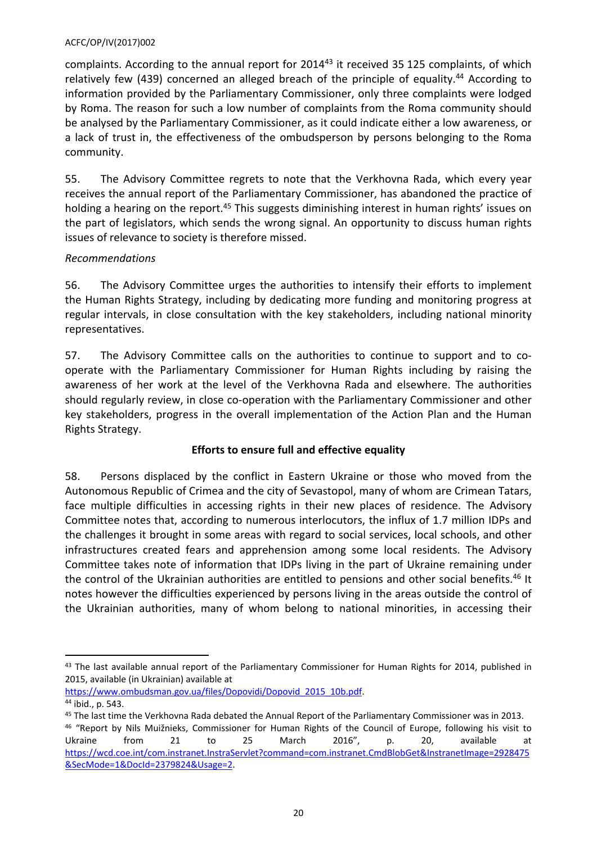complaints. According to the annual report for 2014<sup>43</sup> it received 35 125 complaints, of which relatively few (439) concerned an alleged breach of the principle of equality.<sup>44</sup> According to information provided by the Parliamentary Commissioner, only three complaints were lodged by Roma. The reason for such a low number of complaints from the Roma community should be analysed by the Parliamentary Commissioner, as it could indicate either a low awareness, or a lack of trust in, the effectiveness of the ombudsperson by persons belonging to the Roma community.

55. The Advisory Committee regrets to note that the Verkhovna Rada, which every year receives the annual report of the Parliamentary Commissioner, has abandoned the practice of holding a hearing on the report.<sup>45</sup> This suggests diminishing interest in human rights' issues on the part of legislators, which sends the wrong signal. An opportunity to discuss human rights issues of relevance to society is therefore missed.

# *Recommendations*

56. The Advisory Committee urges the authorities to intensify their efforts to implement the Human Rights Strategy, including by dedicating more funding and monitoring progress at regular intervals, in close consultation with the key stakeholders, including national minority representatives.

57. The Advisory Committee calls on the authorities to continue to support and to cooperate with the Parliamentary Commissioner for Human Rights including by raising the awareness of her work at the level of the Verkhovna Rada and elsewhere. The authorities should regularly review, in close co-operation with the Parliamentary Commissioner and other key stakeholders, progress in the overall implementation of the Action Plan and the Human Rights Strategy.

# **Efforts to ensure full and effective equality**

58. Persons displaced by the conflict in Eastern Ukraine or those who moved from the Autonomous Republic of Crimea and the city of Sevastopol, many of whom are Crimean Tatars, face multiple difficulties in accessing rights in their new places of residence. The Advisory Committee notes that, according to numerous interlocutors, the influx of 1.7 million IDPs and the challenges it brought in some areas with regard to social services, local schools, and other infrastructures created fears and apprehension among some local residents. The Advisory Committee takes note of information that IDPs living in the part of Ukraine remaining under the control of the Ukrainian authorities are entitled to pensions and other social benefits.<sup>46</sup> It notes however the difficulties experienced by persons living in the areas outside the control of the Ukrainian authorities, many of whom belong to national minorities, in accessing their

<sup>43</sup> The last available annual report of the Parliamentary Commissioner for Human Rights for 2014, published in 2015, available (in Ukrainian) available at

[https://www.ombudsman.gov.ua/files/Dopovidi/Dopovid\\_2015\\_10b.pdf](https://www.ombudsman.gov.ua/files/Dopovidi/Dopovid_2015_10b.pdf).

<sup>44</sup> ibid., p. 543.

<sup>45</sup> The last time the Verkhovna Rada debated the Annual Report of the Parliamentary Commissioner was in 2013. <sup>46</sup> "Report by Nils Muižnieks, Commissioner for Human Rights of the Council of Europe, following his visit to Ukraine from 21 to 25 March 2016", p. 20, available at [https://wcd.coe.int/com.instranet.InstraServlet?command=com.instranet.CmdBlobGet&InstranetImage=2928475](https://wcd.coe.int/com.instranet.InstraServlet?command=com.instranet.CmdBlobGet&InstranetImage=2928475&SecMode=1&DocId=2379824&Usage=2) [&SecMode=1&DocId=2379824&Usage=2](https://wcd.coe.int/com.instranet.InstraServlet?command=com.instranet.CmdBlobGet&InstranetImage=2928475&SecMode=1&DocId=2379824&Usage=2).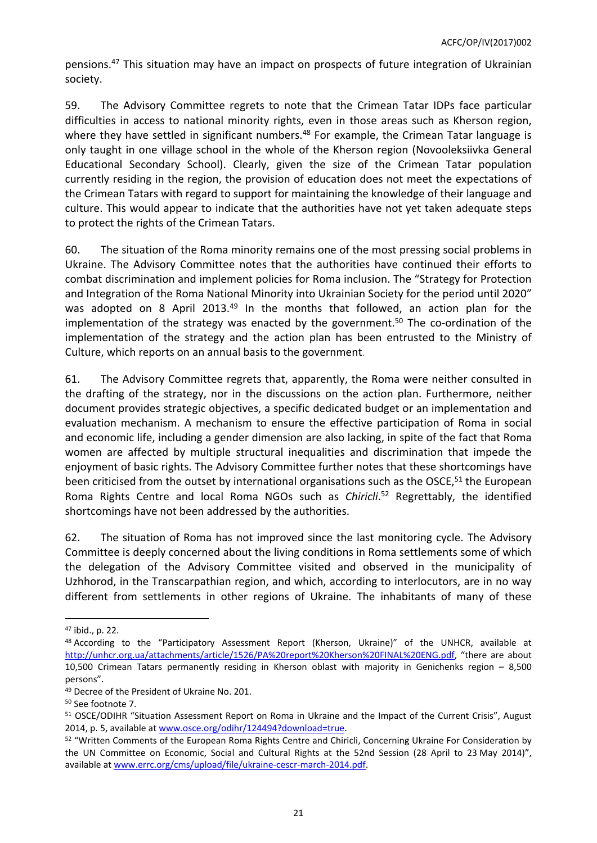pensions.<sup>47</sup> This situation may have an impact on prospects of future integration of Ukrainian society.

59. The Advisory Committee regrets to note that the Crimean Tatar IDPs face particular difficulties in access to national minority rights, even in those areas such as Kherson region, where they have settled in significant numbers.<sup>48</sup> For example, the Crimean Tatar language is only taught in one village school in the whole of the Kherson region (Novooleksiivka General Educational Secondary School). Clearly, given the size of the Crimean Tatar population currently residing in the region, the provision of education does not meet the expectations of the Crimean Tatars with regard to support for maintaining the knowledge of their language and culture. This would appear to indicate that the authorities have not yet taken adequate steps to protect the rights of the Crimean Tatars.

60. The situation of the Roma minority remains one of the most pressing social problems in Ukraine. The Advisory Committee notes that the authorities have continued their efforts to combat discrimination and implement policies for Roma inclusion. The "Strategy for Protection and Integration of the Roma National Minority into Ukrainian Society for the period until 2020" was adopted on 8 April 2013.<sup>49</sup> In the months that followed, an action plan for the implementation of the strategy was enacted by the government.<sup>50</sup> The co-ordination of the implementation of the strategy and the action plan has been entrusted to the Ministry of Culture, which reports on an annual basis to the government.

61. The Advisory Committee regrets that, apparently, the Roma were neither consulted in the drafting of the strategy, nor in the discussions on the action plan. Furthermore, neither document provides strategic objectives, a specific dedicated budget or an implementation and evaluation mechanism. A mechanism to ensure the effective participation of Roma in social and economic life, including a gender dimension are also lacking, in spite of the fact that Roma women are affected by multiple structural inequalities and discrimination that impede the enjoyment of basic rights. The Advisory Committee further notes that these shortcomings have been criticised from the outset by international organisations such as the OSCE,<sup>51</sup> the European Roma Rights Centre and local Roma NGOs such as *Chiricli*. <sup>52</sup> Regrettably, the identified shortcomings have not been addressed by the authorities.

62. The situation of Roma has not improved since the last monitoring cycle. The Advisory Committee is deeply concerned about the living conditions in Roma settlements some of which the delegation of the Advisory Committee visited and observed in the municipality of Uzhhorod, in the Transcarpathian region, and which, according to interlocutors, are in no way different from settlements in other regions of Ukraine. The inhabitants of many of these

<sup>47</sup> ibid., p. 22.

<sup>48</sup> According to the "Participatory Assessment Report (Kherson, Ukraine)" of the UNHCR, available at <http://unhcr.org.ua/attachments/article/1526/PA%20report%20Kherson%20FINAL%20ENG.pdf>, "there are about 10,500 Crimean Tatars permanently residing in Kherson oblast with majority in Genichenks region – 8,500 persons".

<sup>&</sup>lt;sup>49</sup> Decree of the President of Ukraine No. 201.

<sup>50</sup> See footnote 7.

<sup>51</sup> OSCE/ODIHR "Situation Assessment Report on Roma in Ukraine and the Impact of the Current Crisis", August 2014, p. 5, available at [www.osce.org/odihr/124494?download=true.](file://BOSE-SHARE/home.MARKES$/www.osce.org/odihr/124494%3Fdownload=true)

<sup>52</sup> "Written Comments of the European Roma Rights Centre and Chiricli, Concerning Ukraine For Consideration by the UN Committee on Economic, Social and Cultural Rights at the 52nd Session (28 April to 23 May 2014)", available at [www.errc.org/cms/upload/file/ukraine-cescr-march-2014.pdf.](file://BOSE-SHARE/home.MARKES$/www.errc.org/cms/upload/file/ukraine-cescr-march-2014.pdf)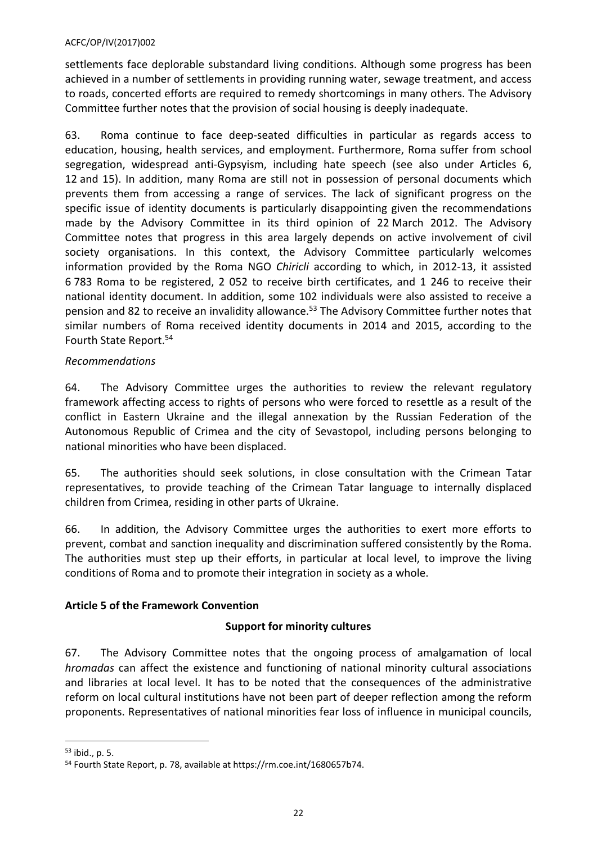settlements face deplorable substandard living conditions. Although some progress has been achieved in a number of settlements in providing running water, sewage treatment, and access to roads, concerted efforts are required to remedy shortcomings in many others. The Advisory Committee further notes that the provision of social housing is deeply inadequate.

63. Roma continue to face deep-seated difficulties in particular as regards access to education, housing, health services, and employment. Furthermore, Roma suffer from school segregation, widespread anti-Gypsyism, including hate speech (see also under Articles 6, 12 and 15). In addition, many Roma are still not in possession of personal documents which prevents them from accessing a range of services. The lack of significant progress on the specific issue of identity documents is particularly disappointing given the recommendations made by the Advisory Committee in its third opinion of 22 March 2012. The Advisory Committee notes that progress in this area largely depends on active involvement of civil society organisations. In this context, the Advisory Committee particularly welcomes information provided by the Roma NGO *Chiricli* according to which, in 2012-13, it assisted 6 783 Roma to be registered, 2 052 to receive birth certificates, and 1 246 to receive their national identity document. In addition, some 102 individuals were also assisted to receive a pension and 82 to receive an invalidity allowance.<sup>53</sup> The Advisory Committee further notes that similar numbers of Roma received identity documents in 2014 and 2015, according to the Fourth State Report.<sup>54</sup>

# *Recommendations*

64. The Advisory Committee urges the authorities to review the relevant regulatory framework affecting access to rights of persons who were forced to resettle as a result of the conflict in Eastern Ukraine and the illegal annexation by the Russian Federation of the Autonomous Republic of Crimea and the city of Sevastopol, including persons belonging to national minorities who have been displaced.

65. The authorities should seek solutions, in close consultation with the Crimean Tatar representatives, to provide teaching of the Crimean Tatar language to internally displaced children from Crimea, residing in other parts of Ukraine.

66. In addition, the Advisory Committee urges the authorities to exert more efforts to prevent, combat and sanction inequality and discrimination suffered consistently by the Roma. The authorities must step up their efforts, in particular at local level, to improve the living conditions of Roma and to promote their integration in society as a whole.

# <span id="page-21-0"></span>**Article 5 of the Framework Convention**

### **Support for minority cultures**

67. The Advisory Committee notes that the ongoing process of amalgamation of local *hromadas* can affect the existence and functioning of national minority cultural associations and libraries at local level. It has to be noted that the consequences of the administrative reform on local cultural institutions have not been part of deeper reflection among the reform proponents. Representatives of national minorities fear loss of influence in municipal councils,

<sup>53</sup> ibid., p. 5.

<sup>54</sup> Fourth State Report, p. 78, available at https://rm.coe.int/1680657b74.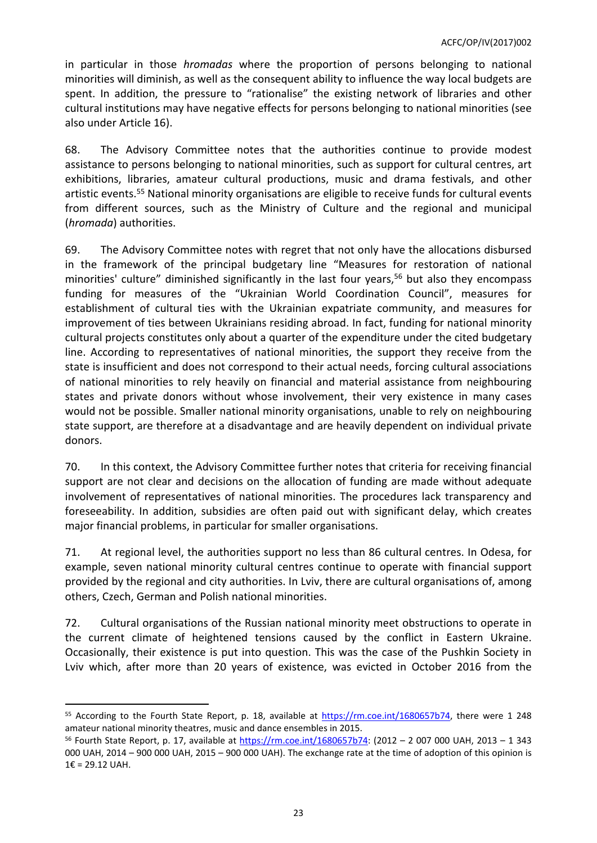in particular in those *hromadas* where the proportion of persons belonging to national minorities will diminish, as well as the consequent ability to influence the way local budgets are spent. In addition, the pressure to "rationalise" the existing network of libraries and other cultural institutions may have negative effects for persons belonging to national minorities (see also under Article 16).

68. The Advisory Committee notes that the authorities continue to provide modest assistance to persons belonging to national minorities, such as support for cultural centres, art exhibitions, libraries, amateur cultural productions, music and drama festivals, and other artistic events.<sup>55</sup> National minority organisations are eligible to receive funds for cultural events from different sources, such as the Ministry of Culture and the regional and municipal (*hromada*) authorities.

69. The Advisory Committee notes with regret that not only have the allocations disbursed in the framework of the principal budgetary line "Measures for restoration of national minorities' culture" diminished significantly in the last four years,<sup>56</sup> but also they encompass funding for measures of the "Ukrainian World Coordination Council", measures for establishment of cultural ties with the Ukrainian expatriate community, and measures for improvement of ties between Ukrainians residing abroad. In fact, funding for national minority cultural projects constitutes only about a quarter of the expenditure under the cited budgetary line. According to representatives of national minorities, the support they receive from the state is insufficient and does not correspond to their actual needs, forcing cultural associations of national minorities to rely heavily on financial and material assistance from neighbouring states and private donors without whose involvement, their very existence in many cases would not be possible. Smaller national minority organisations, unable to rely on neighbouring state support, are therefore at a disadvantage and are heavily dependent on individual private donors.

70. In this context, the Advisory Committee further notes that criteria for receiving financial support are not clear and decisions on the allocation of funding are made without adequate involvement of representatives of national minorities. The procedures lack transparency and foreseeability. In addition, subsidies are often paid out with significant delay, which creates major financial problems, in particular for smaller organisations.

71. At regional level, the authorities support no less than 86 cultural centres. In Odesa, for example, seven national minority cultural centres continue to operate with financial support provided by the regional and city authorities. In Lviv, there are cultural organisations of, among others, Czech, German and Polish national minorities.

72. Cultural organisations of the Russian national minority meet obstructions to operate in the current climate of heightened tensions caused by the conflict in Eastern Ukraine. Occasionally, their existence is put into question. This was the case of the Pushkin Society in Lviv which, after more than 20 years of existence, was evicted in October 2016 from the

<sup>55</sup> According to the Fourth State Report, p. 18, available at <https://rm.coe.int/1680657b74>, there were 1 248 amateur national minority theatres, music and dance ensembles in 2015.

<sup>56</sup> Fourth State Report, p. 17, available at <https://rm.coe.int/1680657b74>: (2012 – 2 007 000 UAH, 2013 – 1 343 000 UAH, 2014 – 900 000 UAH, 2015 – 900 000 UAH). The exchange rate at the time of adoption of this opinion is 1€ = 29.12 UAH.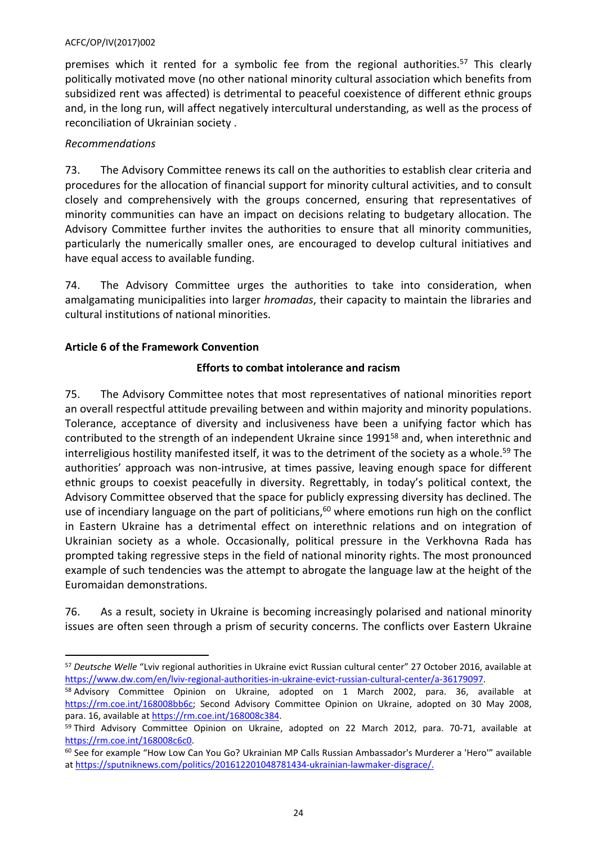premises which it rented for a symbolic fee from the regional authorities.<sup>57</sup> This clearly politically motivated move (no other national minority cultural association which benefits from subsidized rent was affected) is detrimental to peaceful coexistence of different ethnic groups and, in the long run, will affect negatively intercultural understanding, as well as the process of reconciliation of Ukrainian society .

# *Recommendations*

73. The Advisory Committee renews its call on the authorities to establish clear criteria and procedures for the allocation of financial support for minority cultural activities, and to consult closely and comprehensively with the groups concerned, ensuring that representatives of minority communities can have an impact on decisions relating to budgetary allocation. The Advisory Committee further invites the authorities to ensure that all minority communities, particularly the numerically smaller ones, are encouraged to develop cultural initiatives and have equal access to available funding.

74. The Advisory Committee urges the authorities to take into consideration, when amalgamating municipalities into larger *hromadas*, their capacity to maintain the libraries and cultural institutions of national minorities.

# <span id="page-23-0"></span>**Article 6 of the Framework Convention**

# **Efforts to combat intolerance and racism**

75. The Advisory Committee notes that most representatives of national minorities report an overall respectful attitude prevailing between and within majority and minority populations. Tolerance, acceptance of diversity and inclusiveness have been a unifying factor which has contributed to the strength of an independent Ukraine since 1991<sup>58</sup> and, when interethnic and interreligious hostility manifested itself, it was to the detriment of the society as a whole.<sup>59</sup> The authorities' approach was non-intrusive, at times passive, leaving enough space for different ethnic groups to coexist peacefully in diversity. Regrettably, in today's political context, the Advisory Committee observed that the space for publicly expressing diversity has declined. The use of incendiary language on the part of politicians,<sup>60</sup> where emotions run high on the conflict in Eastern Ukraine has a detrimental effect on interethnic relations and on integration of Ukrainian society as a whole. Occasionally, political pressure in the Verkhovna Rada has prompted taking regressive steps in the field of national minority rights. The most pronounced example of such tendencies was the attempt to abrogate the language law at the height of the Euromaidan demonstrations.

76. As a result, society in Ukraine is becoming increasingly polarised and national minority issues are often seen through a prism of security concerns. The conflicts over Eastern Ukraine

<sup>57</sup> *Deutsche Welle* "Lviv regional authorities in Ukraine evict Russian cultural center" 27 October 2016, available at <https://www.dw.com/en/lviv-regional-authorities-in-ukraine-evict-russian-cultural-center/a-36179097>.

<sup>58</sup> Advisory Committee Opinion on Ukraine, adopted on 1 March 2002, para. 36, available at <https://rm.coe.int/168008bb6c>; Second Advisory Committee Opinion on Ukraine, adopted on 30 May 2008, para. 16, available at [https://rm.coe.int/168008c384.](https://rm.coe.int/168008c384)

<sup>&</sup>lt;sup>59</sup> Third Advisory Committee Opinion on Ukraine, adopted on 22 March 2012, para. 70-71, available at <https://rm.coe.int/168008c6c0>.

<sup>60</sup> See for example "How Low Can You Go? Ukrainian MP Calls Russian Ambassador's Murderer a 'Hero'" available at [https://sputniknews.com/politics/201612201048781434-ukrainian-lawmaker-disgrace/.](https://sputniknews.com/politics/201612201048781434-ukrainian-lawmaker-disgrace/)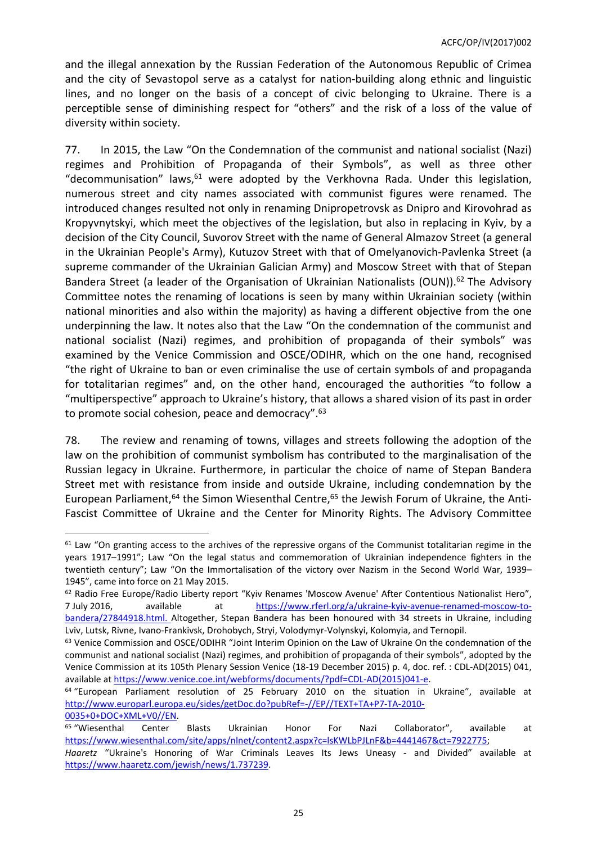and the illegal annexation by the Russian Federation of the Autonomous Republic of Crimea and the city of Sevastopol serve as a catalyst for nation-building along ethnic and linguistic lines, and no longer on the basis of a concept of civic belonging to Ukraine. There is a perceptible sense of diminishing respect for "others" and the risk of a loss of the value of diversity within society.

77. In 2015, the Law "On the Condemnation of the communist and national socialist (Nazi) regimes and Prohibition of Propaganda of their Symbols", as well as three other "decommunisation" laws,  $61$  were adopted by the Verkhovna Rada. Under this legislation, numerous street and city names associated with communist figures were renamed. The introduced changes resulted not only in renaming Dnipropetrovsk as Dnipro and Kirovohrad as Kropyvnytskyi, which meet the objectives of the legislation, but also in replacing in Kyiv, by a decision of the City Council, Suvorov Street with the name of General Almazov Street (a general in the Ukrainian People's Army), Kutuzov Street with that of Omelyanovich-Pavlenka Street (a supreme commander of the Ukrainian Galician Army) and Moscow Street with that of Stepan Bandera Street (a leader of the Organisation of Ukrainian Nationalists (OUN)).<sup>62</sup> The Advisory Committee notes the renaming of locations is seen by many within Ukrainian society (within national minorities and also within the majority) as having a different objective from the one underpinning the law. It notes also that the Law "On the condemnation of the communist and national socialist (Nazi) regimes, and prohibition of propaganda of their symbols" was examined by the Venice Commission and OSCE/ODIHR, which on the one hand, recognised "the right of Ukraine to ban or even criminalise the use of certain symbols of and propaganda for totalitarian regimes" and, on the other hand, encouraged the authorities "to follow a "multiperspective" approach to Ukraine's history, that allows a shared vision of its past in order to promote social cohesion, peace and democracy".<sup>63</sup>

78. The review and renaming of towns, villages and streets following the adoption of the law on the prohibition of communist symbolism has contributed to the marginalisation of the Russian legacy in Ukraine. Furthermore, in particular the choice of name of Stepan Bandera Street met with resistance from inside and outside Ukraine, including condemnation by the European Parliament,<sup>64</sup> the Simon Wiesenthal Centre,<sup>65</sup> the Jewish Forum of Ukraine, the Anti-Fascist Committee of Ukraine and the Center for Minority Rights. The Advisory Committee

 $61$  Law "On granting access to the archives of the repressive organs of the Communist totalitarian regime in the years 1917–1991"; Law "On the legal status and commemoration of Ukrainian independence fighters in the twentieth century"; Law "On the Immortalisation of the victory over Nazism in the Second World War, 1939– 1945", came into force on 21 May 2015.

<sup>&</sup>lt;sup>62</sup> Radio Free Europe/Radio Liberty report "Kyiv Renames 'Moscow Avenue' After Contentious Nationalist Hero", 7 July 2016, available at [https://www.rferl.org/a/ukraine-kyiv-avenue-renamed-moscow-to](https://www.rferl.org/a/ukraine-kyiv-avenue-renamed-moscow-to-bandera/27844918.html)[bandera/27844918.html.](https://www.rferl.org/a/ukraine-kyiv-avenue-renamed-moscow-to-bandera/27844918.html) Altogether, Stepan Bandera has been honoured with 34 streets in Ukraine, including Lviv, Lutsk, Rivne, Ivano-Frankivsk, Drohobych, Stryi, Volodymyr-Volynskyi, Kolomyia, and Ternopil.

<sup>63</sup> Venice Commission and OSCE/ODIHR "Joint Interim Opinion on the Law of Ukraine On the condemnation of the communist and national socialist (Nazi) regimes, and prohibition of propaganda of their symbols", adopted by the Venice Commission at its 105th Plenary Session Venice (18-19 December 2015) p. 4, doc. ref. : CDL-AD(2015) 041, available at [https://www.venice.coe.int/webforms/documents/?pdf=CDL-AD\(2015\)041-e](https://www.venice.coe.int/webforms/documents/?pdf=CDL-AD(2015)041-e).

<sup>64</sup> "European Parliament resolution of 25 February 2010 on the situation in Ukraine", available at [http://www.europarl.europa.eu/sides/getDoc.do?pubRef=-//EP//TEXT+TA+P7-TA-2010-](http://www.europarl.europa.eu/sides/getDoc.do?pubRef=-//EP//TEXT+TA+P7-TA-2010-0035+0+DOC+XML+V0//EN) [0035+0+DOC+XML+V0//EN](http://www.europarl.europa.eu/sides/getDoc.do?pubRef=-//EP//TEXT+TA+P7-TA-2010-0035+0+DOC+XML+V0//EN).

<sup>65</sup> "Wiesenthal Center Blasts Ukrainian Honor For Nazi Collaborator", available at [https://www.wiesenthal.com/site/apps/nlnet/content2.aspx?c=lsKWLbPJLnF&b=4441467&ct=7922775;](https://www.wiesenthal.com/site/apps/nlnet/content2.aspx?c=lsKWLbPJLnF&b=4441467&ct=7922775)

*Haaretz* "Ukraine's Honoring of War Criminals Leaves Its Jews Uneasy - and Divided" available at [https://www.haaretz.com/jewish/news/1.737239.](https://www.haaretz.com/jewish/news/1.737239)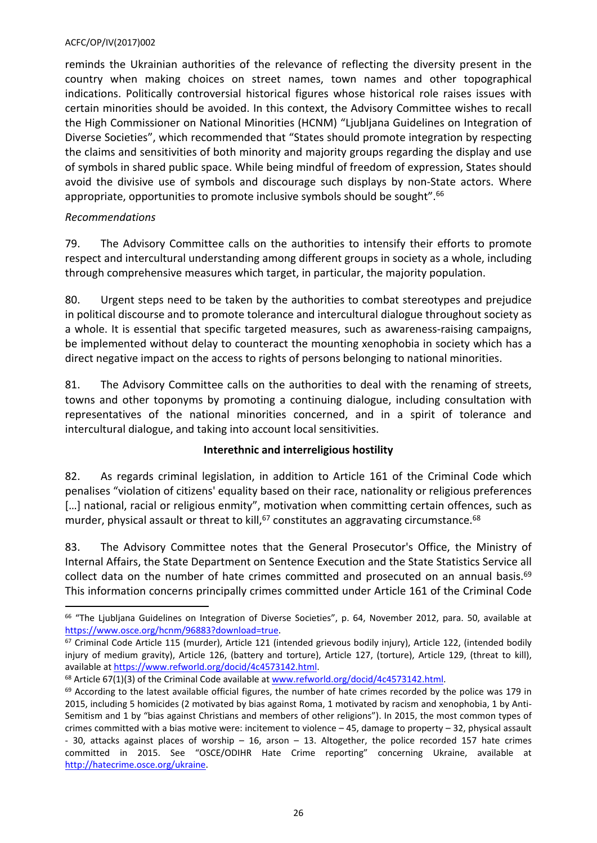reminds the Ukrainian authorities of the relevance of reflecting the diversity present in the country when making choices on street names, town names and other topographical indications. Politically controversial historical figures whose historical role raises issues with certain minorities should be avoided. In this context, the Advisory Committee wishes to recall the High Commissioner on National Minorities (HCNM) "Ljubljana Guidelines on Integration of Diverse Societies", which recommended that "States should promote integration by respecting the claims and sensitivities of both minority and majority groups regarding the display and use of symbols in shared public space. While being mindful of freedom of expression, States should avoid the divisive use of symbols and discourage such displays by non-State actors. Where appropriate, opportunities to promote inclusive symbols should be sought".<sup>66</sup>

# *Recommendations*

79. The Advisory Committee calls on the authorities to intensify their efforts to promote respect and intercultural understanding among different groups in society as a whole, including through comprehensive measures which target, in particular, the majority population.

80. Urgent steps need to be taken by the authorities to combat stereotypes and prejudice in political discourse and to promote tolerance and intercultural dialogue throughout society as a whole. It is essential that specific targeted measures, such as awareness-raising campaigns, be implemented without delay to counteract the mounting xenophobia in society which has a direct negative impact on the access to rights of persons belonging to national minorities.

81. The Advisory Committee calls on the authorities to deal with the renaming of streets, towns and other toponyms by promoting a continuing dialogue, including consultation with representatives of the national minorities concerned, and in a spirit of tolerance and intercultural dialogue, and taking into account local sensitivities.

# **Interethnic and interreligious hostility**

82. As regards criminal legislation, in addition to Article 161 of the Criminal Code which penalises "violation of citizens' equality based on their race, nationality or religious preferences [...] national, racial or religious enmity", motivation when committing certain offences, such as murder, physical assault or threat to kill,<sup>67</sup> constitutes an aggravating circumstance.<sup>68</sup>

83. The Advisory Committee notes that the General Prosecutor's Office, the Ministry of Internal Affairs, the State Department on Sentence Execution and the State Statistics Service all collect data on the number of hate crimes committed and prosecuted on an annual basis.<sup>69</sup> This information concerns principally crimes committed under Article 161 of the Criminal Code

<sup>68</sup> Article 67(1)(3) of the Criminal Code available at [www.refworld.org/docid/4c4573142.html](http://www.refworld.org/docid/4c4573142.html).

<sup>&</sup>lt;sup>66</sup> "The Ljubljana Guidelines on Integration of Diverse Societies", p. 64, November 2012, para. 50, available at [https://www.osce.org/hcnm/96883?download=true.](https://www.osce.org/hcnm/96883?download=true)

<sup>&</sup>lt;sup>67</sup> Criminal Code Article 115 (murder), Article 121 (intended grievous bodily injury), Article 122, (intended bodily injury of medium gravity), Article 126, (battery and torture), Article 127, (torture), Article 129, (threat to kill), available at <https://www.refworld.org/docid/4c4573142.html>.

<sup>&</sup>lt;sup>69</sup> According to the latest available official figures, the number of hate crimes recorded by the police was 179 in 2015, including 5 homicides (2 motivated by bias against Roma, 1 motivated by racism and xenophobia, 1 by Anti-Semitism and 1 by "bias against Christians and members of other religions"). In 2015, the most common types of crimes committed with a bias motive were: incitement to violence – 45, damage to property – 32, physical assault - 30, attacks against places of worship – 16, arson – 13. Altogether, the police recorded 157 hate crimes committed in 2015. See "OSCE/ODIHR Hate Crime reporting" concerning Ukraine, available at <http://hatecrime.osce.org/ukraine>.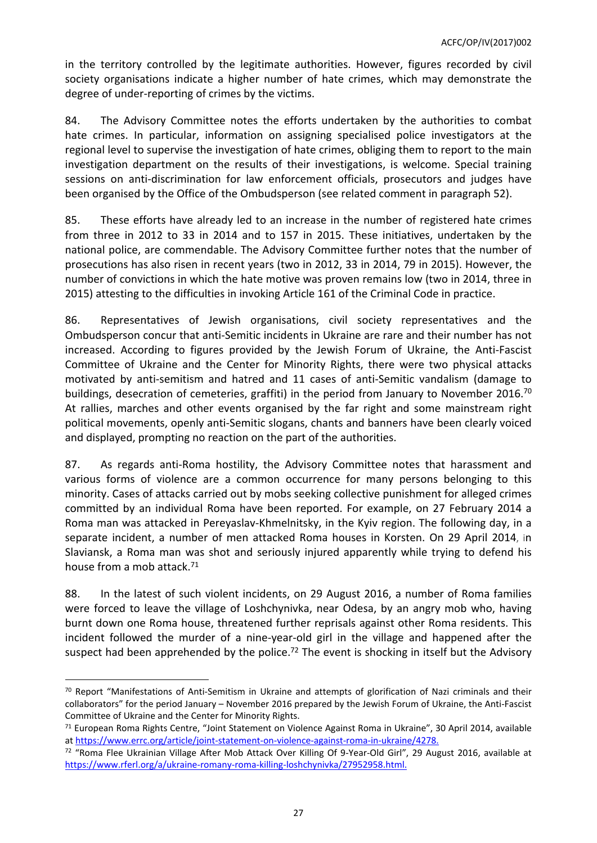in the territory controlled by the legitimate authorities. However, figures recorded by civil society organisations indicate a higher number of hate crimes, which may demonstrate the degree of under-reporting of crimes by the victims.

84. The Advisory Committee notes the efforts undertaken by the authorities to combat hate crimes. In particular, information on assigning specialised police investigators at the regional level to supervise the investigation of hate crimes, obliging them to report to the main investigation department on the results of their investigations, is welcome. Special training sessions on anti-discrimination for law enforcement officials, prosecutors and judges have been organised by the Office of the Ombudsperson (see related comment in paragraph 52).

85. These efforts have already led to an increase in the number of registered hate crimes from three in 2012 to 33 in 2014 and to 157 in 2015. These initiatives, undertaken by the national police, are commendable. The Advisory Committee further notes that the number of prosecutions has also risen in recent years (two in 2012, 33 in 2014, 79 in 2015). However, the number of convictions in which the hate motive was proven remains low (two in 2014, three in 2015) attesting to the difficulties in invoking Article 161 of the Criminal Code in practice.

86. Representatives of Jewish organisations, civil society representatives and the Ombudsperson concur that anti-Semitic incidents in Ukraine are rare and their number has not increased. According to figures provided by the Jewish Forum of Ukraine, the Anti-Fascist Committee of Ukraine and the Center for Minority Rights, there were two physical attacks motivated by anti-semitism and hatred and 11 cases of anti-Semitic vandalism (damage to buildings, desecration of cemeteries, graffiti) in the period from January to November 2016.<sup>70</sup> At rallies, marches and other events organised by the far right and some mainstream right political movements, openly anti-Semitic slogans, chants and banners have been clearly voiced and displayed, prompting no reaction on the part of the authorities.

87. As regards anti-Roma hostility, the Advisory Committee notes that harassment and various forms of violence are a common occurrence for many persons belonging to this minority. Cases of attacks carried out by mobs seeking collective punishment for alleged crimes committed by an individual Roma have been reported. For example, on 27 February 2014 a Roma man was attacked in Pereyaslav-Khmelnitsky, in the Kyiv region. The following day, in a separate incident, a number of men attacked Roma houses in Korsten. On 29 April 2014, in Slaviansk, a Roma man was shot and seriously injured apparently while trying to defend his house from a mob attack.<sup>71</sup>

88. In the latest of such violent incidents, on 29 August 2016, a number of Roma families were forced to leave the village of Loshchynivka, near Odesa, by an angry mob who, having burnt down one Roma house, threatened further reprisals against other Roma residents. This incident followed the murder of a nine-year-old girl in the village and happened after the suspect had been apprehended by the police.<sup>72</sup> The event is shocking in itself but the Advisory

 $70$  Report "Manifestations of Anti-Semitism in Ukraine and attempts of glorification of Nazi criminals and their collaborators" for the period January – November 2016 prepared by the Jewish Forum of Ukraine, the Anti-Fascist Committee of Ukraine and the Center for Minority Rights.

<sup>71</sup> European Roma Rights Centre, "Joint Statement on Violence Against Roma in Ukraine", 30 April 2014, available at<https://www.errc.org/article/joint-statement-on-violence-against-roma-in-ukraine/4278>.

<sup>72</sup> "Roma Flee Ukrainian Village After Mob Attack Over Killing Of 9-Year-Old Girl", 29 August 2016, available at [https://www.rferl.org/a/ukraine-romany-roma-killing-loshchynivka/27952958.html.](https://www.rferl.org/a/ukraine-romany-roma-killing-loshchynivka/27952958.html)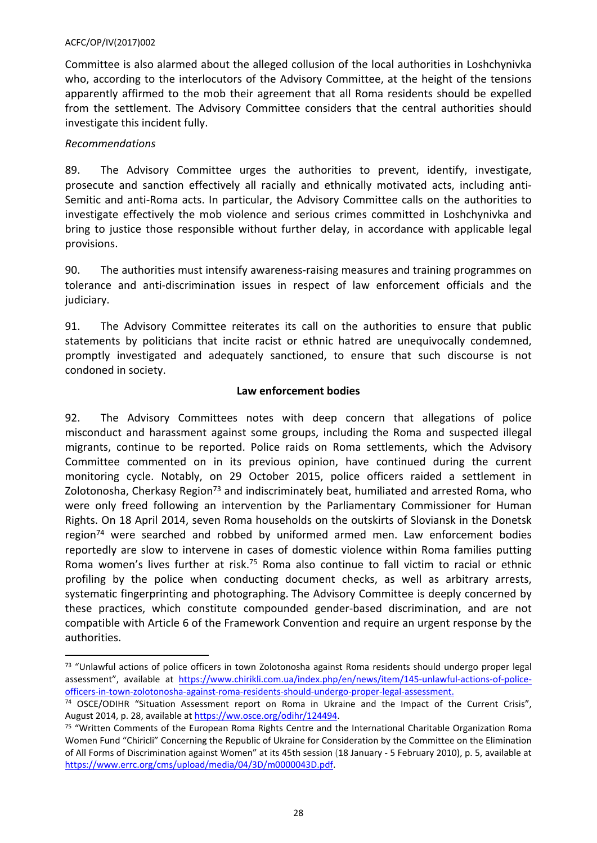Committee is also alarmed about the alleged collusion of the local authorities in Loshchynivka who, according to the interlocutors of the Advisory Committee, at the height of the tensions apparently affirmed to the mob their agreement that all Roma residents should be expelled from the settlement. The Advisory Committee considers that the central authorities should investigate this incident fully.

### *Recommendations*

89. The Advisory Committee urges the authorities to prevent, identify, investigate, prosecute and sanction effectively all racially and ethnically motivated acts, including anti-Semitic and anti-Roma acts. In particular, the Advisory Committee calls on the authorities to investigate effectively the mob violence and serious crimes committed in Loshchynivka and bring to justice those responsible without further delay, in accordance with applicable legal provisions.

90. The authorities must intensify awareness-raising measures and training programmes on tolerance and anti-discrimination issues in respect of law enforcement officials and the judiciary.

91. The Advisory Committee reiterates its call on the authorities to ensure that public statements by politicians that incite racist or ethnic hatred are unequivocally condemned, promptly investigated and adequately sanctioned, to ensure that such discourse is not condoned in society.

### **Law enforcement bodies**

92. The Advisory Committees notes with deep concern that allegations of police misconduct and harassment against some groups, including the Roma and suspected illegal migrants, continue to be reported. Police raids on Roma settlements, which the Advisory Committee commented on in its previous opinion, have continued during the current monitoring cycle. Notably, on 29 October 2015, police officers raided a settlement in Zolotonosha, Cherkasy Region<sup>73</sup> and indiscriminately beat, humiliated and arrested Roma, who were only freed following an intervention by the Parliamentary Commissioner for Human Rights. On 18 April 2014, seven Roma households on the outskirts of Sloviansk in the Donetsk region<sup>74</sup> were searched and robbed by uniformed armed men. Law enforcement bodies reportedly are slow to intervene in cases of domestic violence within Roma families putting Roma women's lives further at risk.<sup>75</sup> Roma also continue to fall victim to racial or ethnic profiling by the police when conducting document checks, as well as arbitrary arrests, systematic fingerprinting and photographing. The Advisory Committee is deeply concerned by these practices, which constitute compounded gender-based discrimination, and are not compatible with Article 6 of the Framework Convention and require an urgent response by the authorities.

<sup>73 &</sup>quot;Unlawful actions of police officers in town Zolotonosha against Roma residents should undergo proper legal assessment", available at [https://www.chirikli.com.ua/index.php/en/news/item/145-unlawful-actions-of-police](https://www.chirikli.com.ua/index.php/en/news/item/145-unlawful-actions-of-police-officers-in-town-zolotonosha-against-roma-residents-should-undergo-proper-legal-assessment)[officers-in-town-zolotonosha-against-roma-residents-should-undergo-proper-legal-assessment.](https://www.chirikli.com.ua/index.php/en/news/item/145-unlawful-actions-of-police-officers-in-town-zolotonosha-against-roma-residents-should-undergo-proper-legal-assessment)

<sup>&</sup>lt;sup>74</sup> OSCE/ODIHR "Situation Assessment report on Roma in Ukraine and the Impact of the Current Crisis", August 2014, p. 28, available at<https://ww.osce.org/odihr/124494>.

<sup>&</sup>lt;sup>75</sup> "Written Comments of the European Roma Rights Centre and the International Charitable Organization Roma Women Fund "Chiricli" Concerning the Republic of Ukraine for Consideration by the Committee on the Elimination of All Forms of Discrimination against Women" at its 45th session (18 January - 5 February 2010), p. 5, available at <https://www.errc.org/cms/upload/media/04/3D/m0000043D.pdf>.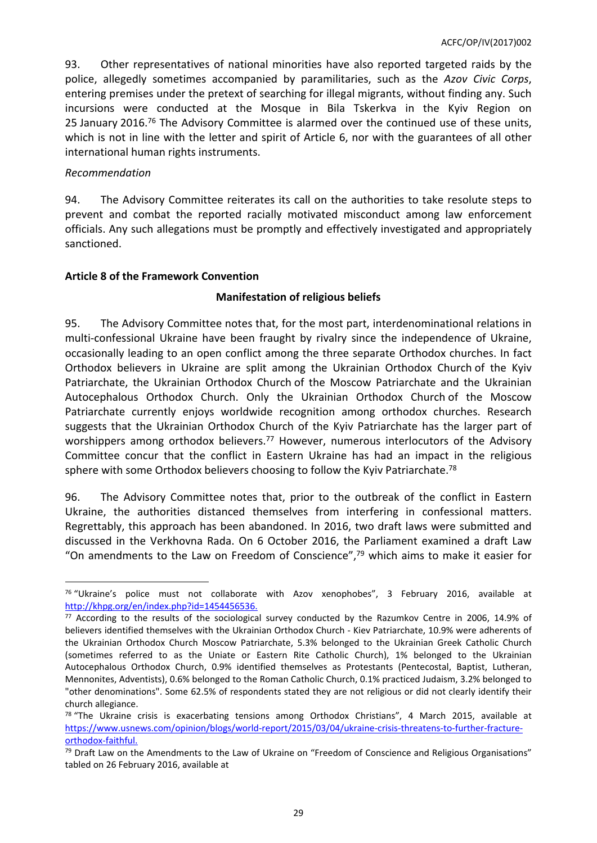93. Other representatives of national minorities have also reported targeted raids by the police, allegedly sometimes accompanied by paramilitaries, such as the *Azov Civic Corps*, entering premises under the pretext of searching for illegal migrants, without finding any. Such incursions were conducted at the Mosque in Bila Tskerkva in the Kyiv Region on 25 January 2016.<sup>76</sup> The Advisory Committee is alarmed over the continued use of these units, which is not in line with the letter and spirit of Article 6, nor with the guarantees of all other international human rights instruments.

### *Recommendation*

94. The Advisory Committee reiterates its call on the authorities to take resolute steps to prevent and combat the reported racially motivated misconduct among law enforcement officials. Any such allegations must be promptly and effectively investigated and appropriately sanctioned.

# <span id="page-28-0"></span>**Article 8 of the Framework Convention**

# **Manifestation of religious beliefs**

95. The Advisory Committee notes that, for the most part, interdenominational relations in multi-confessional Ukraine have been fraught by rivalry since the independence of Ukraine, occasionally leading to an open conflict among the three separate Orthodox churches. In fact Orthodox believers in Ukraine are split among the Ukrainian Orthodox Church of the Kyiv Patriarchate, the Ukrainian Orthodox Church of the Moscow Patriarchate and the Ukrainian Autocephalous Orthodox Church. Only the Ukrainian Orthodox Church of the Moscow Patriarchate currently enjoys worldwide recognition among orthodox churches. Research suggests that the Ukrainian Orthodox Church of the Kyiv Patriarchate has the larger part of worshippers among orthodox believers.<sup>77</sup> However, numerous interlocutors of the Advisory Committee concur that the conflict in Eastern Ukraine has had an impact in the religious sphere with some Orthodox believers choosing to follow the Kyiv Patriarchate.<sup>78</sup>

96. The Advisory Committee notes that, prior to the outbreak of the conflict in Eastern Ukraine, the authorities distanced themselves from interfering in confessional matters. Regrettably, this approach has been abandoned. In 2016, two draft laws were submitted and discussed in the Verkhovna Rada. On 6 October 2016, the Parliament examined a draft Law "On amendments to the Law on Freedom of Conscience", $79$  which aims to make it easier for

 $76$  "Ukraine's police must not collaborate with Azov xenophobes", 3 February 2016, available at <http://khpg.org/en/index.php?id=1454456536>.

<sup>&</sup>lt;sup>77</sup> According to the results of the sociological survey conducted by the Razumkov Centre in 2006, 14.9% of believers identified themselves with the Ukrainian Orthodox Church - Kiev Patriarchate, 10.9% were adherents of the Ukrainian Orthodox Church Moscow Patriarchate, 5.3% belonged to the Ukrainian Greek Catholic Church (sometimes referred to as the Uniate or Eastern Rite Catholic Church), 1% belonged to the Ukrainian Autocephalous Orthodox Church, 0.9% identified themselves as Protestants (Pentecostal, Baptist, Lutheran, Mennonites, Adventists), 0.6% belonged to the Roman Catholic Church, 0.1% practiced Judaism, 3.2% belonged to "other denominations". Some 62.5% of respondents stated they are not religious or did not clearly identify their church allegiance.

 $78$  "The Ukraine crisis is exacerbating tensions among Orthodox Christians", 4 March 2015, available at [https://www.usnews.com/opinion/blogs/world-report/2015/03/04/ukraine-crisis-threatens-to-further-fracture](https://www.usnews.com/opinion/blogs/world-report/2015/03/04/ukraine-crisis-threatens-to-further-fracture-orthodox-faithful)[orthodox-faithful.](https://www.usnews.com/opinion/blogs/world-report/2015/03/04/ukraine-crisis-threatens-to-further-fracture-orthodox-faithful)

<sup>79</sup> Draft Law on the Amendments to the Law of Ukraine on "Freedom of Conscience and Religious Organisations" tabled on 26 February 2016, available at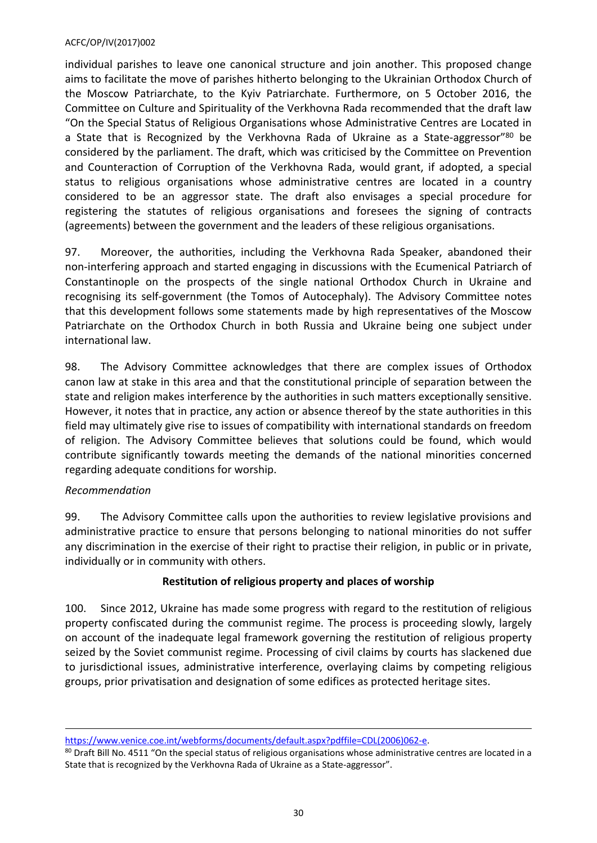individual parishes to leave one canonical structure and join another. This proposed change aims to facilitate the move of parishes hitherto belonging to the Ukrainian Orthodox Church of the Moscow Patriarchate, to the Kyiv Patriarchate. Furthermore, on 5 October 2016, the Committee on Culture and Spirituality of the Verkhovna Rada recommended that the draft law "On the Special Status of Religious Organisations whose Administrative Centres are Located in a State that is Recognized by the Verkhovna Rada of Ukraine as a State-aggressor"<sup>80</sup> be considered by the parliament. The draft, which was criticised by the Committee on Prevention and Counteraction of Corruption of the Verkhovna Rada, would grant, if adopted, a special status to religious organisations whose administrative centres are located in a country considered to be an aggressor state. The draft also envisages a special procedure for registering the statutes of religious organisations and foresees the signing of contracts (agreements) between the government and the leaders of these religious organisations.

97. Moreover, the authorities, including the Verkhovna Rada Speaker, abandoned their non-interfering approach and started engaging in discussions with the Ecumenical Patriarch of Constantinople on the prospects of the single national Orthodox Church in Ukraine and recognising its self-government (the Tomos of Autocephaly). The Advisory Committee notes that this development follows some statements made by high representatives of the Moscow Patriarchate on the Orthodox Church in both Russia and Ukraine being one subject under international law.

98. The Advisory Committee acknowledges that there are complex issues of Orthodox canon law at stake in this area and that the constitutional principle of separation between the state and religion makes interference by the authorities in such matters exceptionally sensitive. However, it notes that in practice, any action or absence thereof by the state authorities in this field may ultimately give rise to issues of compatibility with international standards on freedom of religion. The Advisory Committee believes that solutions could be found, which would contribute significantly towards meeting the demands of the national minorities concerned regarding adequate conditions for worship.

# *Recommendation*

99. The Advisory Committee calls upon the authorities to review legislative provisions and administrative practice to ensure that persons belonging to national minorities do not suffer any discrimination in the exercise of their right to practise their religion, in public or in private, individually or in community with others.

# **Restitution of religious property and places of worship**

100. Since 2012, Ukraine has made some progress with regard to the restitution of religious property confiscated during the communist regime. The process is proceeding slowly, largely on account of the inadequate legal framework governing the restitution of religious property seized by the Soviet communist regime. Processing of civil claims by courts has slackened due to jurisdictional issues, administrative interference, overlaying claims by competing religious groups, prior privatisation and designation of some edifices as protected heritage sites.

[https://www.venice.coe.int/webforms/documents/default.aspx?pdffile=CDL\(2006\)062-e](https://www.venice.coe.int/webforms/documents/default.aspx?pdffile=CDL(2006)062-e).

<sup>80</sup> Draft Bill No. 4511 "On the special status of religious organisations whose administrative centres are located in a State that is recognized by the Verkhovna Rada of Ukraine as a State-aggressor".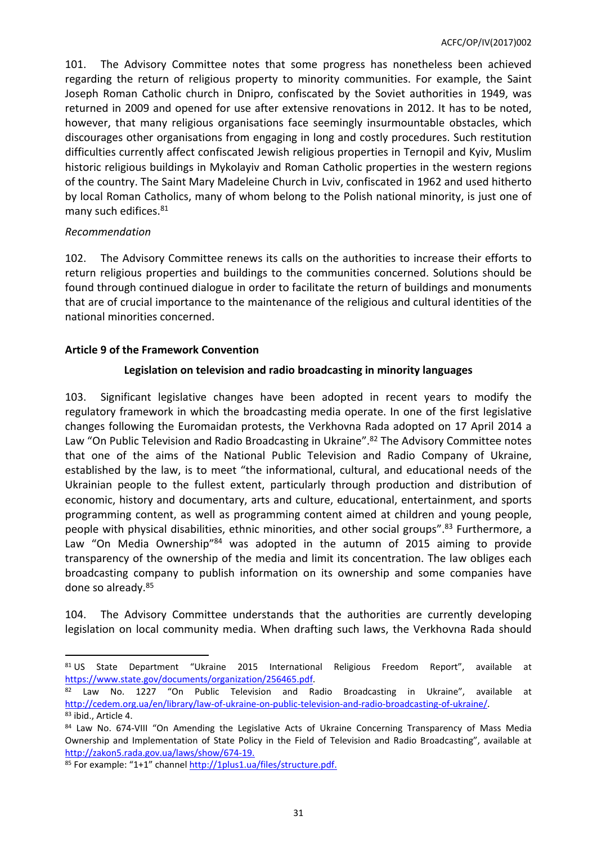101. The Advisory Committee notes that some progress has nonetheless been achieved regarding the return of religious property to minority communities. For example, the Saint Joseph Roman Catholic church in Dnipro, confiscated by the Soviet authorities in 1949, was returned in 2009 and opened for use after extensive renovations in 2012. It has to be noted, however, that many religious organisations face seemingly insurmountable obstacles, which discourages other organisations from engaging in long and costly procedures. Such restitution difficulties currently affect confiscated Jewish religious properties in Ternopil and Kyiv, Muslim historic religious buildings in Mykolayiv and Roman Catholic properties in the western regions of the country. The Saint Mary Madeleine Church in Lviv, confiscated in 1962 and used hitherto by local Roman Catholics, many of whom belong to the Polish national minority, is just one of many such edifices.<sup>81</sup>

# *Recommendation*

102. The Advisory Committee renews its calls on the authorities to increase their efforts to return religious properties and buildings to the communities concerned. Solutions should be found through continued dialogue in order to facilitate the return of buildings and monuments that are of crucial importance to the maintenance of the religious and cultural identities of the national minorities concerned.

# <span id="page-30-0"></span>**Article 9 of the Framework Convention**

# **Legislation on television and radio broadcasting in minority languages**

103. Significant legislative changes have been adopted in recent years to modify the regulatory framework in which the broadcasting media operate. In one of the first legislative changes following the Euromaidan protests, the Verkhovna Rada adopted on 17 April 2014 a Law "On Public Television and Radio Broadcasting in Ukraine".<sup>82</sup> The Advisory Committee notes that one of the aims of the National Public Television and Radio Company of Ukraine, established by the law, is to meet "the informational, cultural, and educational needs of the Ukrainian people to the fullest extent, particularly through production and distribution of economic, history and documentary, arts and culture, educational, entertainment, and sports programming content, as well as programming content aimed at children and young people, people with physical disabilities, ethnic minorities, and other social groups".<sup>83</sup> Furthermore, a Law "On Media Ownership"<sup>84</sup> was adopted in the autumn of 2015 aiming to provide transparency of the ownership of the media and limit its concentration. The law obliges each broadcasting company to publish information on its ownership and some companies have done so already.<sup>85</sup>

104. The Advisory Committee understands that the authorities are currently developing legislation on local community media. When drafting such laws, the Verkhovna Rada should

<sup>81</sup> US State Department "Ukraine 2015 International Religious Freedom Report", available at <https://www.state.gov/documents/organization/256465.pdf>.

Law No. 1227 "On Public Television and Radio Broadcasting in Ukraine", available at <http://cedem.org.ua/en/library/law-of-ukraine-on-public-television-and-radio-broadcasting-of-ukraine/>. 83 ibid., Article 4.

<sup>84</sup> Law No. 674-VIII "On Amending the Legislative Acts of Ukraine Concerning Transparency of Mass Media Ownership and Implementation of State Policy in the Field of Television and Radio Broadcasting", available at [http://zakon5.rada.gov.ua/laws/show/674-19.](http://zakon5.rada.gov.ua/laws/show/674-19)

<sup>85</sup> For example: "1+1" channel [http://1plus1.ua/files/structure.pdf.](http://1plus1.ua/files/structure.pdf)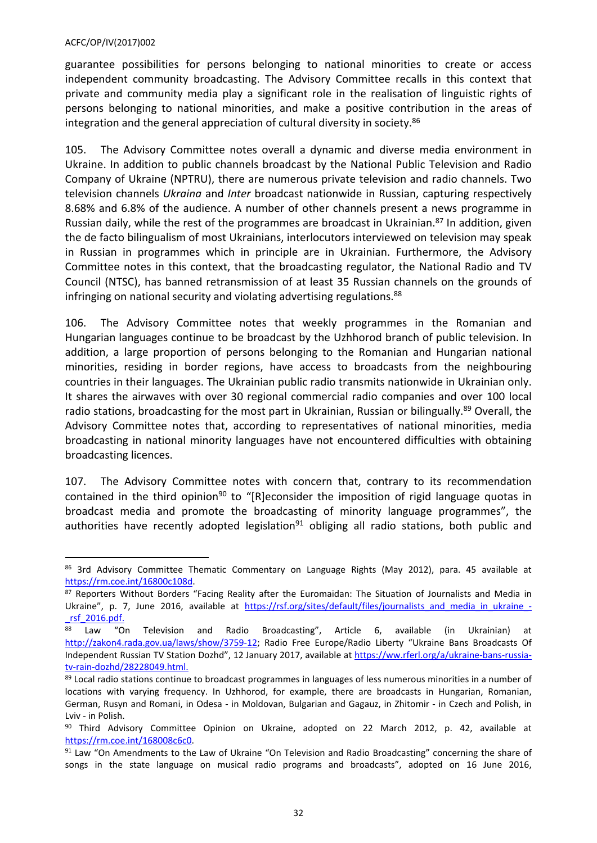guarantee possibilities for persons belonging to national minorities to create or access independent community broadcasting. The Advisory Committee recalls in this context that private and community media play a significant role in the realisation of linguistic rights of persons belonging to national minorities, and make a positive contribution in the areas of integration and the general appreciation of cultural diversity in society. $86$ 

105. The Advisory Committee notes overall a dynamic and diverse media environment in Ukraine. In addition to public channels broadcast by the National Public Television and Radio Company of Ukraine (NPTRU), there are numerous private television and radio channels. Two television channels *Ukraina* and *Inter* broadcast nationwide in Russian, capturing respectively 8.68% and 6.8% of the audience. A number of other channels present a news programme in Russian daily, while the rest of the programmes are broadcast in Ukrainian.<sup>87</sup> In addition, given the de facto bilingualism of most Ukrainians, interlocutors interviewed on television may speak in Russian in programmes which in principle are in Ukrainian. Furthermore, the Advisory Committee notes in this context, that the broadcasting regulator, the National Radio and TV Council (NTSC), has banned retransmission of at least 35 Russian channels on the grounds of infringing on national security and violating advertising regulations.<sup>88</sup>

106. The Advisory Committee notes that weekly programmes in the Romanian and Hungarian languages continue to be broadcast by the Uzhhorod branch of public television. In addition, a large proportion of persons belonging to the Romanian and Hungarian national minorities, residing in border regions, have access to broadcasts from the neighbouring countries in their languages. The Ukrainian public radio transmits nationwide in Ukrainian only. It shares the airwaves with over 30 regional commercial radio companies and over 100 local radio stations, broadcasting for the most part in Ukrainian, Russian or bilingually.<sup>89</sup> Overall, the Advisory Committee notes that, according to representatives of national minorities, media broadcasting in national minority languages have not encountered difficulties with obtaining broadcasting licences.

107. The Advisory Committee notes with concern that, contrary to its recommendation contained in the third opinion<sup>90</sup> to "[R]econsider the imposition of rigid language quotas in broadcast media and promote the broadcasting of minority language programmes", the authorities have recently adopted legislation<sup>91</sup> obliging all radio stations, both public and

<sup>86 3</sup>rd Advisory Committee Thematic Commentary on Language Rights (May 2012), para. 45 available at <https://rm.coe.int/16800c108d>.

<sup>87</sup> Reporters Without Borders "Facing Reality after the Euromaidan: The Situation of Journalists and Media in Ukraine", p. 7, June 2016, available at https://rsf.org/sites/default/files/journalists and media in ukraine -[\\_rsf\\_2016.pdf.](https://rsf.org/sites/default/files/journalists_and_media_in_ukraine_-_rsf_2016.pdf)

<sup>88</sup> Law "On Television and Radio Broadcasting", Article 6, available (in Ukrainian) at [http://zakon4.rada.gov.ua/laws/show/3759-12;](http://zakon4.rada.gov.ua/laws/show/3759-12) Radio Free Europe/Radio Liberty "Ukraine Bans Broadcasts Of Independent Russian TV Station Dozhd", 12 January 2017, available at [https://ww.rferl.org/a/ukraine-bans-russia](https://ww.rferl.org/a/ukraine-bans-russia-tv-rain-dozhd/28228049.html)[tv-rain-dozhd/28228049.html.](https://ww.rferl.org/a/ukraine-bans-russia-tv-rain-dozhd/28228049.html)

<sup>89</sup> Local radio stations continue to broadcast programmes in languages of less numerous minorities in a number of locations with varying frequency. In Uzhhorod, for example, there are broadcasts in Hungarian, Romanian, German, Rusyn and Romani, in Odesa - in Moldovan, Bulgarian and Gagauz, in Zhitomir - in Czech and Polish, in Lviv - in Polish.

<sup>90</sup> Third Advisory Committee Opinion on Ukraine, adopted on 22 March 2012, p. 42, available at <https://rm.coe.int/168008c6c0>.

<sup>91</sup> Law "On Amendments to the Law of Ukraine "On Television and Radio Broadcasting" concerning the share of songs in the state language on musical radio programs and broadcasts", adopted on 16 June 2016,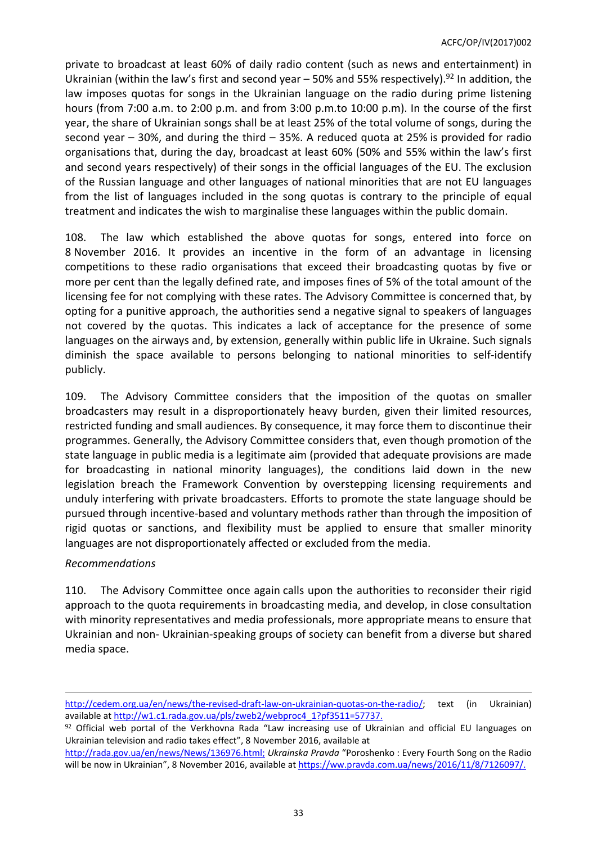private to broadcast at least 60% of daily radio content (such as news and entertainment) in Ukrainian (within the law's first and second year  $-50%$  and 55% respectively).<sup>92</sup> In addition, the law imposes quotas for songs in the Ukrainian language on the radio during prime listening hours (from 7:00 a.m. to 2:00 p.m. and from 3:00 p.m.to 10:00 p.m). In the course of the first year, the share of Ukrainian songs shall be at least 25% of the total volume of songs, during the second year – 30%, and during the third – 35%. A reduced quota at 25% is provided for radio organisations that, during the day, broadcast at least 60% (50% and 55% within the law's first and second years respectively) of their songs in the official languages of the EU. The exclusion of the Russian language and other languages of national minorities that are not EU languages from the list of languages included in the song quotas is contrary to the principle of equal treatment and indicates the wish to marginalise these languages within the public domain.

108. The law which established the above quotas for songs, entered into force on 8 November 2016. It provides an incentive in the form of an advantage in licensing competitions to these radio organisations that exceed their broadcasting quotas by five or more per cent than the legally defined rate, and imposes fines of 5% of the total amount of the licensing fee for not complying with these rates. The Advisory Committee is concerned that, by opting for a punitive approach, the authorities send a negative signal to speakers of languages not covered by the quotas. This indicates a lack of acceptance for the presence of some languages on the airways and, by extension, generally within public life in Ukraine. Such signals diminish the space available to persons belonging to national minorities to self-identify publicly.

109. The Advisory Committee considers that the imposition of the quotas on smaller broadcasters may result in a disproportionately heavy burden, given their limited resources, restricted funding and small audiences. By consequence, it may force them to discontinue their programmes. Generally, the Advisory Committee considers that, even though promotion of the state language in public media is a legitimate aim (provided that adequate provisions are made for broadcasting in national minority languages), the conditions laid down in the new legislation breach the Framework Convention by overstepping licensing requirements and unduly interfering with private broadcasters. Efforts to promote the state language should be pursued through incentive-based and voluntary methods rather than through the imposition of rigid quotas or sanctions, and flexibility must be applied to ensure that smaller minority languages are not disproportionately affected or excluded from the media.

### *Recommendations*

110. The Advisory Committee once again calls upon the authorities to reconsider their rigid approach to the quota requirements in broadcasting media, and develop, in close consultation with minority representatives and media professionals, more appropriate means to ensure that Ukrainian and non- Ukrainian-speaking groups of society can benefit from a diverse but shared media space.

[http://cedem.org.ua/en/news/the-revised-draft-law-on-ukrainian-quotas-on-the-radio/;](http://cedem.org.ua/en/news/the-revised-draft-law-on-ukrainian-quotas-on-the-radio/) text (in Ukrainian) available at [http://w1.c1.rada.gov.ua/pls/zweb2/webproc4\\_1?pf3511=57737](http://w1.c1.rada.gov.ua/pls/zweb2/webproc4_1?pf3511=57737).

<sup>92</sup> Official web portal of the Verkhovna Rada "Law increasing use of Ukrainian and official EU languages on Ukrainian television and radio takes effect", 8 November 2016, available at

[http://rada.gov.ua/en/news/News/136976.html;](http://rada.gov.ua/en/news/News/136976.html) *Ukrainska Pravda* "Poroshenko : Every Fourth Song on the Radio will be now in Ukrainian", 8 November 2016, available at <https://ww.pravda.com.ua/news/2016/11/8/7126097/>.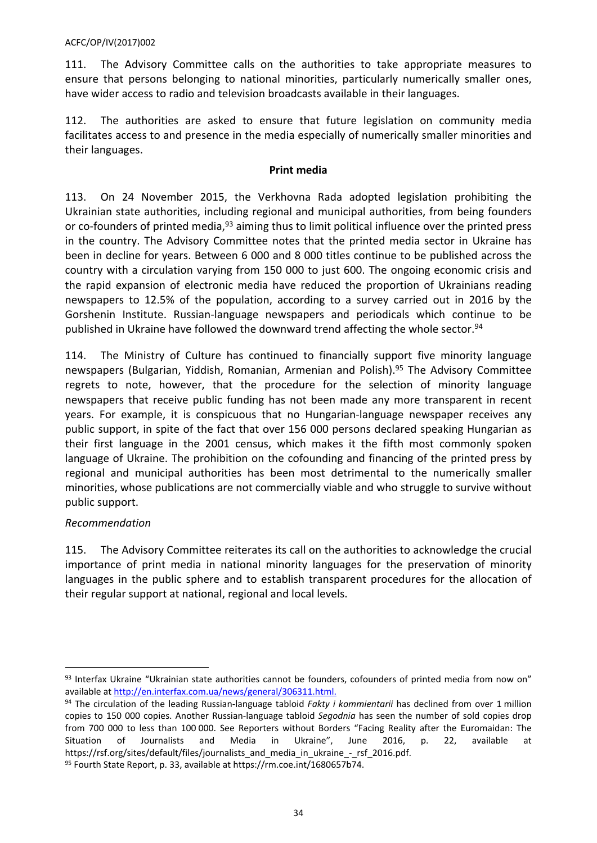111. The Advisory Committee calls on the authorities to take appropriate measures to ensure that persons belonging to national minorities, particularly numerically smaller ones, have wider access to radio and television broadcasts available in their languages.

112. The authorities are asked to ensure that future legislation on community media facilitates access to and presence in the media especially of numerically smaller minorities and their languages.

# **Print media**

113. On 24 November 2015, the Verkhovna Rada adopted legislation prohibiting the Ukrainian state authorities, including regional and municipal authorities, from being founders or co-founders of printed media, <sup>93</sup> aiming thus to limit political influence over the printed press in the country. The Advisory Committee notes that the printed media sector in Ukraine has been in decline for years. Between 6 000 and 8 000 titles continue to be published across the country with a circulation varying from 150 000 to just 600. The ongoing economic crisis and the rapid expansion of electronic media have reduced the proportion of Ukrainians reading newspapers to 12.5% of the population, according to a survey carried out in 2016 by the Gorshenin Institute. Russian-language newspapers and periodicals which continue to be published in Ukraine have followed the downward trend affecting the whole sector.<sup>94</sup>

114. The Ministry of Culture has continued to financially support five minority language newspapers (Bulgarian, Yiddish, Romanian, Armenian and Polish).<sup>95</sup> The Advisory Committee regrets to note, however, that the procedure for the selection of minority language newspapers that receive public funding has not been made any more transparent in recent years. For example, it is conspicuous that no Hungarian-language newspaper receives any public support, in spite of the fact that over 156 000 persons declared speaking Hungarian as their first language in the 2001 census, which makes it the fifth most commonly spoken language of Ukraine. The prohibition on the cofounding and financing of the printed press by regional and municipal authorities has been most detrimental to the numerically smaller minorities, whose publications are not commercially viable and who struggle to survive without public support.

# *Recommendation*

115. The Advisory Committee reiterates its call on the authorities to acknowledge the crucial importance of print media in national minority languages for the preservation of minority languages in the public sphere and to establish transparent procedures for the allocation of their regular support at national, regional and local levels.

<sup>93</sup> Interfax Ukraine "Ukrainian state authorities cannot be founders, cofounders of printed media from now on" available at <http://en.interfax.com.ua/news/general/306311.html>.

<sup>94</sup> The circulation of the leading Russian-language tabloid *Fakty i kommientarii* has declined from over 1 million copies to 150 000 copies. Another Russian-language tabloid *Segodnia* has seen the number of sold copies drop from 700 000 to less than 100 000. See Reporters without Borders "Facing Reality after the Euromaidan: The Situation of Journalists and Media in Ukraine", June 2016, p. 22, available at https://rsf.org/sites/default/files/journalists and media in ukraine - rsf 2016.pdf.

<sup>95</sup> Fourth State Report, p. 33, available at https://rm.coe.int/1680657b74.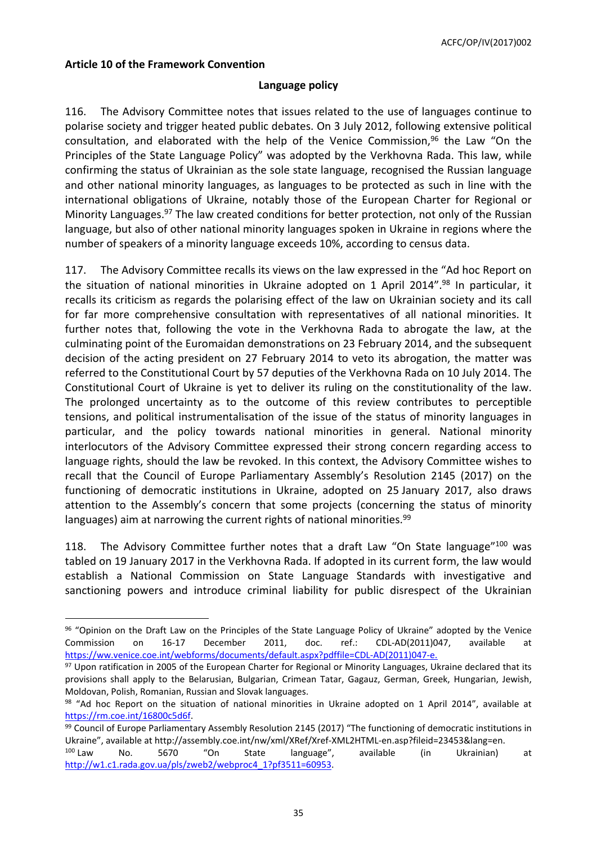### <span id="page-34-0"></span>**Article 10 of the Framework Convention**

### **Language policy**

116. The Advisory Committee notes that issues related to the use of languages continue to polarise society and trigger heated public debates. On 3 July 2012, following extensive political consultation, and elaborated with the help of the Venice Commission, $96$  the Law "On the Principles of the State Language Policy" was adopted by the Verkhovna Rada. This law, while confirming the status of Ukrainian as the sole state language, recognised the Russian language and other national minority languages, as languages to be protected as such in line with the international obligations of Ukraine, notably those of the European Charter for Regional or Minority Languages.<sup>97</sup> The law created conditions for better protection, not only of the Russian language, but also of other national minority languages spoken in Ukraine in regions where the number of speakers of a minority language exceeds 10%, according to census data.

117. The Advisory Committee recalls its views on the law expressed in the "Ad hoc Report on the situation of national minorities in Ukraine adopted on 1 April 2014".<sup>98</sup> In particular, it recalls its criticism as regards the polarising effect of the law on Ukrainian society and its call for far more comprehensive consultation with representatives of all national minorities. It further notes that, following the vote in the Verkhovna Rada to abrogate the law, at the culminating point of the Euromaidan demonstrations on 23 February 2014, and the subsequent decision of the acting president on 27 February 2014 to veto its abrogation, the matter was referred to the Constitutional Court by 57 deputies of the Verkhovna Rada on 10 July 2014. The Constitutional Court of Ukraine is yet to deliver its ruling on the constitutionality of the law. The prolonged uncertainty as to the outcome of this review contributes to perceptible tensions, and political instrumentalisation of the issue of the status of minority languages in particular, and the policy towards national minorities in general. National minority interlocutors of the Advisory Committee expressed their strong concern regarding access to language rights, should the law be revoked. In this context, the Advisory Committee wishes to recall that the Council of Europe Parliamentary Assembly's Resolution 2145 (2017) on the functioning of democratic institutions in Ukraine, adopted on 25 January 2017, also draws attention to the Assembly's concern that some projects (concerning the status of minority languages) aim at narrowing the current rights of national minorities.<sup>99</sup>

118. The Advisory Committee further notes that a draft Law "On State language"<sup>100</sup> was tabled on 19 January 2017 in the Verkhovna Rada. If adopted in its current form, the law would establish a National Commission on State Language Standards with investigative and sanctioning powers and introduce criminal liability for public disrespect of the Ukrainian

<sup>96 &</sup>quot;Opinion on the Draft Law on the Principles of the State Language Policy of Ukraine" adopted by the Venice Commission on 16-17 December 2011, doc. ref.: CDL-AD(2011)047, available [https://ww.venice.coe.int/webforms/documents/default.aspx?pdffile=CDL-AD\(2011\)047-e.](https://ww.venice.coe.int/webforms/documents/default.aspx?pdffile=CDL-AD(2011)047-e)

<sup>&</sup>lt;sup>97</sup> Upon ratification in 2005 of the European Charter for Regional or Minority Languages, Ukraine declared that its provisions shall apply to the Belarusian, Bulgarian, Crimean Tatar, Gagauz, German, Greek, Hungarian, Jewish, Moldovan, Polish, Romanian, Russian and Slovak languages.

<sup>98 &</sup>quot;Ad hoc Report on the situation of national minorities in Ukraine adopted on 1 April 2014", available at <https://rm.coe.int/16800c5d6f>.

<sup>99</sup> Council of Europe Parliamentary Assembly Resolution 2145 (2017) "The functioning of democratic institutions in Ukraine", available at http://assembly.coe.int/nw/xml/XRef/Xref-XML2HTML-en.asp?fileid=23453&lang=en.

<sup>100</sup> Law No. 5670 "On State language", available (in Ukrainian) at [http://w1.c1.rada.gov.ua/pls/zweb2/webproc4\\_1?pf3511=60953.](http://w1.c1.rada.gov.ua/pls/zweb2/webproc4_1?pf3511=60953)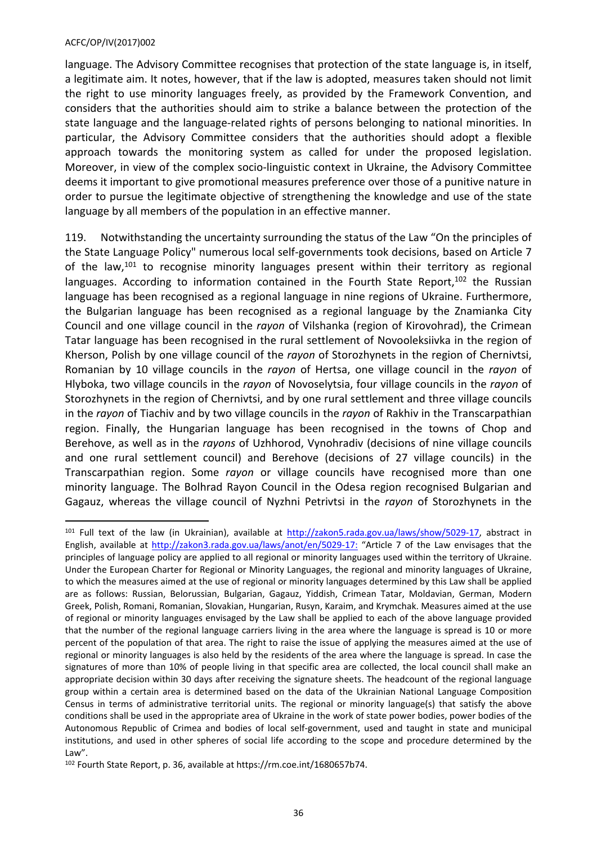language. The Advisory Committee recognises that protection of the state language is, in itself, a legitimate aim. It notes, however, that if the law is adopted, measures taken should not limit the right to use minority languages freely, as provided by the Framework Convention, and considers that the authorities should aim to strike a balance between the protection of the state language and the language-related rights of persons belonging to national minorities. In particular, the Advisory Committee considers that the authorities should adopt a flexible approach towards the monitoring system as called for under the proposed legislation. Moreover, in view of the complex socio-linguistic context in Ukraine, the Advisory Committee deems it important to give promotional measures preference over those of a punitive nature in order to pursue the legitimate objective of strengthening the knowledge and use of the state language by all members of the population in an effective manner.

119. Notwithstanding the uncertainty surrounding the status of the Law "On the principles of the State Language Policy" numerous local self-governments took decisions, based on Article 7 of the law, $101$  to recognise minority languages present within their territory as regional languages. According to information contained in the Fourth State Report,  $102$  the Russian language has been recognised as a regional language in nine regions of Ukraine. Furthermore, the Bulgarian language has been recognised as a regional language by the Znamianka City Council and one village council in the *rayon* of Vilshanka (region of Kirovohrad), the Crimean Tatar language has been recognised in the rural settlement of Novooleksiivka in the region of Kherson, Polish by one village council of the *rayon* of Storozhynets in the region of Chernivtsi, Romanian by 10 village councils in the *rayon* of Hertsa, one village council in the *rayon* of Hlyboka, two village councils in the *rayon* of Novoselytsia, four village councils in the *rayon* of Storozhynets in the region of Chernivtsi, and by one rural settlement and three village councils in the *rayon* of Tiachiv and by two village councils in the *rayon* of Rakhiv in the Transcarpathian region. Finally, the Hungarian language has been recognised in the towns of Chop and Berehove, as well as in the *rayons* of Uzhhorod, Vynohradiv (decisions of nine village councils and one rural settlement council) and Berehove (decisions of 27 village councils) in the Transcarpathian region. Some *rayon* or village councils have recognised more than one minority language. The Bolhrad Rayon Council in the Odesa region recognised Bulgarian and Gagauz, whereas the village council of Nyzhni Petrivtsi in the *rayon* of Storozhynets in the

<sup>&</sup>lt;sup>101</sup> Full text of the law (in Ukrainian), available at <http://zakon5.rada.gov.ua/laws/show/5029-17>, abstract in English, available at <http://zakon3.rada.gov.ua/laws/anot/en/5029-17>: "Article 7 of the Law envisages that the principles of language policy are applied to all regional or minority languages used within the territory of Ukraine. Under the European Charter for Regional or Minority Languages, the regional and minority languages of Ukraine, to which the measures aimed at the use of regional or minority languages determined by this Law shall be applied are as follows: Russian, Belorussian, Bulgarian, Gagauz, Yiddish, Crimean Tatar, Moldavian, German, Modern Greek, Polish, Romani, Romanian, Slovakian, Hungarian, Rusyn, Karaim, and Krymchak. Measures aimed at the use of regional or minority languages envisaged by the Law shall be applied to each of the above language provided that the number of the regional language carriers living in the area where the language is spread is 10 or more percent of the population of that area. The right to raise the issue of applying the measures aimed at the use of regional or minority languages is also held by the residents of the area where the language is spread. In case the signatures of more than 10% of people living in that specific area are collected, the local council shall make an appropriate decision within 30 days after receiving the signature sheets. The headcount of the regional language group within a certain area is determined based on the data of the Ukrainian National Language Composition Census in terms of administrative territorial units. The regional or minority language(s) that satisfy the above conditions shall be used in the appropriate area of Ukraine in the work of state power bodies, power bodies of the Autonomous Republic of Crimea and bodies of local self-government, used and taught in state and municipal institutions, and used in other spheres of social life according to the scope and procedure determined by the Law".

<sup>102</sup> Fourth State Report, p. 36, available at https://rm.coe.int/1680657b74.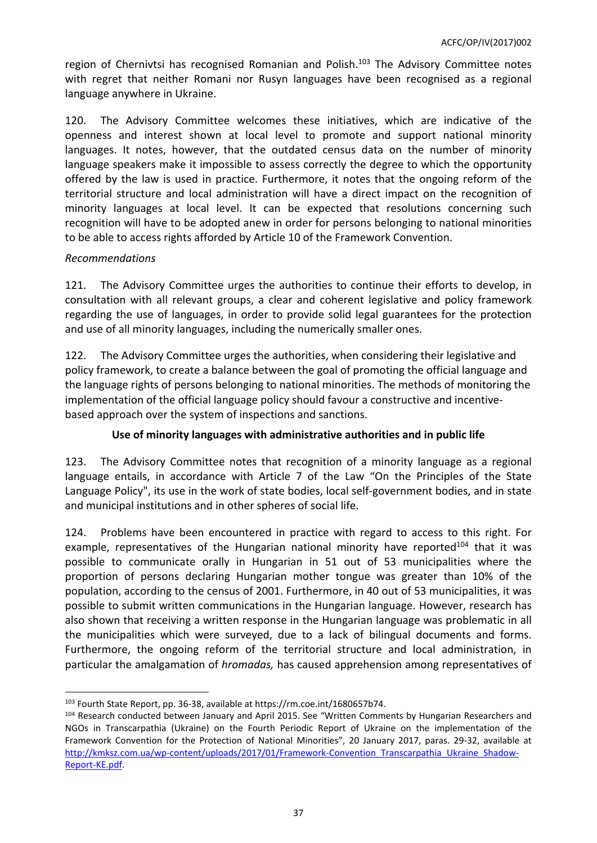region of Chernivtsi has recognised Romanian and Polish.<sup>103</sup> The Advisory Committee notes with regret that neither Romani nor Rusyn languages have been recognised as a regional language anywhere in Ukraine.

120. The Advisory Committee welcomes these initiatives, which are indicative of the openness and interest shown at local level to promote and support national minority languages. It notes, however, that the outdated census data on the number of minority language speakers make it impossible to assess correctly the degree to which the opportunity offered by the law is used in practice. Furthermore, it notes that the ongoing reform of the territorial structure and local administration will have a direct impact on the recognition of minority languages at local level. It can be expected that resolutions concerning such recognition will have to be adopted anew in order for persons belonging to national minorities to be able to access rights afforded by Article 10 of the Framework Convention.

# *Recommendations*

121. The Advisory Committee urges the authorities to continue their efforts to develop, in consultation with all relevant groups, a clear and coherent legislative and policy framework regarding the use of languages, in order to provide solid legal guarantees for the protection and use of all minority languages, including the numerically smaller ones.

122. The Advisory Committee urges the authorities, when considering their legislative and policy framework, to create a balance between the goal of promoting the official language and the language rights of persons belonging to national minorities. The methods of monitoring the implementation of the official language policy should favour a constructive and incentivebased approach over the system of inspections and sanctions.

# **Use of minority languages with administrative authorities and in public life**

123. The Advisory Committee notes that recognition of a minority language as a regional language entails, in accordance with Article 7 of the Law "On the Principles of the State Language Policy", its use in the work of state bodies, local self-government bodies, and in state and municipal institutions and in other spheres of social life.

124. Problems have been encountered in practice with regard to access to this right. For example, representatives of the Hungarian national minority have reported<sup>104</sup> that it was possible to communicate orally in Hungarian in 51 out of 53 municipalities where the proportion of persons declaring Hungarian mother tongue was greater than 10% of the population, according to the census of 2001. Furthermore, in 40 out of 53 municipalities, it was possible to submit written communications in the Hungarian language. However, research has also shown that receiving a written response in the Hungarian language was problematic in all the municipalities which were surveyed, due to a lack of bilingual documents and forms. Furthermore, the ongoing reform of the territorial structure and local administration, in particular the amalgamation of *hromadas,* has caused apprehension among representatives of

<sup>103</sup> Fourth State Report, pp. 36-38, available at https://rm.coe.int/1680657b74.

<sup>104</sup> Research conducted between January and April 2015. See "Written Comments by Hungarian Researchers and NGOs in Transcarpathia (Ukraine) on the Fourth Periodic Report of Ukraine on the implementation of the Framework Convention for the Protection of National Minorities", 20 January 2017, paras. 29-32, available at [http://kmksz.com.ua/wp-content/uploads/2017/01/Framework-Convention\\_Transcarpathia\\_Ukraine\\_Shadow-](http://kmksz.com.ua/wp-content/uploads/2017/01/Framework-Convention_Transcarpathia_Ukraine_Shadow-Report-KE.pdf)[Report-KE.pdf.](http://kmksz.com.ua/wp-content/uploads/2017/01/Framework-Convention_Transcarpathia_Ukraine_Shadow-Report-KE.pdf)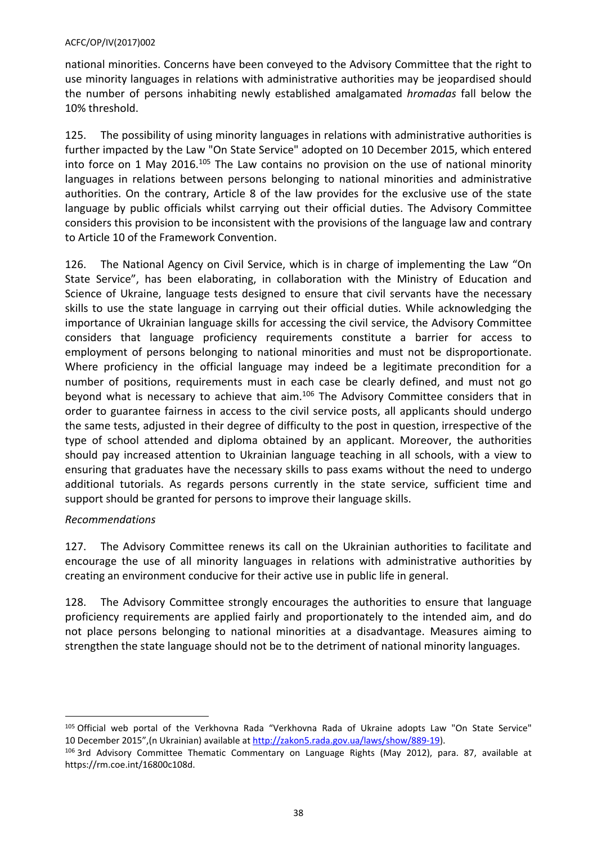national minorities. Concerns have been conveyed to the Advisory Committee that the right to use minority languages in relations with administrative authorities may be jeopardised should the number of persons inhabiting newly established amalgamated *hromadas* fall below the 10% threshold.

125. The possibility of using minority languages in relations with administrative authorities is further impacted by the Law "On State Service" adopted on 10 December 2015, which entered into force on 1 May 2016.<sup>105</sup> The Law contains no provision on the use of national minority languages in relations between persons belonging to national minorities and administrative authorities. On the contrary, Article 8 of the law provides for the exclusive use of the state language by public officials whilst carrying out their official duties. The Advisory Committee considers this provision to be inconsistent with the provisions of the language law and contrary to Article 10 of the Framework Convention.

126. The National Agency on Civil Service, which is in charge of implementing the Law "On State Service", has been elaborating, in collaboration with the Ministry of Education and Science of Ukraine, language tests designed to ensure that civil servants have the necessary skills to use the state language in carrying out their official duties. While acknowledging the importance of Ukrainian language skills for accessing the civil service, the Advisory Committee considers that language proficiency requirements constitute a barrier for access to employment of persons belonging to national minorities and must not be disproportionate. Where proficiency in the official language may indeed be a legitimate precondition for a number of positions, requirements must in each case be clearly defined, and must not go beyond what is necessary to achieve that aim.<sup>106</sup> The Advisory Committee considers that in order to guarantee fairness in access to the civil service posts, all applicants should undergo the same tests, adjusted in their degree of difficulty to the post in question, irrespective of the type of school attended and diploma obtained by an applicant. Moreover, the authorities should pay increased attention to Ukrainian language teaching in all schools, with a view to ensuring that graduates have the necessary skills to pass exams without the need to undergo additional tutorials. As regards persons currently in the state service, sufficient time and support should be granted for persons to improve their language skills.

# *Recommendations*

127. The Advisory Committee renews its call on the Ukrainian authorities to facilitate and encourage the use of all minority languages in relations with administrative authorities by creating an environment conducive for their active use in public life in general.

128. The Advisory Committee strongly encourages the authorities to ensure that language proficiency requirements are applied fairly and proportionately to the intended aim, and do not place persons belonging to national minorities at a disadvantage. Measures aiming to strengthen the state language should not be to the detriment of national minority languages.

<sup>105</sup> Official web portal of the Verkhovna Rada "Verkhovna Rada of Ukraine adopts Law "On State Service" 10 December 2015",(n Ukrainian) available at [http://zakon5.rada.gov.ua/laws/show/889-19\)](http://zakon5.rada.gov.ua/laws/show/889-19).

<sup>106</sup> 3rd Advisory Committee Thematic Commentary on Language Rights (May 2012), para. 87, available at https://rm.coe.int/16800c108d.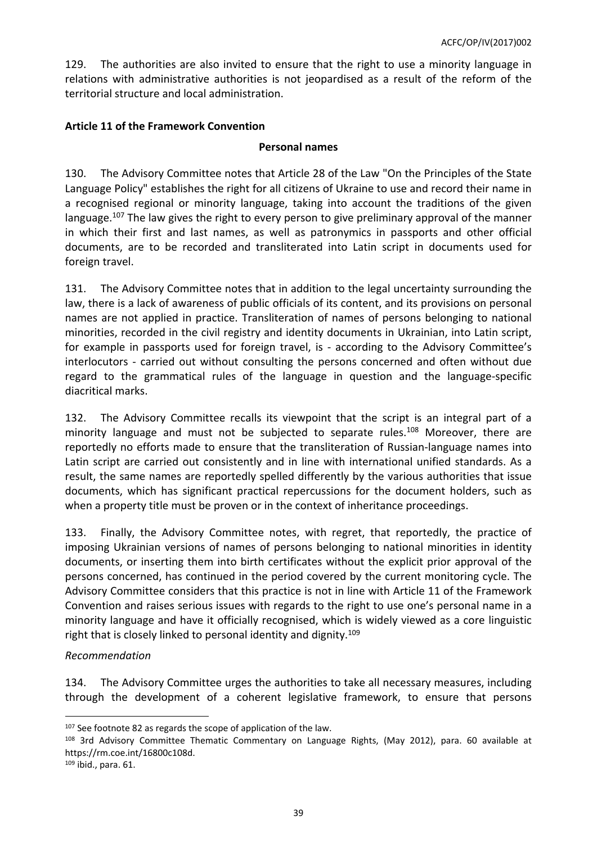129. The authorities are also invited to ensure that the right to use a minority language in relations with administrative authorities is not jeopardised as a result of the reform of the territorial structure and local administration.

# <span id="page-38-0"></span>**Article 11 of the Framework Convention**

### **Personal names**

130. The Advisory Committee notes that Article 28 of the Law "On the Principles of the State Language Policy" establishes the right for all citizens of Ukraine to use and record their name in a recognised regional or minority language, taking into account the traditions of the given language.<sup>107</sup> The law gives the right to every person to give preliminary approval of the manner in which their first and last names, as well as patronymics in passports and other official documents, are to be recorded and transliterated into Latin script in documents used for foreign travel.

131. The Advisory Committee notes that in addition to the legal uncertainty surrounding the law, there is a lack of awareness of public officials of its content, and its provisions on personal names are not applied in practice. Transliteration of names of persons belonging to national minorities, recorded in the civil registry and identity documents in Ukrainian, into Latin script, for example in passports used for foreign travel, is - according to the Advisory Committee's interlocutors - carried out without consulting the persons concerned and often without due regard to the grammatical rules of the language in question and the language-specific diacritical marks.

132. The Advisory Committee recalls its viewpoint that the script is an integral part of a minority language and must not be subjected to separate rules.<sup>108</sup> Moreover, there are reportedly no efforts made to ensure that the transliteration of Russian-language names into Latin script are carried out consistently and in line with international unified standards. As a result, the same names are reportedly spelled differently by the various authorities that issue documents, which has significant practical repercussions for the document holders, such as when a property title must be proven or in the context of inheritance proceedings.

133. Finally, the Advisory Committee notes, with regret, that reportedly, the practice of imposing Ukrainian versions of names of persons belonging to national minorities in identity documents, or inserting them into birth certificates without the explicit prior approval of the persons concerned, has continued in the period covered by the current monitoring cycle. The Advisory Committee considers that this practice is not in line with Article 11 of the Framework Convention and raises serious issues with regards to the right to use one's personal name in a minority language and have it officially recognised, which is widely viewed as a core linguistic right that is closely linked to personal identity and dignity.<sup>109</sup>

### *Recommendation*

134. The Advisory Committee urges the authorities to take all necessary measures, including through the development of a coherent legislative framework, to ensure that persons

109 ibid., para. 61.

<sup>107</sup> See footnote 82 as regards the scope of application of the law.

<sup>108</sup> 3rd Advisory Committee Thematic Commentary on Language Rights, (May 2012), para. 60 available at https://rm.coe.int/16800c108d.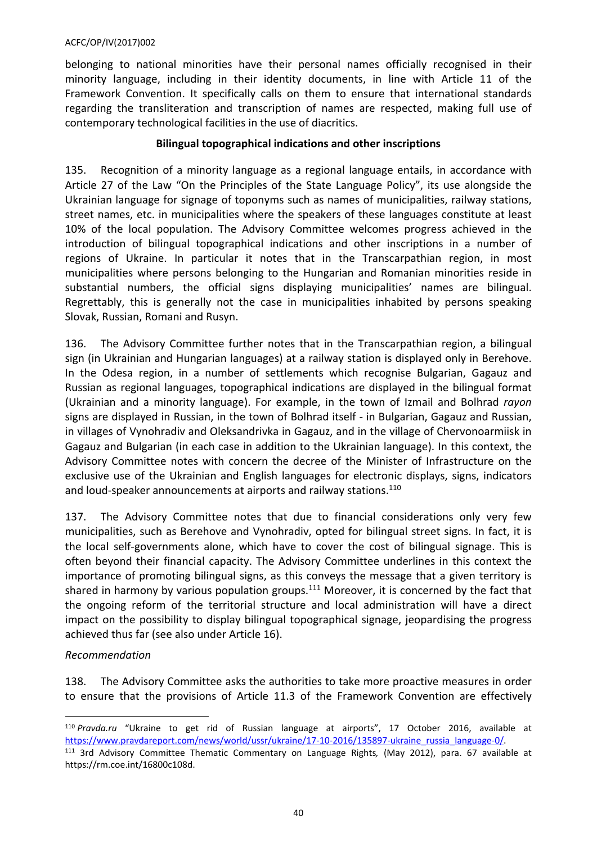belonging to national minorities have their personal names officially recognised in their minority language, including in their identity documents, in line with Article 11 of the Framework Convention. It specifically calls on them to ensure that international standards regarding the transliteration and transcription of names are respected, making full use of contemporary technological facilities in the use of diacritics.

# **Bilingual topographical indications and other inscriptions**

135. Recognition of a minority language as a regional language entails, in accordance with Article 27 of the Law "On the Principles of the State Language Policy", its use alongside the Ukrainian language for signage of toponyms such as names of municipalities, railway stations, street names, etc. in municipalities where the speakers of these languages constitute at least 10% of the local population. The Advisory Committee welcomes progress achieved in the introduction of bilingual topographical indications and other inscriptions in a number of regions of Ukraine. In particular it notes that in the Transcarpathian region, in most municipalities where persons belonging to the Hungarian and Romanian minorities reside in substantial numbers, the official signs displaying municipalities' names are bilingual. Regrettably, this is generally not the case in municipalities inhabited by persons speaking Slovak, Russian, Romani and Rusyn.

136. The Advisory Committee further notes that in the Transcarpathian region, a bilingual sign (in Ukrainian and Hungarian languages) at a railway station is displayed only in Berehove. In the Odesa region, in a number of settlements which recognise Bulgarian, Gagauz and Russian as regional languages, topographical indications are displayed in the bilingual format (Ukrainian and a minority language). For example, in the town of Izmail and Bolhrad *rayon* signs are displayed in Russian, in the town of Bolhrad itself - in Bulgarian, Gagauz and Russian, in villages of Vynohradiv and Oleksandrivka in Gagauz, and in the village of Chervonoarmiisk in Gagauz and Bulgarian (in each case in addition to the Ukrainian language). In this context, the Advisory Committee notes with concern the decree of the Minister of Infrastructure on the exclusive use of the Ukrainian and English languages for electronic displays, signs, indicators and loud-speaker announcements at airports and railway stations.<sup>110</sup>

137. The Advisory Committee notes that due to financial considerations only very few municipalities, such as Berehove and Vynohradiv, opted for bilingual street signs. In fact, it is the local self-governments alone, which have to cover the cost of bilingual signage. This is often beyond their financial capacity. The Advisory Committee underlines in this context the importance of promoting bilingual signs, as this conveys the message that a given territory is shared in harmony by various population groups.<sup>111</sup> Moreover, it is concerned by the fact that the ongoing reform of the territorial structure and local administration will have a direct impact on the possibility to display bilingual topographical signage, jeopardising the progress achieved thus far (see also under Article 16).

# *Recommendation*

138. The Advisory Committee asks the authorities to take more proactive measures in order to ensure that the provisions of Article 11.3 of the Framework Convention are effectively

<sup>110</sup> *Pravda.ru* "Ukraine to get rid of Russian language at airports", 17 October 2016, available at [https://www.pravdareport.com/news/world/ussr/ukraine/17-10-2016/135897-ukraine\\_russia\\_language-0/.](https://www.pravdareport.com/news/world/ussr/ukraine/17-10-2016/135897-ukraine_russia_language-0/) <sup>111</sup> 3rd Advisory Committee Thematic Commentary on Language Rights*,* (May 2012), para. 67 available at https://rm.coe.int/16800c108d.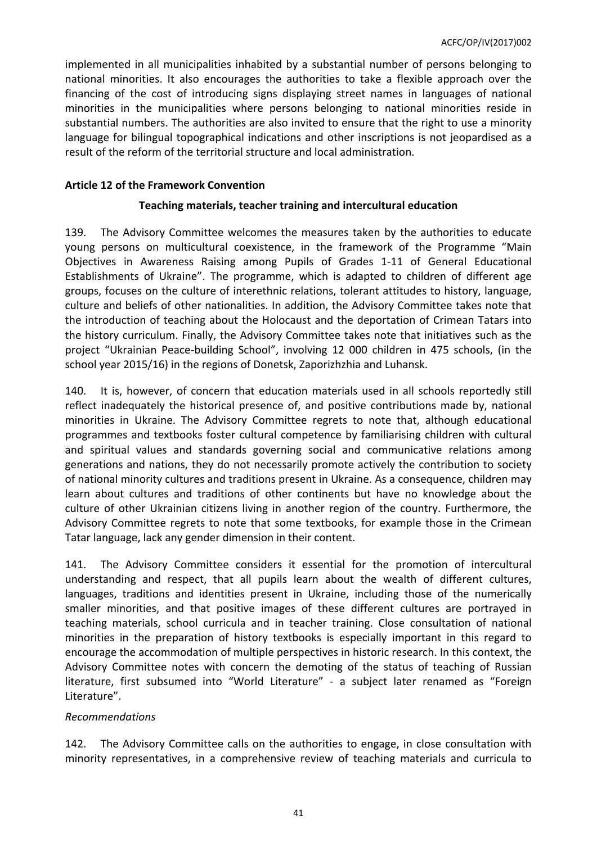implemented in all municipalities inhabited by a substantial number of persons belonging to national minorities. It also encourages the authorities to take a flexible approach over the financing of the cost of introducing signs displaying street names in languages of national minorities in the municipalities where persons belonging to national minorities reside in substantial numbers. The authorities are also invited to ensure that the right to use a minority language for bilingual topographical indications and other inscriptions is not jeopardised as a result of the reform of the territorial structure and local administration.

### <span id="page-40-0"></span>**Article 12 of the Framework Convention**

### **Teaching materials, teacher training and intercultural education**

139. The Advisory Committee welcomes the measures taken by the authorities to educate young persons on multicultural coexistence, in the framework of the Programme "Main Objectives in Awareness Raising among Pupils of Grades 1-11 of General Educational Establishments of Ukraine". The programme, which is adapted to children of different age groups, focuses on the culture of interethnic relations, tolerant attitudes to history, language, culture and beliefs of other nationalities. In addition, the Advisory Committee takes note that the introduction of teaching about the Holocaust and the deportation of Crimean Tatars into the history curriculum. Finally, the Advisory Committee takes note that initiatives such as the project "Ukrainian Peace-building School", involving 12 000 children in 475 schools, (in the school year 2015/16) in the regions of Donetsk, Zaporizhzhia and Luhansk.

140. It is, however, of concern that education materials used in all schools reportedly still reflect inadequately the historical presence of, and positive contributions made by, national minorities in Ukraine. The Advisory Committee regrets to note that, although educational programmes and textbooks foster cultural competence by familiarising children with cultural and spiritual values and standards governing social and communicative relations among generations and nations, they do not necessarily promote actively the contribution to society of national minority cultures and traditions present in Ukraine. As a consequence, children may learn about cultures and traditions of other continents but have no knowledge about the culture of other Ukrainian citizens living in another region of the country. Furthermore, the Advisory Committee regrets to note that some textbooks, for example those in the Crimean Tatar language, lack any gender dimension in their content.

141. The Advisory Committee considers it essential for the promotion of intercultural understanding and respect, that all pupils learn about the wealth of different cultures, languages, traditions and identities present in Ukraine, including those of the numerically smaller minorities, and that positive images of these different cultures are portrayed in teaching materials, school curricula and in teacher training. Close consultation of national minorities in the preparation of history textbooks is especially important in this regard to encourage the accommodation of multiple perspectives in historic research. In this context, the Advisory Committee notes with concern the demoting of the status of teaching of Russian literature, first subsumed into "World Literature" - a subject later renamed as "Foreign Literature".

### *Recommendations*

142. The Advisory Committee calls on the authorities to engage, in close consultation with minority representatives, in a comprehensive review of teaching materials and curricula to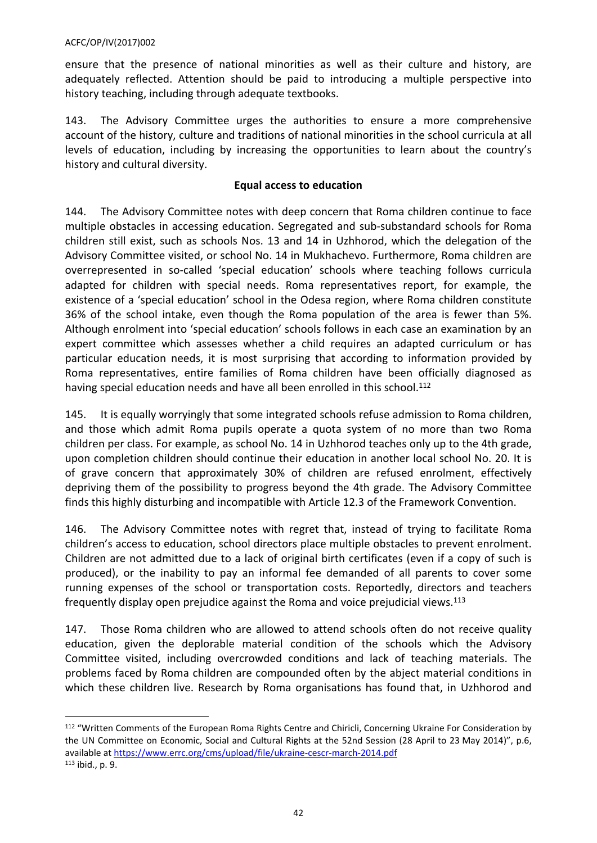ensure that the presence of national minorities as well as their culture and history, are adequately reflected. Attention should be paid to introducing a multiple perspective into history teaching, including through adequate textbooks.

143. The Advisory Committee urges the authorities to ensure a more comprehensive account of the history, culture and traditions of national minorities in the school curricula at all levels of education, including by increasing the opportunities to learn about the country's history and cultural diversity.

# **Equal access to education**

144. The Advisory Committee notes with deep concern that Roma children continue to face multiple obstacles in accessing education. Segregated and sub-substandard schools for Roma children still exist, such as schools Nos. 13 and 14 in Uzhhorod, which the delegation of the Advisory Committee visited, or school No. 14 in Mukhachevo. Furthermore, Roma children are overrepresented in so-called 'special education' schools where teaching follows curricula adapted for children with special needs. Roma representatives report, for example, the existence of a 'special education' school in the Odesa region, where Roma children constitute 36% of the school intake, even though the Roma population of the area is fewer than 5%. Although enrolment into 'special education' schools follows in each case an examination by an expert committee which assesses whether a child requires an adapted curriculum or has particular education needs, it is most surprising that according to information provided by Roma representatives, entire families of Roma children have been officially diagnosed as having special education needs and have all been enrolled in this school.<sup>112</sup>

145. It is equally worryingly that some integrated schools refuse admission to Roma children, and those which admit Roma pupils operate a quota system of no more than two Roma children per class. For example, as school No. 14 in Uzhhorod teaches only up to the 4th grade, upon completion children should continue their education in another local school No. 20. It is of grave concern that approximately 30% of children are refused enrolment, effectively depriving them of the possibility to progress beyond the 4th grade. The Advisory Committee finds this highly disturbing and incompatible with Article 12.3 of the Framework Convention.

146. The Advisory Committee notes with regret that, instead of trying to facilitate Roma children's access to education, school directors place multiple obstacles to prevent enrolment. Children are not admitted due to a lack of original birth certificates (even if a copy of such is produced), or the inability to pay an informal fee demanded of all parents to cover some running expenses of the school or transportation costs. Reportedly, directors and teachers frequently display open prejudice against the Roma and voice prejudicial views.<sup>113</sup>

147. Those Roma children who are allowed to attend schools often do not receive quality education, given the deplorable material condition of the schools which the Advisory Committee visited, including overcrowded conditions and lack of teaching materials. The problems faced by Roma children are compounded often by the abject material conditions in which these children live. Research by Roma organisations has found that, in Uzhhorod and

<sup>112</sup> "Written Comments of the European Roma Rights Centre and Chiricli, Concerning Ukraine For Consideration by the UN Committee on Economic, Social and Cultural Rights at the 52nd Session (28 April to 23 May 2014)", p.6, available at <https://www.errc.org/cms/upload/file/ukraine-cescr-march-2014.pdf> 113 ibid., p. 9.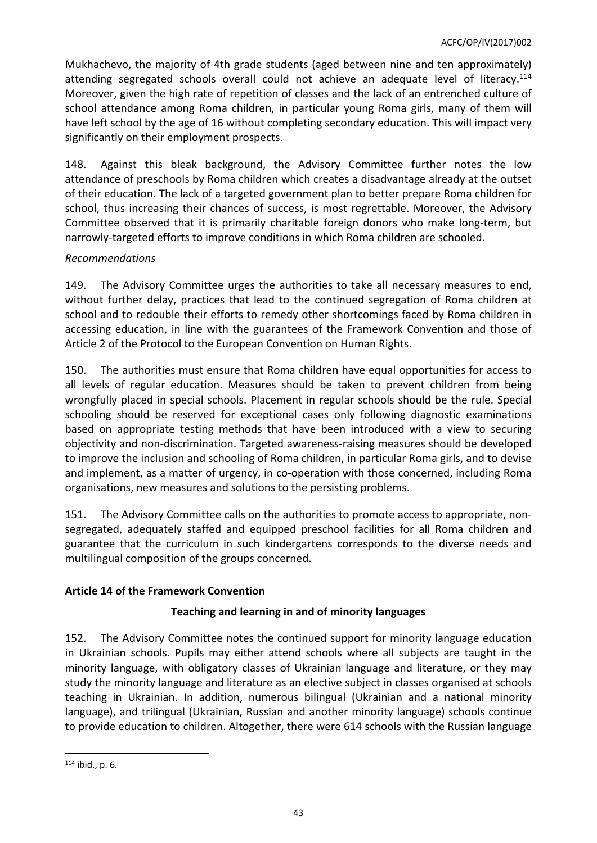Mukhachevo, the majority of 4th grade students (aged between nine and ten approximately) attending segregated schools overall could not achieve an adequate level of literacy.<sup>114</sup> Moreover, given the high rate of repetition of classes and the lack of an entrenched culture of school attendance among Roma children, in particular young Roma girls, many of them will have left school by the age of 16 without completing secondary education. This will impact very significantly on their employment prospects.

148. Against this bleak background, the Advisory Committee further notes the low attendance of preschools by Roma children which creates a disadvantage already at the outset of their education. The lack of a targeted government plan to better prepare Roma children for school, thus increasing their chances of success, is most regrettable. Moreover, the Advisory Committee observed that it is primarily charitable foreign donors who make long-term, but narrowly-targeted efforts to improve conditions in which Roma children are schooled.

# *Recommendations*

149. The Advisory Committee urges the authorities to take all necessary measures to end, without further delay, practices that lead to the continued segregation of Roma children at school and to redouble their efforts to remedy other shortcomings faced by Roma children in accessing education, in line with the guarantees of the Framework Convention and those of Article 2 of the Protocol to the European Convention on Human Rights.

150. The authorities must ensure that Roma children have equal opportunities for access to all levels of regular education. Measures should be taken to prevent children from being wrongfully placed in special schools. Placement in regular schools should be the rule. Special schooling should be reserved for exceptional cases only following diagnostic examinations based on appropriate testing methods that have been introduced with a view to securing objectivity and non-discrimination. Targeted awareness-raising measures should be developed to improve the inclusion and schooling of Roma children, in particular Roma girls, and to devise and implement, as a matter of urgency, in co-operation with those concerned, including Roma organisations, new measures and solutions to the persisting problems.

151. The Advisory Committee calls on the authorities to promote access to appropriate, nonsegregated, adequately staffed and equipped preschool facilities for all Roma children and guarantee that the curriculum in such kindergartens corresponds to the diverse needs and multilingual composition of the groups concerned.

# <span id="page-42-0"></span>**Article 14 of the Framework Convention**

# **Teaching and learning in and of minority languages**

152. The Advisory Committee notes the continued support for minority language education in Ukrainian schools. Pupils may either attend schools where all subjects are taught in the minority language, with obligatory classes of Ukrainian language and literature, or they may study the minority language and literature as an elective subject in classes organised at schools teaching in Ukrainian. In addition, numerous bilingual (Ukrainian and a national minority language), and trilingual (Ukrainian, Russian and another minority language) schools continue to provide education to children. Altogether, there were 614 schools with the Russian language

 $114$  ibid., p. 6.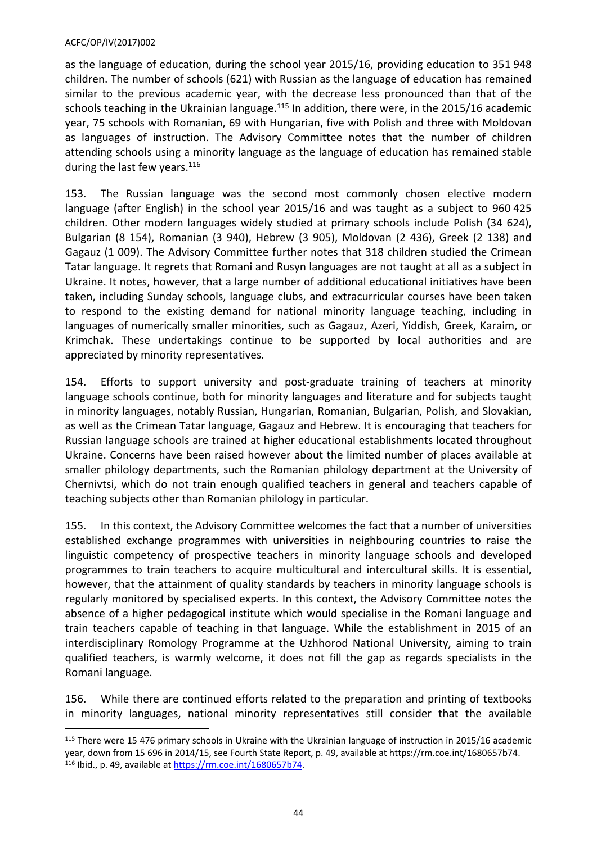as the language of education, during the school year 2015/16, providing education to 351 948 children. The number of schools (621) with Russian as the language of education has remained similar to the previous academic year, with the decrease less pronounced than that of the schools teaching in the Ukrainian language.<sup>115</sup> In addition, there were, in the 2015/16 academic year, 75 schools with Romanian, 69 with Hungarian, five with Polish and three with Moldovan as languages of instruction. The Advisory Committee notes that the number of children attending schools using a minority language as the language of education has remained stable during the last few years.<sup>116</sup>

153. The Russian language was the second most commonly chosen elective modern language (after English) in the school year 2015/16 and was taught as a subject to 960 425 children. Other modern languages widely studied at primary schools include Polish (34 624), Bulgarian (8 154), Romanian (3 940), Hebrew (3 905), Moldovan (2 436), Greek (2 138) and Gagauz (1 009). The Advisory Committee further notes that 318 children studied the Crimean Tatar language. It regrets that Romani and Rusyn languages are not taught at all as a subject in Ukraine. It notes, however, that a large number of additional educational initiatives have been taken, including Sunday schools, language clubs, and extracurricular courses have been taken to respond to the existing demand for national minority language teaching, including in languages of numerically smaller minorities, such as Gagauz, Azeri, Yiddish, Greek, Karaim, or Krimchak. These undertakings continue to be supported by local authorities and are appreciated by minority representatives.

154. Efforts to support university and post-graduate training of teachers at minority language schools continue, both for minority languages and literature and for subjects taught in minority languages, notably Russian, Hungarian, Romanian, Bulgarian, Polish, and Slovakian, as well as the Crimean Tatar language, Gagauz and Hebrew. It is encouraging that teachers for Russian language schools are trained at higher educational establishments located throughout Ukraine. Concerns have been raised however about the limited number of places available at smaller philology departments, such the Romanian philology department at the University of Chernivtsi, which do not train enough qualified teachers in general and teachers capable of teaching subjects other than Romanian philology in particular.

155. In this context, the Advisory Committee welcomes the fact that a number of universities established exchange programmes with universities in neighbouring countries to raise the linguistic competency of prospective teachers in minority language schools and developed programmes to train teachers to acquire multicultural and intercultural skills. It is essential, however, that the attainment of quality standards by teachers in minority language schools is regularly monitored by specialised experts. In this context, the Advisory Committee notes the absence of a higher pedagogical institute which would specialise in the Romani language and train teachers capable of teaching in that language. While the establishment in 2015 of an interdisciplinary Romology Programme at the Uzhhorod National University, aiming to train qualified teachers, is warmly welcome, it does not fill the gap as regards specialists in the Romani language.

156. While there are continued efforts related to the preparation and printing of textbooks in minority languages, national minority representatives still consider that the available

<sup>115</sup> There were 15 476 primary schools in Ukraine with the Ukrainian language of instruction in 2015/16 academic year, down from 15 696 in 2014/15, see Fourth State Report, p. 49, available at https://rm.coe.int/1680657b74. 116 Ibid., p. 49, available at<https://rm.coe.int/1680657b74>.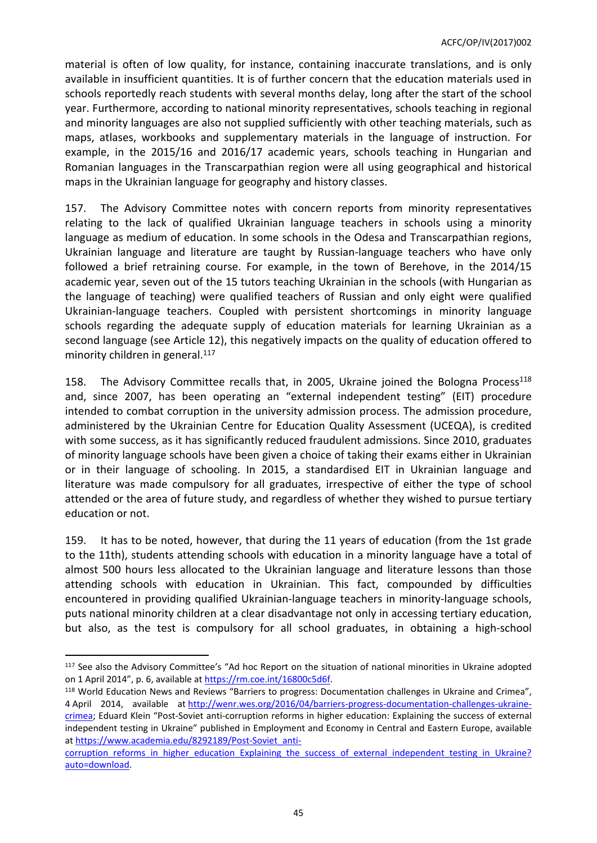material is often of low quality, for instance, containing inaccurate translations, and is only available in insufficient quantities. It is of further concern that the education materials used in schools reportedly reach students with several months delay, long after the start of the school year. Furthermore, according to national minority representatives, schools teaching in regional and minority languages are also not supplied sufficiently with other teaching materials, such as maps, atlases, workbooks and supplementary materials in the language of instruction. For example, in the 2015/16 and 2016/17 academic years, schools teaching in Hungarian and Romanian languages in the Transcarpathian region were all using geographical and historical maps in the Ukrainian language for geography and history classes.

157. The Advisory Committee notes with concern reports from minority representatives relating to the lack of qualified Ukrainian language teachers in schools using a minority language as medium of education. In some schools in the Odesa and Transcarpathian regions, Ukrainian language and literature are taught by Russian-language teachers who have only followed a brief retraining course. For example, in the town of Berehove, in the 2014/15 academic year, seven out of the 15 tutors teaching Ukrainian in the schools (with Hungarian as the language of teaching) were qualified teachers of Russian and only eight were qualified Ukrainian-language teachers. Coupled with persistent shortcomings in minority language schools regarding the adequate supply of education materials for learning Ukrainian as a second language (see Article 12), this negatively impacts on the quality of education offered to minority children in general.<sup>117</sup>

158. The Advisory Committee recalls that, in 2005, Ukraine joined the Bologna Process<sup>118</sup> and, since 2007, has been operating an "external independent testing" (EIT) procedure intended to combat corruption in the university admission process. The admission procedure, administered by the Ukrainian Centre for Education Quality Assessment (UCEQA), is credited with some success, as it has significantly reduced fraudulent admissions. Since 2010, graduates of minority language schools have been given a choice of taking their exams either in Ukrainian or in their language of schooling. In 2015, a standardised EIT in Ukrainian language and literature was made compulsory for all graduates, irrespective of either the type of school attended or the area of future study, and regardless of whether they wished to pursue tertiary education or not.

159. It has to be noted, however, that during the 11 years of education (from the 1st grade to the 11th), students attending schools with education in a minority language have a total of almost 500 hours less allocated to the Ukrainian language and literature lessons than those attending schools with education in Ukrainian. This fact, compounded by difficulties encountered in providing qualified Ukrainian-language teachers in minority-language schools, puts national minority children at a clear disadvantage not only in accessing tertiary education, but also, as the test is compulsory for all school graduates, in obtaining a high-school

<sup>118</sup> World Education News and Reviews "Barriers to progress: Documentation challenges in Ukraine and Crimea", 4 April 2014, available at [http://wenr.wes.org/2016/04/barriers-progress-documentation-challenges-ukraine](http://wenr.wes.org/2016/04/barriers-progress-documentation-challenges-ukraine-crimea)[crimea;](http://wenr.wes.org/2016/04/barriers-progress-documentation-challenges-ukraine-crimea) Eduard Klein "Post-Soviet anti-corruption reforms in higher education: Explaining the success of external independent testing in Ukraine" published in Employment and Economy in Central and Eastern Europe, available at [https://www.academia.edu/8292189/Post-Soviet\\_anti-](https://www.academia.edu/8292189/Post-Soviet_anti-corruption_reforms_in_higher_education_Explaining_the_success_of_external_independent_testing_in_Ukraine?auto=download)

<sup>117</sup> See also the Advisory Committee's "Ad hoc Report on the situation of national minorities in Ukraine adopted on 1 April 2014", p. 6, available at<https://rm.coe.int/16800c5d6f>.

corruption reforms in higher education Explaining the success of external independent testing in Ukraine? [auto=download](https://www.academia.edu/8292189/Post-Soviet_anti-corruption_reforms_in_higher_education_Explaining_the_success_of_external_independent_testing_in_Ukraine?auto=download).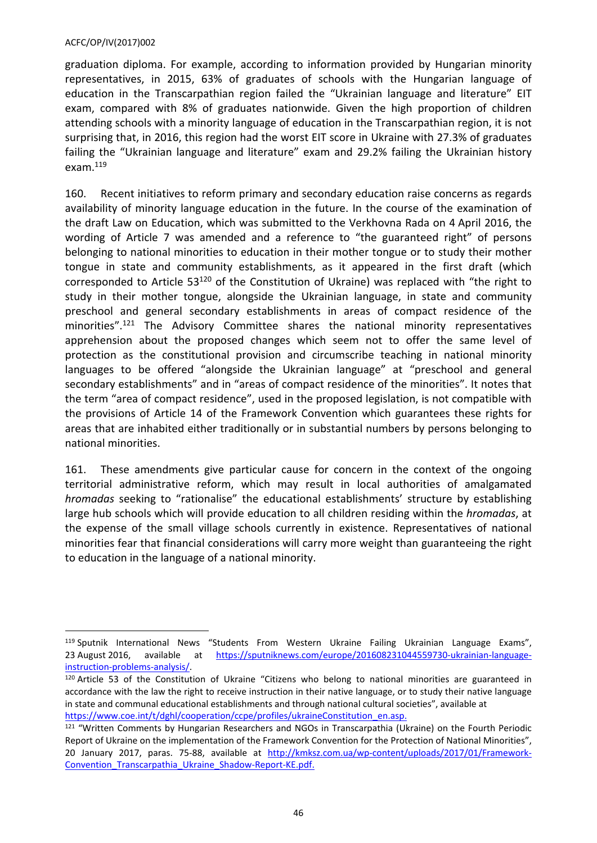graduation diploma. For example, according to information provided by Hungarian minority representatives, in 2015, 63% of graduates of schools with the Hungarian language of education in the Transcarpathian region failed the "Ukrainian language and literature" EIT exam, compared with 8% of graduates nationwide. Given the high proportion of children attending schools with a minority language of education in the Transcarpathian region, it is not surprising that, in 2016, this region had the worst EIT score in Ukraine with 27.3% of graduates failing the "Ukrainian language and literature" exam and 29.2% failing the Ukrainian history exam.<sup>119</sup>

160. Recent initiatives to reform primary and secondary education raise concerns as regards availability of minority language education in the future. In the course of the examination of the draft Law on Education, which was submitted to the Verkhovna Rada on 4 April 2016, the wording of Article 7 was amended and a reference to "the guaranteed right" of persons belonging to national minorities to education in their mother tongue or to study their mother tongue in state and community establishments, as it appeared in the first draft (which corresponded to Article 53<sup>120</sup> of the Constitution of Ukraine) was replaced with "the right to study in their mother tongue, alongside the Ukrainian language, in state and community preschool and general secondary establishments in areas of compact residence of the minorities".<sup>121</sup> The Advisory Committee shares the national minority representatives apprehension about the proposed changes which seem not to offer the same level of protection as the constitutional provision and circumscribe teaching in national minority languages to be offered "alongside the Ukrainian language" at "preschool and general secondary establishments" and in "areas of compact residence of the minorities". It notes that the term "area of compact residence", used in the proposed legislation, is not compatible with the provisions of Article 14 of the Framework Convention which guarantees these rights for areas that are inhabited either traditionally or in substantial numbers by persons belonging to national minorities.

161. These amendments give particular cause for concern in the context of the ongoing territorial administrative reform, which may result in local authorities of amalgamated *hromadas* seeking to "rationalise" the educational establishments' structure by establishing large hub schools which will provide education to all children residing within the *hromadas*, at the expense of the small village schools currently in existence. Representatives of national minorities fear that financial considerations will carry more weight than guaranteeing the right to education in the language of a national minority.

<sup>119</sup> Sputnik International News "Students From Western Ukraine Failing Ukrainian Language Exams", 23 August 2016, available at [https://sputniknews.com/europe/201608231044559730-ukrainian-language](https://sputniknews.com/europe/201608231044559730-ukrainian-language-instruction-problems-analysis/)[instruction-problems-analysis/](https://sputniknews.com/europe/201608231044559730-ukrainian-language-instruction-problems-analysis/).

<sup>120</sup> Article 53 of the Constitution of Ukraine "Citizens who belong to national minorities are guaranteed in accordance with the law the right to receive instruction in their native language, or to study their native language in state and communal educational establishments and through national cultural societies", available at [https://www.coe.int/t/dghl/cooperation/ccpe/profiles/ukraineConstitution\\_en.asp](https://www.coe.int/t/dghl/cooperation/ccpe/profiles/ukraineConstitution_en.asp).

<sup>121 &</sup>quot;Written Comments by Hungarian Researchers and NGOs in Transcarpathia (Ukraine) on the Fourth Periodic Report of Ukraine on the implementation of the Framework Convention for the Protection of National Minorities", 20 January 2017, paras. 75-88, available at [http://kmksz.com.ua/wp-content/uploads/2017/01/Framework-](http://kmksz.com.ua/wp-content/uploads/2017/01/Framework-Convention_Transcarpathia_Ukraine_Shadow-Report-KE.pdf)[Convention\\_Transcarpathia\\_Ukraine\\_Shadow-Report-KE.pdf](http://kmksz.com.ua/wp-content/uploads/2017/01/Framework-Convention_Transcarpathia_Ukraine_Shadow-Report-KE.pdf).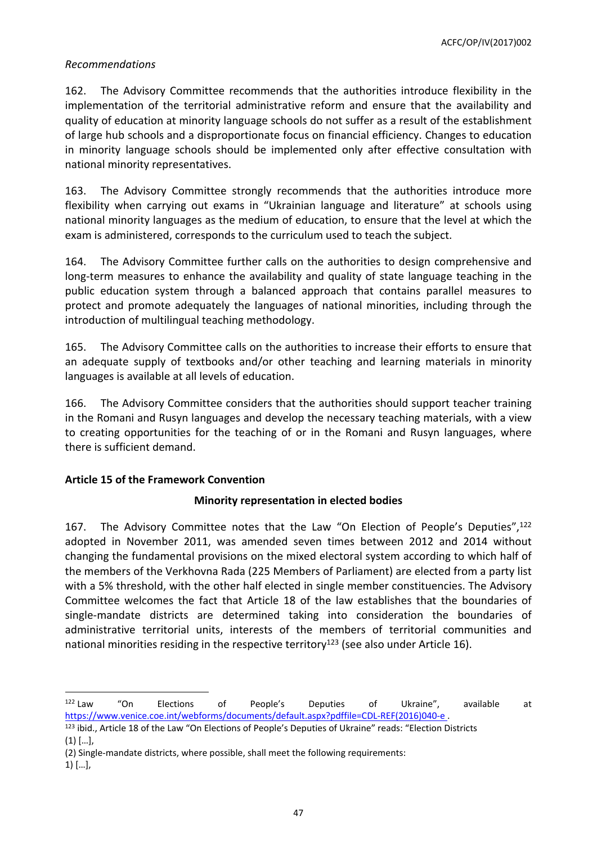# *Recommendations*

162. The Advisory Committee recommends that the authorities introduce flexibility in the implementation of the territorial administrative reform and ensure that the availability and quality of education at minority language schools do not suffer as a result of the establishment of large hub schools and a disproportionate focus on financial efficiency. Changes to education in minority language schools should be implemented only after effective consultation with national minority representatives.

163. The Advisory Committee strongly recommends that the authorities introduce more flexibility when carrying out exams in "Ukrainian language and literature" at schools using national minority languages as the medium of education, to ensure that the level at which the exam is administered, corresponds to the curriculum used to teach the subject.

164. The Advisory Committee further calls on the authorities to design comprehensive and long-term measures to enhance the availability and quality of state language teaching in the public education system through a balanced approach that contains parallel measures to protect and promote adequately the languages of national minorities, including through the introduction of multilingual teaching methodology.

165. The Advisory Committee calls on the authorities to increase their efforts to ensure that an adequate supply of textbooks and/or other teaching and learning materials in minority languages is available at all levels of education.

166. The Advisory Committee considers that the authorities should support teacher training in the Romani and Rusyn languages and develop the necessary teaching materials, with a view to creating opportunities for the teaching of or in the Romani and Rusyn languages, where there is sufficient demand.

### <span id="page-46-0"></span>**Article 15 of the Framework Convention**

# **Minority representation in elected bodies**

167. The Advisory Committee notes that the Law "On Election of People's Deputies",<sup>122</sup> adopted in November 2011, was amended seven times between 2012 and 2014 without changing the fundamental provisions on the mixed electoral system according to which half of the members of the Verkhovna Rada (225 Members of Parliament) are elected from a party list with a 5% threshold, with the other half elected in single member constituencies. The Advisory Committee welcomes the fact that Article 18 of the law establishes that the boundaries of single-mandate districts are determined taking into consideration the boundaries of administrative territorial units, interests of the members of territorial communities and national minorities residing in the respective territory<sup>123</sup> (see also under Article 16).

<sup>&</sup>lt;sup>122</sup> Law "On Elections of People's Deputies of Ukraine", available at [https://www.venice.coe.int/webforms/documents/default.aspx?pdffile=CDL-REF\(2016\)040-e](https://www.venice.coe.int/webforms/documents/default.aspx?pdffile=CDL-REF(2016)040-e) .

<sup>123</sup> ibid., Article 18 of the Law "On Elections of People's Deputies of Ukraine" reads: "Election Districts  $(1)$   $[...]$ ,

<sup>(2)</sup> Single-mandate districts, where possible, shall meet the following requirements:

 $1)$   $[...]$ ,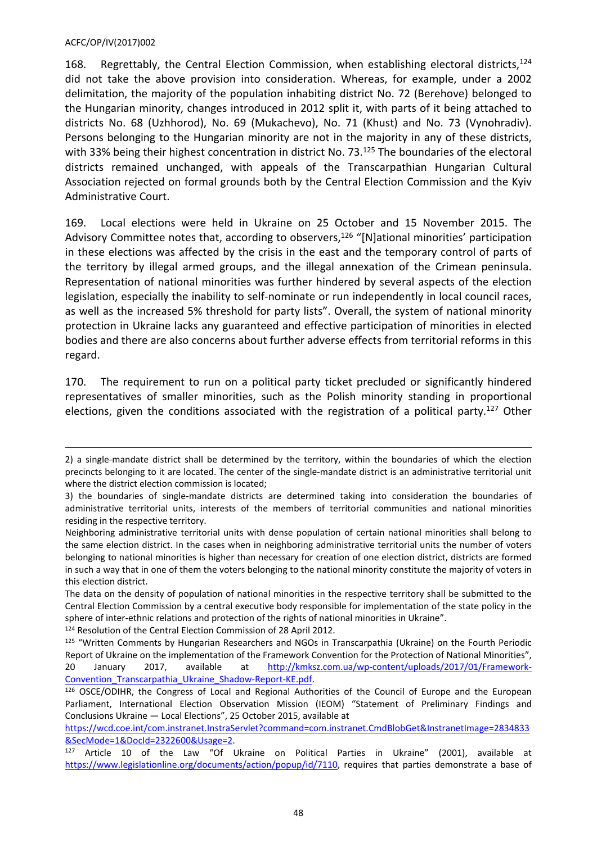168. Regrettably, the Central Election Commission, when establishing electoral districts,  $124$ did not take the above provision into consideration. Whereas, for example, under a 2002 delimitation, the majority of the population inhabiting district No. 72 (Berehove) belonged to the Hungarian minority, changes introduced in 2012 split it, with parts of it being attached to districts No. 68 (Uzhhorod), No. 69 (Mukachevo), No. 71 (Khust) and No. 73 (Vynohradiv). Persons belonging to the Hungarian minority are not in the majority in any of these districts, with 33% being their highest concentration in district No. 73.<sup>125</sup> The boundaries of the electoral districts remained unchanged, with appeals of the Transcarpathian Hungarian Cultural Association rejected on formal grounds both by the Central Election Commission and the Kyiv Administrative Court.

169. Local elections were held in Ukraine on 25 October and 15 November 2015. The Advisory Committee notes that, according to observers,<sup>126</sup> "[N]ational minorities' participation in these elections was affected by the crisis in the east and the temporary control of parts of the territory by illegal armed groups, and the illegal annexation of the Crimean peninsula. Representation of national minorities was further hindered by several aspects of the election legislation, especially the inability to self-nominate or run independently in local council races, as well as the increased 5% threshold for party lists". Overall, the system of national minority protection in Ukraine lacks any guaranteed and effective participation of minorities in elected bodies and there are also concerns about further adverse effects from territorial reforms in this regard.

170. The requirement to run on a political party ticket precluded or significantly hindered representatives of smaller minorities, such as the Polish minority standing in proportional elections, given the conditions associated with the registration of a political party.<sup>127</sup> Other

<sup>124</sup> Resolution of the Central Election Commission of 28 April 2012.

<sup>2)</sup> a single-mandate district shall be determined by the territory, within the boundaries of which the election precincts belonging to it are located. The center of the single-mandate district is an administrative territorial unit where the district election commission is located;

<sup>3)</sup> the boundaries of single-mandate districts are determined taking into consideration the boundaries of administrative territorial units, interests of the members of territorial communities and national minorities residing in the respective territory.

Neighboring administrative territorial units with dense population of certain national minorities shall belong to the same election district. In the cases when in neighboring administrative territorial units the number of voters belonging to national minorities is higher than necessary for creation of one election district, districts are formed in such a way that in one of them the voters belonging to the national minority constitute the majority of voters in this election district.

The data on the density of population of national minorities in the respective territory shall be submitted to the Central Election Commission by a central executive body responsible for implementation of the state policy in the sphere of inter-ethnic relations and protection of the rights of national minorities in Ukraine".

<sup>&</sup>lt;sup>125</sup> "Written Comments by Hungarian Researchers and NGOs in Transcarpathia (Ukraine) on the Fourth Periodic Report of Ukraine on the implementation of the Framework Convention for the Protection of National Minorities", 20 January 2017, available at [http://kmksz.com.ua/wp-content/uploads/2017/01/Framework-](http://kmksz.com.ua/wp-content/uploads/2017/01/Framework-Convention_Transcarpathia_Ukraine_Shadow-Report-KE.pdf)[Convention\\_Transcarpathia\\_Ukraine\\_Shadow-Report-KE.pdf](http://kmksz.com.ua/wp-content/uploads/2017/01/Framework-Convention_Transcarpathia_Ukraine_Shadow-Report-KE.pdf).

<sup>126</sup> OSCE/ODIHR, the Congress of Local and Regional Authorities of the Council of Europe and the European Parliament, International Election Observation Mission (IEOM) "Statement of Preliminary Findings and Conclusions Ukraine — Local Elections", 25 October 2015, available at

[https://wcd.coe.int/com.instranet.InstraServlet?command=com.instranet.CmdBlobGet&InstranetImage=2834833](https://wcd.coe.int/com.instranet.InstraServlet?command=com.instranet.CmdBlobGet&InstranetImage=2834833&SecMode=1&DocId=2322600&Usage=2) [&SecMode=1&DocId=2322600&Usage=2](https://wcd.coe.int/com.instranet.InstraServlet?command=com.instranet.CmdBlobGet&InstranetImage=2834833&SecMode=1&DocId=2322600&Usage=2).

<sup>127</sup> Article 10 of the Law "Of Ukraine on Political Parties in Ukraine" (2001), available at [https://www.legislationline.org/documents/action/popup/id/7110,](https://www.legislationline.org/documents/action/popup/id/7110) requires that parties demonstrate a base of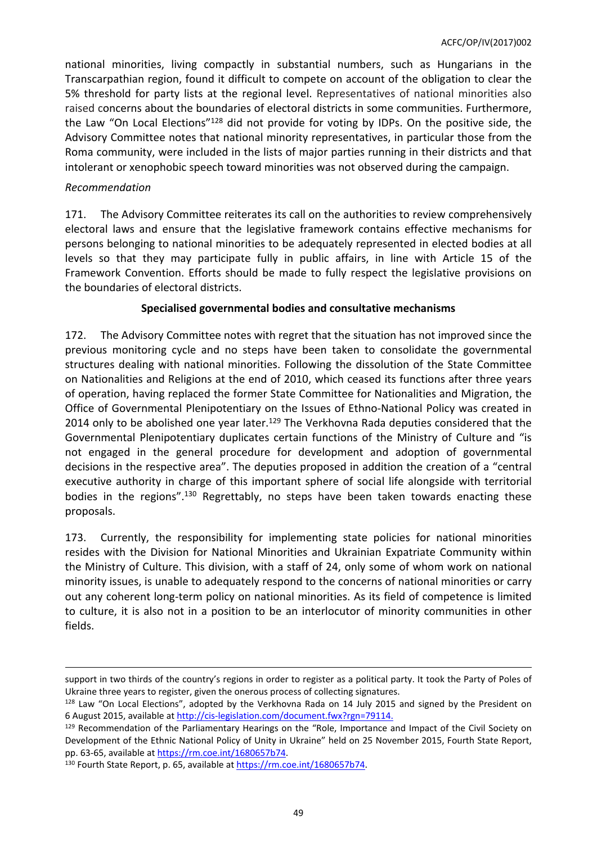national minorities, living compactly in substantial numbers, such as Hungarians in the Transcarpathian region, found it difficult to compete on account of the obligation to clear the 5% threshold for party lists at the regional level. Representatives of national minorities also raised concerns about the boundaries of electoral districts in some communities. Furthermore, the Law "On Local Elections"<sup>128</sup> did not provide for voting by IDPs. On the positive side, the Advisory Committee notes that national minority representatives, in particular those from the Roma community, were included in the lists of major parties running in their districts and that intolerant or xenophobic speech toward minorities was not observed during the campaign.

### *Recommendation*

171. The Advisory Committee reiterates its call on the authorities to review comprehensively electoral laws and ensure that the legislative framework contains effective mechanisms for persons belonging to national minorities to be adequately represented in elected bodies at all levels so that they may participate fully in public affairs, in line with Article 15 of the Framework Convention. Efforts should be made to fully respect the legislative provisions on the boundaries of electoral districts.

# **Specialised governmental bodies and consultative mechanisms**

172. The Advisory Committee notes with regret that the situation has not improved since the previous monitoring cycle and no steps have been taken to consolidate the governmental structures dealing with national minorities. Following the dissolution of the State Committee on Nationalities and Religions at the end of 2010, which ceased its functions after three years of operation, having replaced the former State Committee for Nationalities and Migration, the Office of Governmental Plenipotentiary on the Issues of Ethno-National Policy was created in 2014 only to be abolished one year later.<sup>129</sup> The Verkhovna Rada deputies considered that the Governmental Plenipotentiary duplicates certain functions of the Ministry of Culture and "is not engaged in the general procedure for development and adoption of governmental decisions in the respective area". The deputies proposed in addition the creation of a "central executive authority in charge of this important sphere of social life alongside with territorial bodies in the regions".<sup>130</sup> Regrettably, no steps have been taken towards enacting these proposals.

173. Currently, the responsibility for implementing state policies for national minorities resides with the Division for National Minorities and Ukrainian Expatriate Community within the Ministry of Culture. This division, with a staff of 24, only some of whom work on national minority issues, is unable to adequately respond to the concerns of national minorities or carry out any coherent long-term policy on national minorities. As its field of competence is limited to culture, it is also not in a position to be an interlocutor of minority communities in other fields.

support in two thirds of the country's regions in order to register as a political party. It took the Party of Poles of Ukraine three years to register, given the onerous process of collecting signatures.

<sup>128</sup> Law "On Local Elections", adopted by the Verkhovna Rada on 14 July 2015 and signed by the President on 6 August 2015, available at http://cis-legislation.com/document.fwx?rgn=79114.

<sup>129</sup> Recommendation of the Parliamentary Hearings on the "Role, Importance and Impact of the Civil Society on Development of the Ethnic National Policy of Unity in Ukraine" held on 25 November 2015, Fourth State Report, pp. 63-65, available at <https://rm.coe.int/1680657b74>.

<sup>130</sup> Fourth State Report, p. 65, available at <https://rm.coe.int/1680657b74>.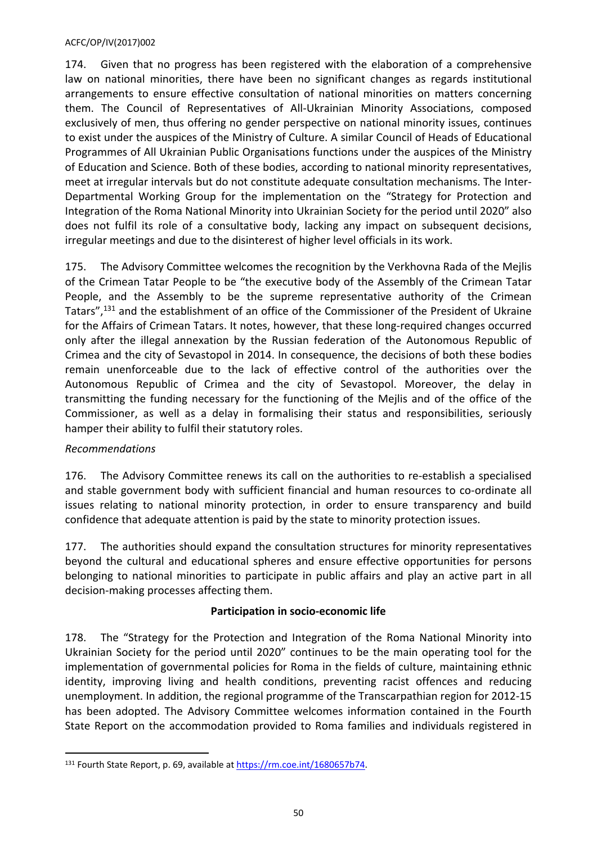174. Given that no progress has been registered with the elaboration of a comprehensive law on national minorities, there have been no significant changes as regards institutional arrangements to ensure effective consultation of national minorities on matters concerning them. The Council of Representatives of All-Ukrainian Minority Associations, composed exclusively of men, thus offering no gender perspective on national minority issues, continues to exist under the auspices of the Ministry of Culture. A similar Council of Heads of Educational Programmes of All Ukrainian Public Organisations functions under the auspices of the Ministry of Education and Science. Both of these bodies, according to national minority representatives, meet at irregular intervals but do not constitute adequate consultation mechanisms. The Inter-Departmental Working Group for the implementation on the "Strategy for Protection and Integration of the Roma National Minority into Ukrainian Society for the period until 2020" also does not fulfil its role of a consultative body, lacking any impact on subsequent decisions, irregular meetings and due to the disinterest of higher level officials in its work.

175. The Advisory Committee welcomes the recognition by the Verkhovna Rada of the Mejlis of the Crimean Tatar People to be "the executive body of the Assembly of the Crimean Tatar People, and the Assembly to be the supreme representative authority of the Crimean Tatars",<sup>131</sup> and the establishment of an office of the Commissioner of the President of Ukraine for the Affairs of Crimean Tatars. It notes, however, that these long-required changes occurred only after the illegal annexation by the Russian federation of the Autonomous Republic of Crimea and the city of Sevastopol in 2014. In consequence, the decisions of both these bodies remain unenforceable due to the lack of effective control of the authorities over the Autonomous Republic of Crimea and the city of Sevastopol. Moreover, the delay in transmitting the funding necessary for the functioning of the Mejlis and of the office of the Commissioner, as well as a delay in formalising their status and responsibilities, seriously hamper their ability to fulfil their statutory roles.

# *Recommendations*

176. The Advisory Committee renews its call on the authorities to re-establish a specialised and stable government body with sufficient financial and human resources to co-ordinate all issues relating to national minority protection, in order to ensure transparency and build confidence that adequate attention is paid by the state to minority protection issues.

177. The authorities should expand the consultation structures for minority representatives beyond the cultural and educational spheres and ensure effective opportunities for persons belonging to national minorities to participate in public affairs and play an active part in all decision-making processes affecting them.

# **Participation in socio-economic life**

178. The "Strategy for the Protection and Integration of the Roma National Minority into Ukrainian Society for the period until 2020" continues to be the main operating tool for the implementation of governmental policies for Roma in the fields of culture, maintaining ethnic identity, improving living and health conditions, preventing racist offences and reducing unemployment. In addition, the regional programme of the Transcarpathian region for 2012-15 has been adopted. The Advisory Committee welcomes information contained in the Fourth State Report on the accommodation provided to Roma families and individuals registered in

<sup>131</sup> Fourth State Report, p. 69, available at <https://rm.coe.int/1680657b74>.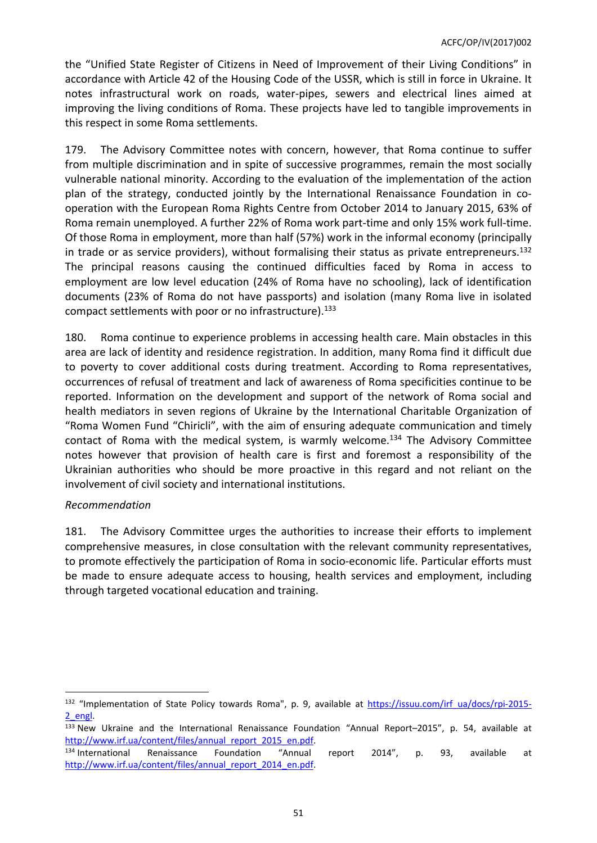the "Unified State Register of Citizens in Need of Improvement of their Living Conditions" in accordance with Article 42 of the Housing Code of the USSR, which is still in force in Ukraine. It notes infrastructural work on roads, water-pipes, sewers and electrical lines aimed at improving the living conditions of Roma. These projects have led to tangible improvements in this respect in some Roma settlements.

179. The Advisory Committee notes with concern, however, that Roma continue to suffer from multiple discrimination and in spite of successive programmes, remain the most socially vulnerable national minority. According to the evaluation of the implementation of the action plan of the strategy, conducted jointly by the International Renaissance Foundation in cooperation with the European Roma Rights Centre from October 2014 to January 2015, 63% of Roma remain unemployed. A further 22% of Roma work part-time and only 15% work full-time. Of those Roma in employment, more than half (57%) work in the informal economy (principally in trade or as service providers), without formalising their status as private entrepreneurs.<sup>132</sup> The principal reasons causing the continued difficulties faced by Roma in access to employment are low level education (24% of Roma have no schooling), lack of identification documents (23% of Roma do not have passports) and isolation (many Roma live in isolated compact settlements with poor or no infrastructure).<sup>133</sup>

180. Roma continue to experience problems in accessing health care. Main obstacles in this area are lack of identity and residence registration. In addition, many Roma find it difficult due to poverty to cover additional costs during treatment. According to Roma representatives, occurrences of refusal of treatment and lack of awareness of Roma specificities continue to be reported. Information on the development and support of the network of Roma social and health mediators in seven regions of Ukraine by the International Charitable Organization of "Roma Women Fund "Chiricli", with the aim of ensuring adequate communication and timely contact of Roma with the medical system, is warmly welcome.<sup>134</sup> The Advisory Committee notes however that provision of health care is first and foremost a responsibility of the Ukrainian authorities who should be more proactive in this regard and not reliant on the involvement of civil society and international institutions.

### *Recommendation*

181. The Advisory Committee urges the authorities to increase their efforts to implement comprehensive measures, in close consultation with the relevant community representatives, to promote effectively the participation of Roma in socio-economic life. Particular efforts must be made to ensure adequate access to housing, health services and employment, including through targeted vocational education and training.

<sup>132 &</sup>quot;Implementation of State Policy towards Roma", p. 9, available at [https://issuu.com/irf\\_ua/docs/rpi-2015-](https://issuu.com/irf_ua/docs/rpi-2015-2_engl_) [2\\_engl](https://issuu.com/irf_ua/docs/rpi-2015-2_engl_).

<sup>133</sup> New Ukraine and the International Renaissance Foundation "Annual Report-2015", p. 54, available at [http://www.irf.ua/content/files/annual\\_report\\_2015\\_en.pdf.](http://www.irf.ua/content/files/annual_report_2015_en.pdf)

<sup>134</sup> International Renaissance Foundation "Annual report 2014", p. 93, available at [http://www.irf.ua/content/files/annual\\_report\\_2014\\_en.pdf.](http://www.irf.ua/content/files/annual_report_2014_en.pdf)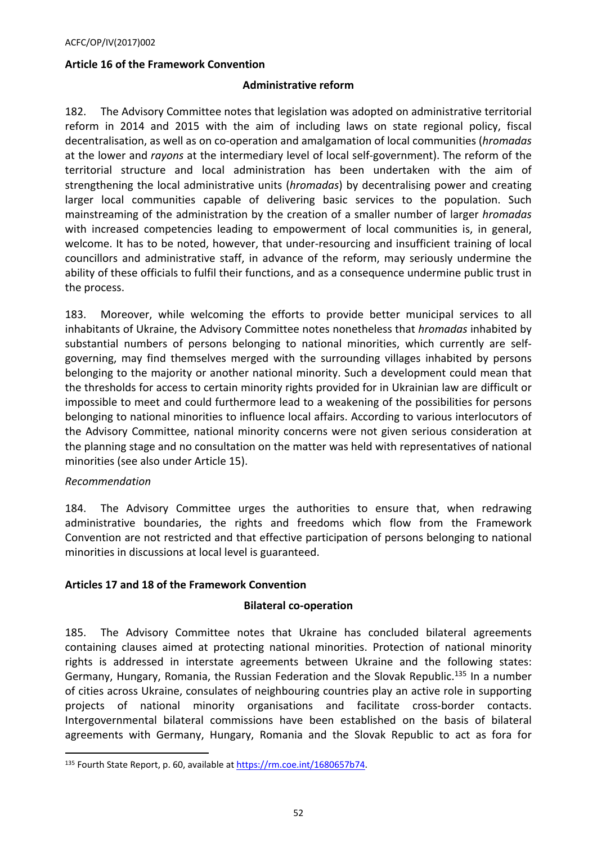### <span id="page-51-0"></span>**Article 16 of the Framework Convention**

#### **Administrative reform**

182. The Advisory Committee notes that legislation was adopted on administrative territorial reform in 2014 and 2015 with the aim of including laws on state regional policy, fiscal decentralisation, as well as on co-operation and amalgamation of local communities (*hromadas* at the lower and *rayons* at the intermediary level of local self-government). The reform of the territorial structure and local administration has been undertaken with the aim of strengthening the local administrative units (*hromadas*) by decentralising power and creating larger local communities capable of delivering basic services to the population. Such mainstreaming of the administration by the creation of a smaller number of larger *hromadas* with increased competencies leading to empowerment of local communities is, in general, welcome. It has to be noted, however, that under-resourcing and insufficient training of local councillors and administrative staff, in advance of the reform, may seriously undermine the ability of these officials to fulfil their functions, and as a consequence undermine public trust in the process.

183. Moreover, while welcoming the efforts to provide better municipal services to all inhabitants of Ukraine, the Advisory Committee notes nonetheless that *hromadas* inhabited by substantial numbers of persons belonging to national minorities, which currently are selfgoverning, may find themselves merged with the surrounding villages inhabited by persons belonging to the majority or another national minority. Such a development could mean that the thresholds for access to certain minority rights provided for in Ukrainian law are difficult or impossible to meet and could furthermore lead to a weakening of the possibilities for persons belonging to national minorities to influence local affairs. According to various interlocutors of the Advisory Committee, national minority concerns were not given serious consideration at the planning stage and no consultation on the matter was held with representatives of national minorities (see also under Article 15).

### *Recommendation*

184. The Advisory Committee urges the authorities to ensure that, when redrawing administrative boundaries, the rights and freedoms which flow from the Framework Convention are not restricted and that effective participation of persons belonging to national minorities in discussions at local level is guaranteed.

### <span id="page-51-1"></span>**Articles 17 and 18 of the Framework Convention**

#### **Bilateral co-operation**

185. The Advisory Committee notes that Ukraine has concluded bilateral agreements containing clauses aimed at protecting national minorities. Protection of national minority rights is addressed in interstate agreements between Ukraine and the following states: Germany, Hungary, Romania, the Russian Federation and the Slovak Republic.<sup>135</sup> In a number of cities across Ukraine, consulates of neighbouring countries play an active role in supporting projects of national minority organisations and facilitate cross-border contacts. Intergovernmental bilateral commissions have been established on the basis of bilateral agreements with Germany, Hungary, Romania and the Slovak Republic to act as fora for

<sup>135</sup> Fourth State Report, p. 60, available at <https://rm.coe.int/1680657b74>.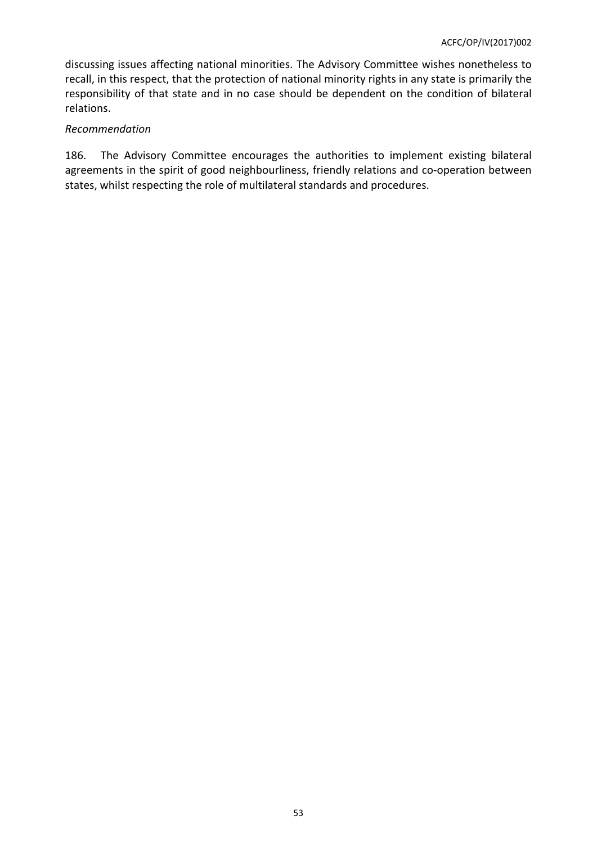discussing issues affecting national minorities. The Advisory Committee wishes nonetheless to recall, in this respect, that the protection of national minority rights in any state is primarily the responsibility of that state and in no case should be dependent on the condition of bilateral relations.

### *Recommendation*

186. The Advisory Committee encourages the authorities to implement existing bilateral agreements in the spirit of good neighbourliness, friendly relations and co-operation between states, whilst respecting the role of multilateral standards and procedures.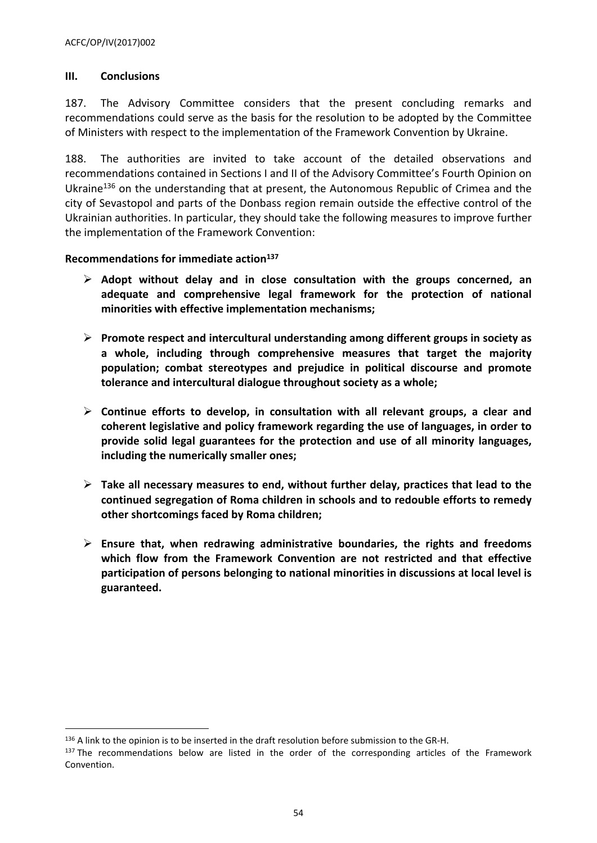# <span id="page-53-0"></span>**III. Conclusions**

187. The Advisory Committee considers that the present concluding remarks and recommendations could serve as the basis for the resolution to be adopted by the Committee of Ministers with respect to the implementation of the Framework Convention by Ukraine.

188. The authorities are invited to take account of the detailed observations and recommendations contained in Sections I and II of the Advisory Committee's Fourth Opinion on Ukraine<sup>136</sup> on the understanding that at present, the Autonomous Republic of Crimea and the city of Sevastopol and parts of the Donbass region remain outside the effective control of the Ukrainian authorities. In particular, they should take the following measures to improve further the implementation of the Framework Convention:

# <span id="page-53-1"></span>**Recommendations for immediate action<sup>137</sup>**

- **Adopt without delay and in close consultation with the groups concerned, an adequate and comprehensive legal framework for the protection of national minorities with effective implementation mechanisms;**
- **Promote respect and intercultural understanding among different groups in society as a whole, including through comprehensive measures that target the majority population; combat stereotypes and prejudice in political discourse and promote tolerance and intercultural dialogue throughout society as a whole;**
- **Continue efforts to develop, in consultation with all relevant groups, a clear and coherent legislative and policy framework regarding the use of languages, in order to provide solid legal guarantees for the protection and use of all minority languages, including the numerically smaller ones;**
- **Take all necessary measures to end, without further delay, practices that lead to the continued segregation of Roma children in schools and to redouble efforts to remedy other shortcomings faced by Roma children;**
- **Ensure that, when redrawing administrative boundaries, the rights and freedoms which flow from the Framework Convention are not restricted and that effective participation of persons belonging to national minorities in discussions at local level is guaranteed.**

<sup>136</sup> A link to the opinion is to be inserted in the draft resolution before submission to the GR-H.

<sup>&</sup>lt;sup>137</sup> The recommendations below are listed in the order of the corresponding articles of the Framework Convention.